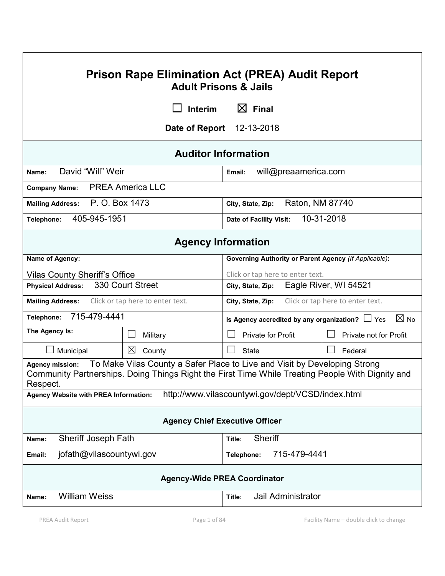| <b>Prison Rape Elimination Act (PREA) Audit Report</b><br><b>Adult Prisons &amp; Jails</b>                                                                                                                          |                                  |                                                                        |                        |  |  |
|---------------------------------------------------------------------------------------------------------------------------------------------------------------------------------------------------------------------|----------------------------------|------------------------------------------------------------------------|------------------------|--|--|
| $\boxtimes$ Final<br><b>Interim</b>                                                                                                                                                                                 |                                  |                                                                        |                        |  |  |
| 12-13-2018<br>Date of Report                                                                                                                                                                                        |                                  |                                                                        |                        |  |  |
| <b>Auditor Information</b>                                                                                                                                                                                          |                                  |                                                                        |                        |  |  |
| David "Will" Weir<br>Name:                                                                                                                                                                                          |                                  | will@preaamerica.com<br>Email:                                         |                        |  |  |
| <b>Company Name:</b>                                                                                                                                                                                                | <b>PREA America LLC</b>          |                                                                        |                        |  |  |
| Mailing Address: P. O. Box 1473                                                                                                                                                                                     |                                  | Raton, NM 87740<br>City, State, Zip:                                   |                        |  |  |
| 405-945-1951<br>Telephone:                                                                                                                                                                                          |                                  | 10-31-2018<br>Date of Facility Visit:                                  |                        |  |  |
| <b>Agency Information</b>                                                                                                                                                                                           |                                  |                                                                        |                        |  |  |
| Name of Agency:                                                                                                                                                                                                     |                                  | Governing Authority or Parent Agency (If Applicable):                  |                        |  |  |
| <b>Vilas County Sheriff's Office</b>                                                                                                                                                                                |                                  | Click or tap here to enter text.                                       |                        |  |  |
| <b>Physical Address:</b>                                                                                                                                                                                            | 330 Court Street                 | Eagle River, WI 54521<br>City, State, Zip:                             |                        |  |  |
| <b>Mailing Address:</b>                                                                                                                                                                                             | Click or tap here to enter text. | Click or tap here to enter text.<br>City, State, Zip:                  |                        |  |  |
| 715-479-4441<br>Telephone:                                                                                                                                                                                          |                                  | $\boxtimes$ No<br>Is Agency accredited by any organization? $\Box$ Yes |                        |  |  |
| The Agency Is:                                                                                                                                                                                                      | Military                         | Private for Profit                                                     | Private not for Profit |  |  |
| Municipal                                                                                                                                                                                                           | $\boxtimes$<br>County            | $\mathsf{L}$<br><b>State</b>                                           | Federal                |  |  |
| To Make Vilas County a Safer Place to Live and Visit by Developing Strong<br><b>Agency mission:</b><br>Community Partnerships. Doing Things Right the First Time While Treating People With Dignity and<br>Respect. |                                  |                                                                        |                        |  |  |
| <b>Agency Website with PREA Information:</b>                                                                                                                                                                        |                                  | http://www.vilascountywi.gov/dept/VCSD/index.html                      |                        |  |  |
| <b>Agency Chief Executive Officer</b>                                                                                                                                                                               |                                  |                                                                        |                        |  |  |
| Sheriff Joseph Fath<br>Name:                                                                                                                                                                                        |                                  | Sheriff<br>Title:                                                      |                        |  |  |
| jofath@vilascountywi.gov<br>Email:                                                                                                                                                                                  |                                  | 715-479-4441<br>Telephone:                                             |                        |  |  |
| <b>Agency-Wide PREA Coordinator</b>                                                                                                                                                                                 |                                  |                                                                        |                        |  |  |
| <b>William Weiss</b><br>Name:                                                                                                                                                                                       |                                  | Jail Administrator<br>Title:                                           |                        |  |  |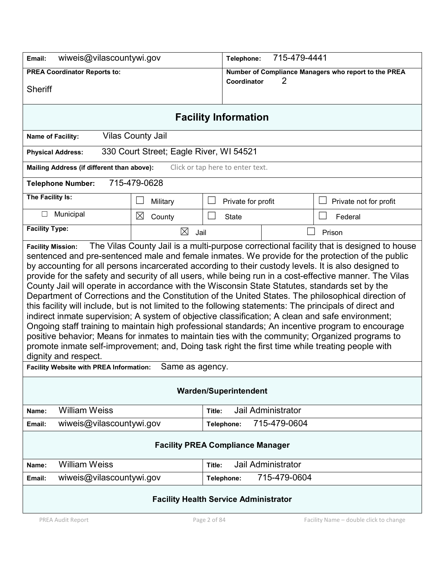| wiweis@vilascountywi.gov<br>Email:                                                                                                                                                                                                                                                                                                                                                                                                                                                                                                                                                                                                                                                                                                                                                                                                                                                                                                                                                                                                                                               |                                         | 715-479-4441<br>Telephone: |                                                      |                    |                                        |
|----------------------------------------------------------------------------------------------------------------------------------------------------------------------------------------------------------------------------------------------------------------------------------------------------------------------------------------------------------------------------------------------------------------------------------------------------------------------------------------------------------------------------------------------------------------------------------------------------------------------------------------------------------------------------------------------------------------------------------------------------------------------------------------------------------------------------------------------------------------------------------------------------------------------------------------------------------------------------------------------------------------------------------------------------------------------------------|-----------------------------------------|----------------------------|------------------------------------------------------|--------------------|----------------------------------------|
| <b>PREA Coordinator Reports to:</b>                                                                                                                                                                                                                                                                                                                                                                                                                                                                                                                                                                                                                                                                                                                                                                                                                                                                                                                                                                                                                                              |                                         |                            | Number of Compliance Managers who report to the PREA |                    |                                        |
| <b>Sheriff</b>                                                                                                                                                                                                                                                                                                                                                                                                                                                                                                                                                                                                                                                                                                                                                                                                                                                                                                                                                                                                                                                                   |                                         |                            | Coordinator                                          | 2                  |                                        |
|                                                                                                                                                                                                                                                                                                                                                                                                                                                                                                                                                                                                                                                                                                                                                                                                                                                                                                                                                                                                                                                                                  |                                         |                            |                                                      |                    |                                        |
|                                                                                                                                                                                                                                                                                                                                                                                                                                                                                                                                                                                                                                                                                                                                                                                                                                                                                                                                                                                                                                                                                  |                                         |                            | <b>Facility Information</b>                          |                    |                                        |
| Name of Facility:                                                                                                                                                                                                                                                                                                                                                                                                                                                                                                                                                                                                                                                                                                                                                                                                                                                                                                                                                                                                                                                                | <b>Vilas County Jail</b>                |                            |                                                      |                    |                                        |
| <b>Physical Address:</b>                                                                                                                                                                                                                                                                                                                                                                                                                                                                                                                                                                                                                                                                                                                                                                                                                                                                                                                                                                                                                                                         | 330 Court Street; Eagle River, WI 54521 |                            |                                                      |                    |                                        |
| Mailing Address (if different than above):                                                                                                                                                                                                                                                                                                                                                                                                                                                                                                                                                                                                                                                                                                                                                                                                                                                                                                                                                                                                                                       |                                         |                            | Click or tap here to enter text.                     |                    |                                        |
| <b>Telephone Number:</b>                                                                                                                                                                                                                                                                                                                                                                                                                                                                                                                                                                                                                                                                                                                                                                                                                                                                                                                                                                                                                                                         | 715-479-0628                            |                            |                                                      |                    |                                        |
| The Facility Is:                                                                                                                                                                                                                                                                                                                                                                                                                                                                                                                                                                                                                                                                                                                                                                                                                                                                                                                                                                                                                                                                 | Military                                |                            | Private for profit                                   |                    | Private not for profit                 |
| Municipal<br>□                                                                                                                                                                                                                                                                                                                                                                                                                                                                                                                                                                                                                                                                                                                                                                                                                                                                                                                                                                                                                                                                   | $\boxtimes$<br>County                   |                            | <b>State</b>                                         |                    | Federal                                |
| <b>Facility Type:</b>                                                                                                                                                                                                                                                                                                                                                                                                                                                                                                                                                                                                                                                                                                                                                                                                                                                                                                                                                                                                                                                            | ⊠<br>Jail                               |                            |                                                      |                    | Prison                                 |
| sentenced and pre-sentenced male and female inmates. We provide for the protection of the public<br>by accounting for all persons incarcerated according to their custody levels. It is also designed to<br>provide for the safety and security of all users, while being run in a cost-effective manner. The Vilas<br>County Jail will operate in accordance with the Wisconsin State Statutes, standards set by the<br>Department of Corrections and the Constitution of the United States. The philosophical direction of<br>this facility will include, but is not limited to the following statements: The principals of direct and<br>indirect inmate supervision; A system of objective classification; A clean and safe environment;<br>Ongoing staff training to maintain high professional standards; An incentive program to encourage<br>positive behavior; Means for inmates to maintain ties with the community; Organized programs to<br>promote inmate self-improvement; and, Doing task right the first time while treating people with<br>dignity and respect. |                                         |                            |                                                      |                    |                                        |
| <b>Facility Website with PREA Information:</b><br>Same as agency.                                                                                                                                                                                                                                                                                                                                                                                                                                                                                                                                                                                                                                                                                                                                                                                                                                                                                                                                                                                                                |                                         |                            |                                                      |                    |                                        |
| <b>Warden/Superintendent</b>                                                                                                                                                                                                                                                                                                                                                                                                                                                                                                                                                                                                                                                                                                                                                                                                                                                                                                                                                                                                                                                     |                                         |                            |                                                      |                    |                                        |
| <b>William Weiss</b><br>Name:                                                                                                                                                                                                                                                                                                                                                                                                                                                                                                                                                                                                                                                                                                                                                                                                                                                                                                                                                                                                                                                    |                                         | Title:                     |                                                      | Jail Administrator |                                        |
| wiweis@vilascountywi.gov<br>Email:                                                                                                                                                                                                                                                                                                                                                                                                                                                                                                                                                                                                                                                                                                                                                                                                                                                                                                                                                                                                                                               |                                         | Telephone:                 |                                                      | 715-479-0604       |                                        |
| <b>Facility PREA Compliance Manager</b>                                                                                                                                                                                                                                                                                                                                                                                                                                                                                                                                                                                                                                                                                                                                                                                                                                                                                                                                                                                                                                          |                                         |                            |                                                      |                    |                                        |
| <b>William Weiss</b><br>Name:                                                                                                                                                                                                                                                                                                                                                                                                                                                                                                                                                                                                                                                                                                                                                                                                                                                                                                                                                                                                                                                    |                                         | Title:                     |                                                      | Jail Administrator |                                        |
| wiweis@vilascountywi.gov<br>Email:                                                                                                                                                                                                                                                                                                                                                                                                                                                                                                                                                                                                                                                                                                                                                                                                                                                                                                                                                                                                                                               |                                         | Telephone:                 |                                                      | 715-479-0604       |                                        |
| <b>Facility Health Service Administrator</b>                                                                                                                                                                                                                                                                                                                                                                                                                                                                                                                                                                                                                                                                                                                                                                                                                                                                                                                                                                                                                                     |                                         |                            |                                                      |                    |                                        |
| PREA Audit Report                                                                                                                                                                                                                                                                                                                                                                                                                                                                                                                                                                                                                                                                                                                                                                                                                                                                                                                                                                                                                                                                |                                         | Page 2 of 84               |                                                      |                    | Facility Name - double click to change |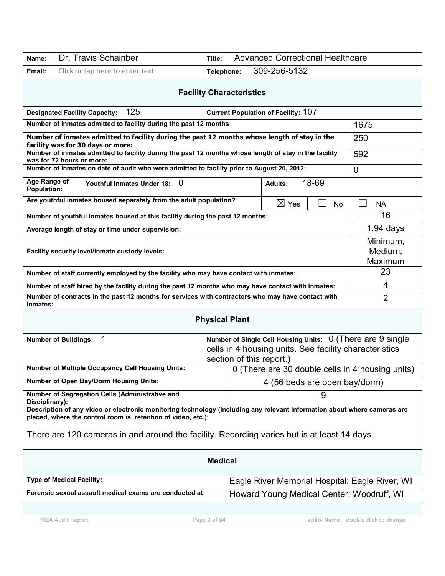| Dr. Travis Schainber<br>Name:                                                                                                                                                                                                                                                            | <b>Advanced Correctional Healthcare</b><br>Title: |                                                |  |  |  |
|------------------------------------------------------------------------------------------------------------------------------------------------------------------------------------------------------------------------------------------------------------------------------------------|---------------------------------------------------|------------------------------------------------|--|--|--|
| Click or tap here to enter text.<br>Email:                                                                                                                                                                                                                                               | 309-256-5132<br>Telephone:                        |                                                |  |  |  |
| <b>Facility Characteristics</b>                                                                                                                                                                                                                                                          |                                                   |                                                |  |  |  |
| 125<br><b>Designated Facility Capacity:</b>                                                                                                                                                                                                                                              | <b>Current Population of Facility: 107</b>        |                                                |  |  |  |
| Number of inmates admitted to facility during the past 12 months                                                                                                                                                                                                                         |                                                   | 1675                                           |  |  |  |
| Number of inmates admitted to facility during the past 12 months whose length of stay in the<br>facility was for 30 days or more:                                                                                                                                                        | 250                                               |                                                |  |  |  |
| Number of inmates admitted to facility during the past 12 months whose length of stay in the facility<br>was for 72 hours or more:                                                                                                                                                       | 592                                               |                                                |  |  |  |
| Number of inmates on date of audit who were admitted to facility prior to August 20, 2012:                                                                                                                                                                                               |                                                   | $\Omega$                                       |  |  |  |
| Age Range of<br>$\mathbf 0$<br>Youthful Inmates Under 18:<br><b>Population:</b>                                                                                                                                                                                                          | 18-69<br><b>Adults:</b>                           |                                                |  |  |  |
| Are youthful inmates housed separately from the adult population?                                                                                                                                                                                                                        | $\boxtimes$ Yes<br>No                             | <b>NA</b>                                      |  |  |  |
| Number of youthful inmates housed at this facility during the past 12 months:                                                                                                                                                                                                            |                                                   | 16                                             |  |  |  |
| Average length of stay or time under supervision:                                                                                                                                                                                                                                        |                                                   | $1.94$ days                                    |  |  |  |
| Facility security level/inmate custody levels:                                                                                                                                                                                                                                           | Minimum,<br>Medium,<br>Maximum                    |                                                |  |  |  |
| Number of staff currently employed by the facility who may have contact with inmates:                                                                                                                                                                                                    |                                                   | 23                                             |  |  |  |
| Number of staff hired by the facility during the past 12 months who may have contact with inmates:                                                                                                                                                                                       |                                                   | 4                                              |  |  |  |
| Number of contracts in the past 12 months for services with contractors who may have contact with<br>inmates:                                                                                                                                                                            |                                                   | $\overline{2}$                                 |  |  |  |
|                                                                                                                                                                                                                                                                                          | <b>Physical Plant</b>                             |                                                |  |  |  |
| 1<br>Number of Single Cell Housing Units: 0 (There are 9 single<br><b>Number of Buildings:</b><br>cells in 4 housing units. See facility characteristics<br>section of this report.)                                                                                                     |                                                   |                                                |  |  |  |
| <b>Number of Multiple Occupancy Cell Housing Units:</b><br>0 (There are 30 double cells in 4 housing units)                                                                                                                                                                              |                                                   |                                                |  |  |  |
| <b>Number of Open Bay/Dorm Housing Units:</b><br>4 (56 beds are open bay/dorm)                                                                                                                                                                                                           |                                                   |                                                |  |  |  |
| Number of Segregation Cells (Administrative and<br>Disciplinary):                                                                                                                                                                                                                        |                                                   |                                                |  |  |  |
| Description of any video or electronic monitoring technology (including any relevant information about where cameras are<br>placed, where the control room is, retention of video, etc.):<br>There are 120 cameras in and around the facility. Recording varies but is at least 14 days. |                                                   |                                                |  |  |  |
| <b>Medical</b>                                                                                                                                                                                                                                                                           |                                                   |                                                |  |  |  |
| <b>Type of Medical Facility:</b>                                                                                                                                                                                                                                                         |                                                   | Eagle River Memorial Hospital; Eagle River, WI |  |  |  |
| Forensic sexual assault medical exams are conducted at:<br>Howard Young Medical Center; Woodruff, WI                                                                                                                                                                                     |                                                   |                                                |  |  |  |
|                                                                                                                                                                                                                                                                                          |                                                   |                                                |  |  |  |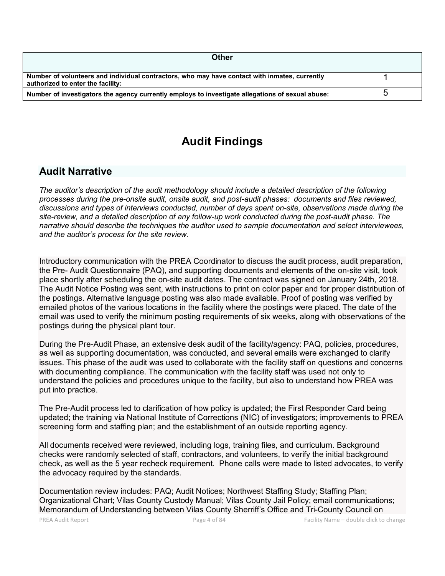| <b>Other</b>                                                                                                                       |  |
|------------------------------------------------------------------------------------------------------------------------------------|--|
| Number of volunteers and individual contractors, who may have contact with inmates, currently<br>authorized to enter the facility: |  |
| Number of investigators the agency currently employs to investigate allegations of sexual abuse:                                   |  |

# **Audit Findings**

## **Audit Narrative**

*The auditor's description of the audit methodology should include a detailed description of the following processes during the pre-onsite audit, onsite audit, and post-audit phases: documents and files reviewed, discussions and types of interviews conducted, number of days spent on-site, observations made during the site-review, and a detailed description of any follow-up work conducted during the post-audit phase. The narrative should describe the techniques the auditor used to sample documentation and select interviewees, and the auditor's process for the site review.*

Introductory communication with the PREA Coordinator to discuss the audit process, audit preparation, the Pre- Audit Questionnaire (PAQ), and supporting documents and elements of the on-site visit, took place shortly after scheduling the on-site audit dates. The contract was signed on January 24th, 2018. The Audit Notice Posting was sent, with instructions to print on color paper and for proper distribution of the postings. Alternative language posting was also made available. Proof of posting was verified by emailed photos of the various locations in the facility where the postings were placed. The date of the email was used to verify the minimum posting requirements of six weeks, along with observations of the postings during the physical plant tour.

During the Pre-Audit Phase, an extensive desk audit of the facility/agency: PAQ, policies, procedures, as well as supporting documentation, was conducted, and several emails were exchanged to clarify issues. This phase of the audit was used to collaborate with the facility staff on questions and concerns with documenting compliance. The communication with the facility staff was used not only to understand the policies and procedures unique to the facility, but also to understand how PREA was put into practice.

The Pre-Audit process led to clarification of how policy is updated; the First Responder Card being updated; the training via National Institute of Corrections (NIC) of investigators; improvements to PREA screening form and staffing plan; and the establishment of an outside reporting agency.

All documents received were reviewed, including logs, training files, and curriculum. Background checks were randomly selected of staff, contractors, and volunteers, to verify the initial background check, as well as the 5 year recheck requirement. Phone calls were made to listed advocates, to verify the advocacy required by the standards.

Documentation review includes: PAQ; Audit Notices; Northwest Staffing Study; Staffing Plan; Organizational Chart; Vilas County Custody Manual; Vilas County Jail Policy; email communications; Memorandum of Understanding between Vilas County Sherriff's Office and Tri-County Council on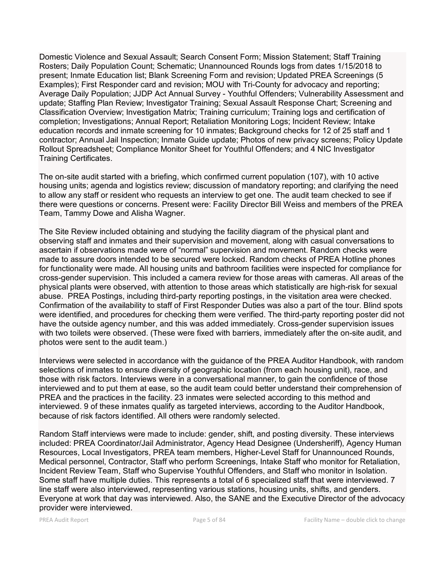Domestic Violence and Sexual Assault; Search Consent Form; Mission Statement; Staff Training Rosters; Daily Population Count; Schematic; Unannounced Rounds logs from dates 1/15/2018 to present; Inmate Education list; Blank Screening Form and revision; Updated PREA Screenings (5 Examples); First Responder card and revision; MOU with Tri-County for advocacy and reporting; Average Daily Population; JJDP Act Annual Survey - Youthful Offenders; Vulnerability Assessment and update; Staffing Plan Review; Investigator Training; Sexual Assault Response Chart; Screening and Classification Overview; Investigation Matrix; Training curriculum; Training logs and certification of completion; Investigations; Annual Report; Retaliation Monitoring Logs; Incident Review; Intake education records and inmate screening for 10 inmates; Background checks for 12 of 25 staff and 1 contractor; Annual Jail Inspection; Inmate Guide update; Photos of new privacy screens; Policy Update Rollout Spreadsheet; Compliance Monitor Sheet for Youthful Offenders; and 4 NIC Investigator Training Certificates.

The on-site audit started with a briefing, which confirmed current population (107), with 10 active housing units; agenda and logistics review; discussion of mandatory reporting; and clarifying the need to allow any staff or resident who requests an interview to get one. The audit team checked to see if there were questions or concerns. Present were: Facility Director Bill Weiss and members of the PREA Team, Tammy Dowe and Alisha Wagner.

The Site Review included obtaining and studying the facility diagram of the physical plant and observing staff and inmates and their supervision and movement, along with casual conversations to ascertain if observations made were of "normal" supervision and movement. Random checks were made to assure doors intended to be secured were locked. Random checks of PREA Hotline phones for functionality were made. All housing units and bathroom facilities were inspected for compliance for cross-gender supervision. This included a camera review for those areas with cameras. All areas of the physical plants were observed, with attention to those areas which statistically are high-risk for sexual abuse. PREA Postings, including third-party reporting postings, in the visitation area were checked. Confirmation of the availability to staff of First Responder Duties was also a part of the tour. Blind spots were identified, and procedures for checking them were verified. The third-party reporting poster did not have the outside agency number, and this was added immediately. Cross-gender supervision issues with two toilets were observed. (These were fixed with barriers, immediately after the on-site audit, and photos were sent to the audit team.)

Interviews were selected in accordance with the guidance of the PREA Auditor Handbook, with random selections of inmates to ensure diversity of geographic location (from each housing unit), race, and those with risk factors. Interviews were in a conversational manner, to gain the confidence of those interviewed and to put them at ease, so the audit team could better understand their comprehension of PREA and the practices in the facility. 23 inmates were selected according to this method and interviewed. 9 of these inmates qualify as targeted interviews, according to the Auditor Handbook, because of risk factors identified. All others were randomly selected.

Random Staff interviews were made to include: gender, shift, and posting diversity. These interviews included: PREA Coordinator/Jail Administrator, Agency Head Designee (Undersheriff), Agency Human Resources, Local Investigators, PREA team members, Higher-Level Staff for Unannounced Rounds, Medical personnel, Contractor, Staff who perform Screenings, Intake Staff who monitor for Retaliation, Incident Review Team, Staff who Supervise Youthful Offenders, and Staff who monitor in Isolation. Some staff have multiple duties. This represents a total of 6 specialized staff that were interviewed. 7 line staff were also interviewed, representing various stations, housing units, shifts, and genders. Everyone at work that day was interviewed. Also, the SANE and the Executive Director of the advocacy provider were interviewed.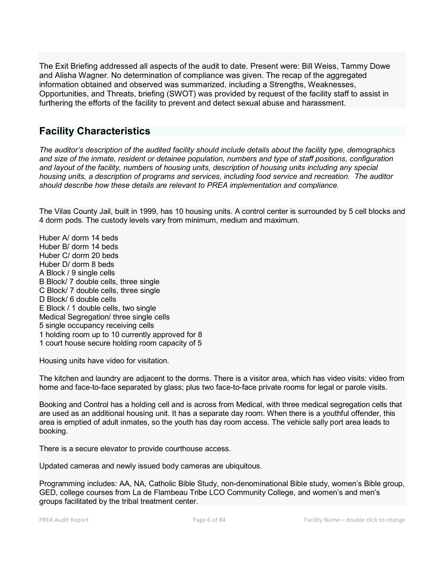The Exit Briefing addressed all aspects of the audit to date. Present were: Bill Weiss, Tammy Dowe and Alisha Wagner. No determination of compliance was given. The recap of the aggregated information obtained and observed was summarized, including a Strengths, Weaknesses, Opportunities, and Threats, briefing (SWOT) was provided by request of the facility staff to assist in furthering the efforts of the facility to prevent and detect sexual abuse and harassment.

## **Facility Characteristics**

*The auditor's description of the audited facility should include details about the facility type, demographics and size of the inmate, resident or detainee population, numbers and type of staff positions, configuration and layout of the facility, numbers of housing units, description of housing units including any special housing units, a description of programs and services, including food service and recreation. The auditor should describe how these details are relevant to PREA implementation and compliance.*

The Vilas County Jail, built in 1999, has 10 housing units. A control center is surrounded by 5 cell blocks and 4 dorm pods. The custody levels vary from minimum, medium and maximum.

Huber A/ dorm 14 beds Huber B/ dorm 14 beds Huber C/ dorm 20 beds Huber D/ dorm 8 beds A Block / 9 single cells B Block/ 7 double cells, three single C Block/ 7 double cells, three single D Block/ 6 double cells E Block / 1 double cells, two single Medical Segregation/ three single cells 5 single occupancy receiving cells 1 holding room up to 10 currently approved for 8 1 court house secure holding room capacity of 5

Housing units have video for visitation.

The kitchen and laundry are adjacent to the dorms. There is a visitor area, which has video visits: video from home and face-to-face separated by glass; plus two face-to-face private rooms for legal or parole visits.

Booking and Control has a holding cell and is across from Medical, with three medical segregation cells that are used as an additional housing unit. It has a separate day room. When there is a youthful offender, this area is emptied of adult inmates, so the youth has day room access. The vehicle sally port area leads to booking.

There is a secure elevator to provide courthouse access.

Updated cameras and newly issued body cameras are ubiquitous.

Programming includes: AA, NA, Catholic Bible Study, non-denominational Bible study, women's Bible group, GED, college courses from La de Flambeau Tribe LCO Community College, and women's and men's groups facilitated by the tribal treatment center.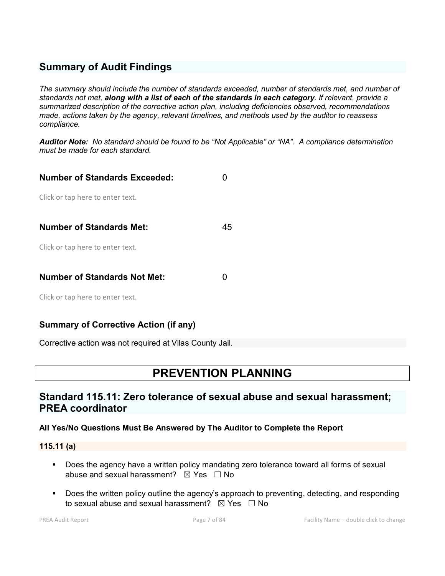## **Summary of Audit Findings**

*The summary should include the number of standards exceeded, number of standards met, and number of standards not met, along with a list of each of the standards in each category. If relevant, provide a summarized description of the corrective action plan, including deficiencies observed, recommendations made, actions taken by the agency, relevant timelines, and methods used by the auditor to reassess compliance.*

*Auditor Note: No standard should be found to be "Not Applicable" or "NA". A compliance determination must be made for each standard.*

| <b>Number of Standards Exceeded:</b> |    |
|--------------------------------------|----|
| Click or tap here to enter text.     |    |
| <b>Number of Standards Met:</b>      | 45 |
| Click or tap here to enter text.     |    |
|                                      |    |
| <b>Number of Standards Not Met:</b>  |    |
| Click or tap here to enter text.     |    |

## **Summary of Corrective Action (if any)**

Corrective action was not required at Vilas County Jail.

# **PREVENTION PLANNING**

## **Standard 115.11: Zero tolerance of sexual abuse and sexual harassment; PREA coordinator**

#### **All Yes/No Questions Must Be Answered by The Auditor to Complete the Report**

**115.11 (a)**

- Does the agency have a written policy mandating zero tolerance toward all forms of sexual abuse and sexual harassment?  $\boxtimes$  Yes  $\Box$  No
- **Does the written policy outline the agency's approach to preventing, detecting, and responding** to sexual abuse and sexual harassment?  $\boxtimes$  Yes  $\Box$  No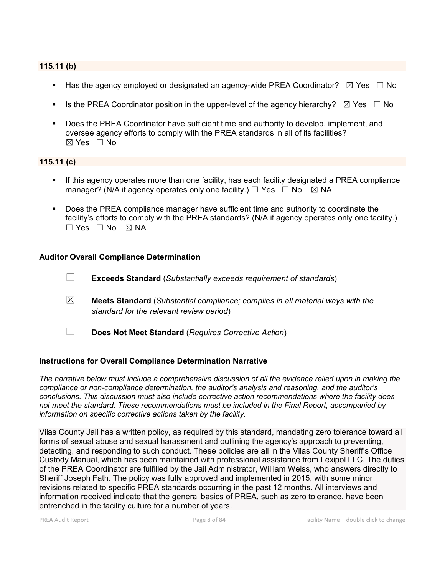### **115.11 (b)**

- Has the agency employed or designated an agency-wide PREA Coordinator?  $\boxtimes$  Yes  $\Box$  No
- Is the PREA Coordinator position in the upper-level of the agency hierarchy?  $\boxtimes$  Yes  $\Box$  No
- Does the PREA Coordinator have sufficient time and authority to develop, implement, and oversee agency efforts to comply with the PREA standards in all of its facilities?  $\boxtimes$  Yes  $\Box$  No

#### **115.11 (c)**

- If this agency operates more than one facility, has each facility designated a PREA compliance manager? (N/A if agency operates only one facility.)  $\Box$  Yes  $\Box$  No  $\boxtimes$  NA
- Does the PREA compliance manager have sufficient time and authority to coordinate the facility's efforts to comply with the PREA standards? (N/A if agency operates only one facility.)  $\Box$  Yes  $\Box$  No  $\boxtimes$  NA

#### **Auditor Overall Compliance Determination**

- ☐ **Exceeds Standard** (*Substantially exceeds requirement of standards*)
- ☒ **Meets Standard** (*Substantial compliance; complies in all material ways with the standard for the relevant review period*)
- ☐ **Does Not Meet Standard** (*Requires Corrective Action*)

#### **Instructions for Overall Compliance Determination Narrative**

*The narrative below must include a comprehensive discussion of all the evidence relied upon in making the compliance or non-compliance determination, the auditor's analysis and reasoning, and the auditor's conclusions. This discussion must also include corrective action recommendations where the facility does not meet the standard. These recommendations must be included in the Final Report, accompanied by information on specific corrective actions taken by the facility.*

Vilas County Jail has a written policy, as required by this standard, mandating zero tolerance toward all forms of sexual abuse and sexual harassment and outlining the agency's approach to preventing, detecting, and responding to such conduct. These policies are all in the Vilas County Sheriff's Office Custody Manual, which has been maintained with professional assistance from Lexipol LLC. The duties of the PREA Coordinator are fulfilled by the Jail Administrator, William Weiss, who answers directly to Sheriff Joseph Fath. The policy was fully approved and implemented in 2015, with some minor revisions related to specific PREA standards occurring in the past 12 months. All interviews and information received indicate that the general basics of PREA, such as zero tolerance, have been entrenched in the facility culture for a number of years.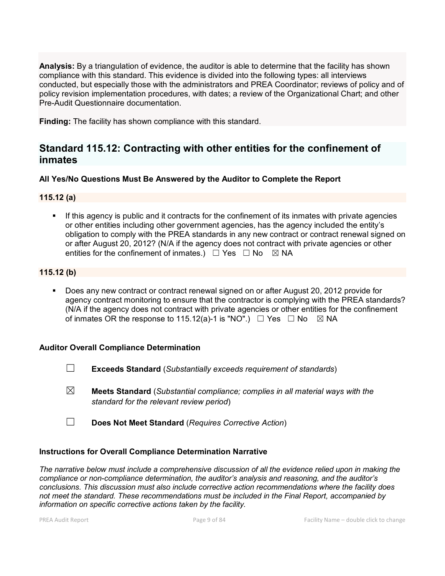**Analysis:** By a triangulation of evidence, the auditor is able to determine that the facility has shown compliance with this standard. This evidence is divided into the following types: all interviews conducted, but especially those with the administrators and PREA Coordinator; reviews of policy and of policy revision implementation procedures, with dates; a review of the Organizational Chart; and other Pre-Audit Questionnaire documentation.

**Finding:** The facility has shown compliance with this standard.

## **Standard 115.12: Contracting with other entities for the confinement of inmates**

### **All Yes/No Questions Must Be Answered by the Auditor to Complete the Report**

### **115.12 (a)**

 If this agency is public and it contracts for the confinement of its inmates with private agencies or other entities including other government agencies, has the agency included the entity's obligation to comply with the PREA standards in any new contract or contract renewal signed on or after August 20, 2012? (N/A if the agency does not contract with private agencies or other entities for the confinement of inmates.)  $\Box$  Yes  $\Box$  No  $\boxtimes$  NA

#### **115.12 (b)**

 Does any new contract or contract renewal signed on or after August 20, 2012 provide for agency contract monitoring to ensure that the contractor is complying with the PREA standards? (N/A if the agency does not contract with private agencies or other entities for the confinement of inmates OR the response to 115.12(a)-1 is "NO".)  $\Box$  Yes  $\Box$  No  $\boxtimes$  NA

#### **Auditor Overall Compliance Determination**

- ☐ **Exceeds Standard** (*Substantially exceeds requirement of standards*)
- ☒ **Meets Standard** (*Substantial compliance; complies in all material ways with the standard for the relevant review period*)
- ☐ **Does Not Meet Standard** (*Requires Corrective Action*)

#### **Instructions for Overall Compliance Determination Narrative**

*The narrative below must include a comprehensive discussion of all the evidence relied upon in making the compliance or non-compliance determination, the auditor's analysis and reasoning, and the auditor's conclusions. This discussion must also include corrective action recommendations where the facility does not meet the standard. These recommendations must be included in the Final Report, accompanied by information on specific corrective actions taken by the facility.*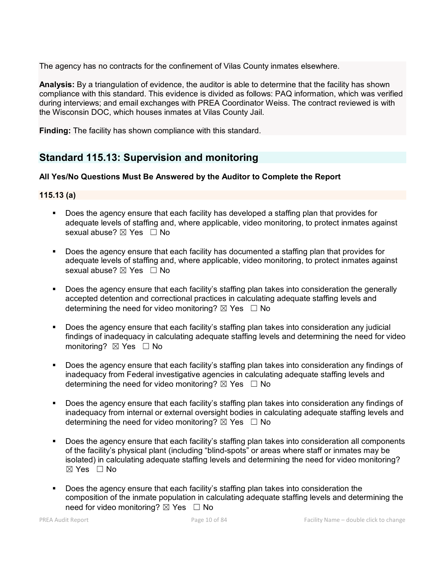The agency has no contracts for the confinement of Vilas County inmates elsewhere.

**Analysis:** By a triangulation of evidence, the auditor is able to determine that the facility has shown compliance with this standard. This evidence is divided as follows: PAQ information, which was verified during interviews; and email exchanges with PREA Coordinator Weiss. The contract reviewed is with the Wisconsin DOC, which houses inmates at Vilas County Jail.

**Finding:** The facility has shown compliance with this standard.

## **Standard 115.13: Supervision and monitoring**

#### **All Yes/No Questions Must Be Answered by the Auditor to Complete the Report**

#### **115.13 (a)**

- Does the agency ensure that each facility has developed a staffing plan that provides for adequate levels of staffing and, where applicable, video monitoring, to protect inmates against sexual abuse? ⊠ Yes □ No
- Does the agency ensure that each facility has documented a staffing plan that provides for adequate levels of staffing and, where applicable, video monitoring, to protect inmates against sexual abuse?  $\boxtimes$  Yes  $\Box$  No
- Does the agency ensure that each facility's staffing plan takes into consideration the generally accepted detention and correctional practices in calculating adequate staffing levels and determining the need for video monitoring?  $\boxtimes$  Yes  $\Box$  No
- Does the agency ensure that each facility's staffing plan takes into consideration any judicial findings of inadequacy in calculating adequate staffing levels and determining the need for video monitoring?  $\boxtimes$  Yes  $\Box$  No
- Does the agency ensure that each facility's staffing plan takes into consideration any findings of inadequacy from Federal investigative agencies in calculating adequate staffing levels and determining the need for video monitoring?  $\boxtimes$  Yes  $\Box$  No
- Does the agency ensure that each facility's staffing plan takes into consideration any findings of inadequacy from internal or external oversight bodies in calculating adequate staffing levels and determining the need for video monitoring?  $\boxtimes$  Yes  $\Box$  No
- Does the agency ensure that each facility's staffing plan takes into consideration all components of the facility's physical plant (including "blind-spots" or areas where staff or inmates may be isolated) in calculating adequate staffing levels and determining the need for video monitoring?  $\boxtimes$  Yes  $\Box$  No
- Does the agency ensure that each facility's staffing plan takes into consideration the composition of the inmate population in calculating adequate staffing levels and determining the need for video monitoring? ⊠ Yes □ No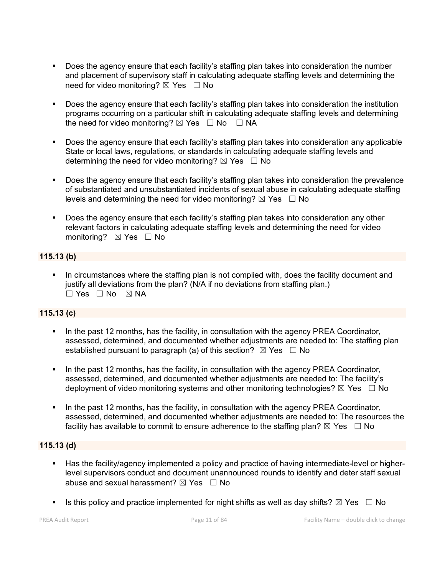- Does the agency ensure that each facility's staffing plan takes into consideration the number and placement of supervisory staff in calculating adequate staffing levels and determining the need for video monitoring? ⊠ Yes □ No
- Does the agency ensure that each facility's staffing plan takes into consideration the institution programs occurring on a particular shift in calculating adequate staffing levels and determining the need for video monitoring?  $\boxtimes$  Yes  $\Box$  No  $\Box$  NA
- Does the agency ensure that each facility's staffing plan takes into consideration any applicable State or local laws, regulations, or standards in calculating adequate staffing levels and determining the need for video monitoring?  $\boxtimes$  Yes  $\Box$  No
- **Does the agency ensure that each facility's staffing plan takes into consideration the prevalence** of substantiated and unsubstantiated incidents of sexual abuse in calculating adequate staffing levels and determining the need for video monitoring?  $\boxtimes$  Yes  $\Box$  No
- Does the agency ensure that each facility's staffing plan takes into consideration any other relevant factors in calculating adequate staffing levels and determining the need for video monitoring? ⊠ Yes □ No

### **115.13 (b)**

 In circumstances where the staffing plan is not complied with, does the facility document and justify all deviations from the plan? (N/A if no deviations from staffing plan.)  $\Box$  Yes  $\Box$  No  $\boxtimes$  NA

## **115.13 (c)**

- In the past 12 months, has the facility, in consultation with the agency PREA Coordinator, assessed, determined, and documented whether adjustments are needed to: The staffing plan established pursuant to paragraph (a) of this section?  $\boxtimes$  Yes  $\Box$  No
- In the past 12 months, has the facility, in consultation with the agency PREA Coordinator, assessed, determined, and documented whether adjustments are needed to: The facility's deployment of video monitoring systems and other monitoring technologies?  $\boxtimes$  Yes  $\Box$  No
- In the past 12 months, has the facility, in consultation with the agency PREA Coordinator, assessed, determined, and documented whether adjustments are needed to: The resources the facility has available to commit to ensure adherence to the staffing plan?  $\boxtimes$  Yes  $\Box$  No

#### **115.13 (d)**

- Has the facility/agency implemented a policy and practice of having intermediate-level or higherlevel supervisors conduct and document unannounced rounds to identify and deter staff sexual abuse and sexual harassment?  $\boxtimes$  Yes  $\Box$  No
- Is this policy and practice implemented for night shifts as well as day shifts?  $\boxtimes$  Yes  $\Box$  No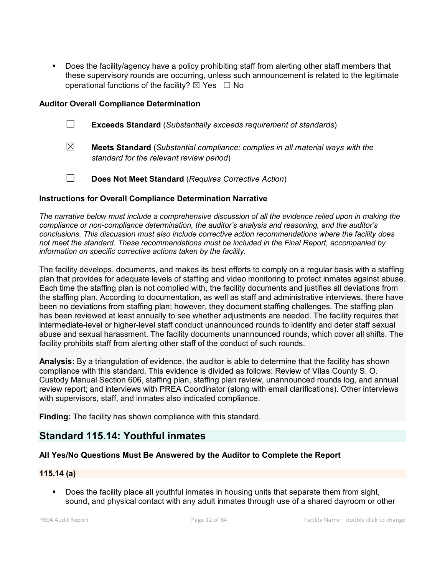Does the facility/agency have a policy prohibiting staff from alerting other staff members that these supervisory rounds are occurring, unless such announcement is related to the legitimate operational functions of the facility?  $\boxtimes$  Yes  $\Box$  No

#### **Auditor Overall Compliance Determination**

- ☐ **Exceeds Standard** (*Substantially exceeds requirement of standards*)
- ☒ **Meets Standard** (*Substantial compliance; complies in all material ways with the standard for the relevant review period*)
- ☐ **Does Not Meet Standard** (*Requires Corrective Action*)

#### **Instructions for Overall Compliance Determination Narrative**

*The narrative below must include a comprehensive discussion of all the evidence relied upon in making the compliance or non-compliance determination, the auditor's analysis and reasoning, and the auditor's conclusions. This discussion must also include corrective action recommendations where the facility does not meet the standard. These recommendations must be included in the Final Report, accompanied by information on specific corrective actions taken by the facility.*

The facility develops, documents, and makes its best efforts to comply on a regular basis with a staffing plan that provides for adequate levels of staffing and video monitoring to protect inmates against abuse. Each time the staffing plan is not complied with, the facility documents and justifies all deviations from the staffing plan. According to documentation, as well as staff and administrative interviews, there have been no deviations from staffing plan; however, they document staffing challenges. The staffing plan has been reviewed at least annually to see whether adjustments are needed. The facility requires that intermediate-level or higher-level staff conduct unannounced rounds to identify and deter staff sexual abuse and sexual harassment. The facility documents unannounced rounds, which cover all shifts. The facility prohibits staff from alerting other staff of the conduct of such rounds.

**Analysis:** By a triangulation of evidence, the auditor is able to determine that the facility has shown compliance with this standard. This evidence is divided as follows: Review of Vilas County S. O. Custody Manual Section 606, staffing plan, staffing plan review, unannounced rounds log, and annual review report; and interviews with PREA Coordinator (along with email clarifications). Other interviews with supervisors, staff, and inmates also indicated compliance.

**Finding:** The facility has shown compliance with this standard.

## **Standard 115.14: Youthful inmates**

## **All Yes/No Questions Must Be Answered by the Auditor to Complete the Report**

## **115.14 (a)**

 Does the facility place all youthful inmates in housing units that separate them from sight, sound, and physical contact with any adult inmates through use of a shared dayroom or other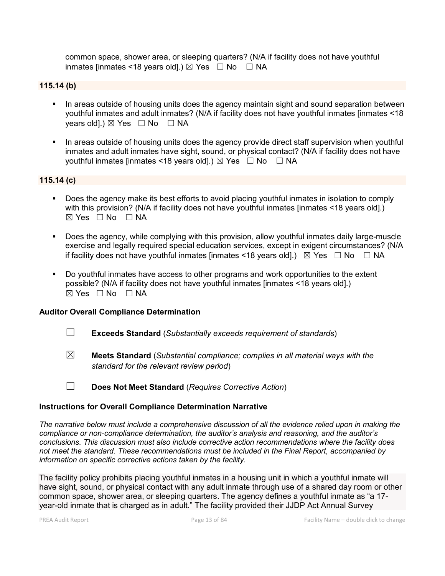common space, shower area, or sleeping quarters? (N/A if facility does not have youthful inmates [inmates <18 years old].)  $\boxtimes$  Yes  $\Box$  No  $\Box$  NA

#### **115.14 (b)**

- In areas outside of housing units does the agency maintain sight and sound separation between youthful inmates and adult inmates? (N/A if facility does not have youthful inmates [inmates <18 years old].)  $\boxtimes$  Yes  $\Box$  No  $\Box$  NA
- **IFT In areas outside of housing units does the agency provide direct staff supervision when youthful** inmates and adult inmates have sight, sound, or physical contact? (N/A if facility does not have youthful inmates [inmates <18 years old].)  $\boxtimes$  Yes  $\Box$  No  $\Box$  NA

#### **115.14 (c)**

- Does the agency make its best efforts to avoid placing youthful inmates in isolation to comply with this provision? (N/A if facility does not have youthful inmates [inmates <18 years old].)  $\boxtimes$  Yes  $\Box$  No  $\Box$  NA
- Does the agency, while complying with this provision, allow youthful inmates daily large-muscle exercise and legally required special education services, except in exigent circumstances? (N/A if facility does not have youthful inmates [inmates <18 years old].)  $\boxtimes$  Yes  $\Box$  No  $\Box$  NA
- Do youthful inmates have access to other programs and work opportunities to the extent possible? (N/A if facility does not have youthful inmates [inmates <18 years old].)  $\boxtimes$  Yes  $\Box$  No  $\Box$  NA

#### **Auditor Overall Compliance Determination**

- ☐ **Exceeds Standard** (*Substantially exceeds requirement of standards*)
- ☒ **Meets Standard** (*Substantial compliance; complies in all material ways with the standard for the relevant review period*)
- ☐ **Does Not Meet Standard** (*Requires Corrective Action*)

#### **Instructions for Overall Compliance Determination Narrative**

*The narrative below must include a comprehensive discussion of all the evidence relied upon in making the compliance or non-compliance determination, the auditor's analysis and reasoning, and the auditor's conclusions. This discussion must also include corrective action recommendations where the facility does not meet the standard. These recommendations must be included in the Final Report, accompanied by information on specific corrective actions taken by the facility.*

The facility policy prohibits placing youthful inmates in a housing unit in which a youthful inmate will have sight, sound, or physical contact with any adult inmate through use of a shared day room or other common space, shower area, or sleeping quarters. The agency defines a youthful inmate as "a 17 year-old inmate that is charged as in adult." The facility provided their JJDP Act Annual Survey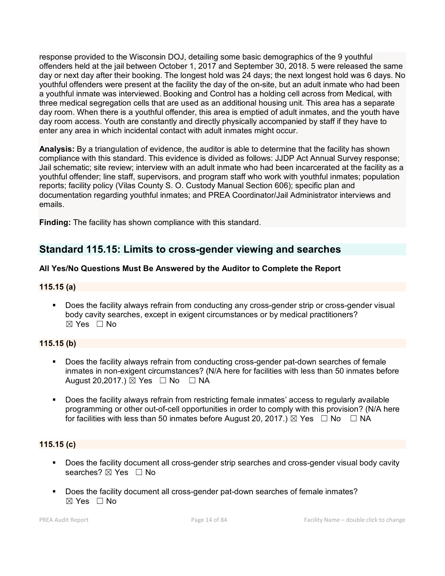response provided to the Wisconsin DOJ, detailing some basic demographics of the 9 youthful offenders held at the jail between October 1, 2017 and September 30, 2018. 5 were released the same day or next day after their booking. The longest hold was 24 days; the next longest hold was 6 days. No youthful offenders were present at the facility the day of the on-site, but an adult inmate who had been a youthful inmate was interviewed. Booking and Control has a holding cell across from Medical, with three medical segregation cells that are used as an additional housing unit. This area has a separate day room. When there is a youthful offender, this area is emptied of adult inmates, and the youth have day room access. Youth are constantly and directly physically accompanied by staff if they have to enter any area in which incidental contact with adult inmates might occur.

**Analysis:** By a triangulation of evidence, the auditor is able to determine that the facility has shown compliance with this standard. This evidence is divided as follows: JJDP Act Annual Survey response; Jail schematic; site review; interview with an adult inmate who had been incarcerated at the facility as a youthful offender; line staff, supervisors, and program staff who work with youthful inmates; population reports; facility policy (Vilas County S. O. Custody Manual Section 606); specific plan and documentation regarding youthful inmates; and PREA Coordinator/Jail Administrator interviews and emails.

**Finding:** The facility has shown compliance with this standard.

## **Standard 115.15: Limits to cross-gender viewing and searches**

### **All Yes/No Questions Must Be Answered by the Auditor to Complete the Report**

### **115.15 (a)**

 Does the facility always refrain from conducting any cross-gender strip or cross-gender visual body cavity searches, except in exigent circumstances or by medical practitioners? ☒ Yes ☐ No

#### **115.15 (b)**

- Does the facility always refrain from conducting cross-gender pat-down searches of female inmates in non-exigent circumstances? (N/A here for facilities with less than 50 inmates before August 20,2017.)  $\boxtimes$  Yes  $\Box$  No  $\Box$  NA
- Does the facility always refrain from restricting female inmates' access to regularly available programming or other out-of-cell opportunities in order to comply with this provision? (N/A here for facilities with less than 50 inmates before August 20, 2017.)  $\boxtimes$  Yes  $\Box$  No  $\Box$  NA

## **115.15 (c)**

- Does the facility document all cross-gender strip searches and cross-gender visual body cavity searches?  $\boxtimes$  Yes  $\Box$  No
- Does the facility document all cross-gender pat-down searches of female inmates?  $\boxtimes$  Yes  $\Box$  No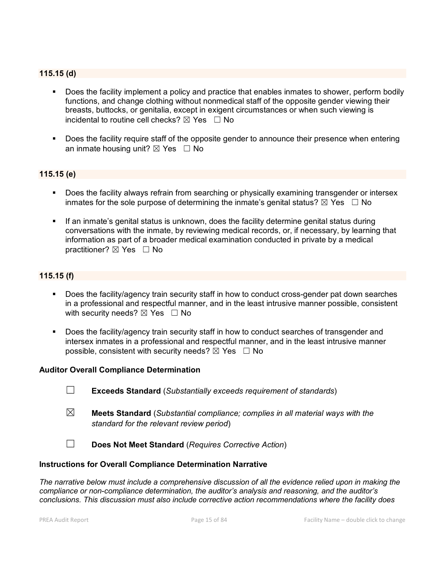#### **115.15 (d)**

- Does the facility implement a policy and practice that enables inmates to shower, perform bodily functions, and change clothing without nonmedical staff of the opposite gender viewing their breasts, buttocks, or genitalia, except in exigent circumstances or when such viewing is incidental to routine cell checks?  $\boxtimes$  Yes  $\Box$  No
- Does the facility require staff of the opposite gender to announce their presence when entering an inmate housing unit?  $\boxtimes$  Yes  $\Box$  No

#### **115.15 (e)**

- Does the facility always refrain from searching or physically examining transgender or intersex inmates for the sole purpose of determining the inmate's genital status?  $\boxtimes$  Yes  $\Box$  No
- If an inmate's genital status is unknown, does the facility determine genital status during conversations with the inmate, by reviewing medical records, or, if necessary, by learning that information as part of a broader medical examination conducted in private by a medical practitioner?  $\boxtimes$  Yes  $\Box$  No

#### **115.15 (f)**

- Does the facility/agency train security staff in how to conduct cross-gender pat down searches in a professional and respectful manner, and in the least intrusive manner possible, consistent with security needs?  $\boxtimes$  Yes  $\Box$  No
- Does the facility/agency train security staff in how to conduct searches of transgender and intersex inmates in a professional and respectful manner, and in the least intrusive manner possible, consistent with security needs?  $\boxtimes$  Yes  $\Box$  No

#### **Auditor Overall Compliance Determination**

- ☐ **Exceeds Standard** (*Substantially exceeds requirement of standards*)
- ☒ **Meets Standard** (*Substantial compliance; complies in all material ways with the standard for the relevant review period*)
- ☐ **Does Not Meet Standard** (*Requires Corrective Action*)

#### **Instructions for Overall Compliance Determination Narrative**

*The narrative below must include a comprehensive discussion of all the evidence relied upon in making the compliance or non-compliance determination, the auditor's analysis and reasoning, and the auditor's conclusions. This discussion must also include corrective action recommendations where the facility does*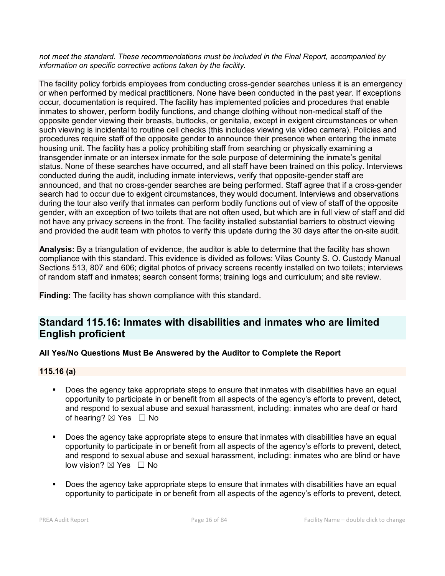*not meet the standard. These recommendations must be included in the Final Report, accompanied by information on specific corrective actions taken by the facility.*

The facility policy forbids employees from conducting cross-gender searches unless it is an emergency or when performed by medical practitioners. None have been conducted in the past year. If exceptions occur, documentation is required. The facility has implemented policies and procedures that enable inmates to shower, perform bodily functions, and change clothing without non-medical staff of the opposite gender viewing their breasts, buttocks, or genitalia, except in exigent circumstances or when such viewing is incidental to routine cell checks (this includes viewing via video camera). Policies and procedures require staff of the opposite gender to announce their presence when entering the inmate housing unit. The facility has a policy prohibiting staff from searching or physically examining a transgender inmate or an intersex inmate for the sole purpose of determining the inmate's genital status. None of these searches have occurred, and all staff have been trained on this policy. Interviews conducted during the audit, including inmate interviews, verify that opposite-gender staff are announced, and that no cross-gender searches are being performed. Staff agree that if a cross-gender search had to occur due to exigent circumstances, they would document. Interviews and observations during the tour also verify that inmates can perform bodily functions out of view of staff of the opposite gender, with an exception of two toilets that are not often used, but which are in full view of staff and did not have any privacy screens in the front. The facility installed substantial barriers to obstruct viewing and provided the audit team with photos to verify this update during the 30 days after the on-site audit.

**Analysis:** By a triangulation of evidence, the auditor is able to determine that the facility has shown compliance with this standard. This evidence is divided as follows: Vilas County S. O. Custody Manual Sections 513, 807 and 606; digital photos of privacy screens recently installed on two toilets; interviews of random staff and inmates; search consent forms; training logs and curriculum; and site review.

**Finding:** The facility has shown compliance with this standard.

## **Standard 115.16: Inmates with disabilities and inmates who are limited English proficient**

## **All Yes/No Questions Must Be Answered by the Auditor to Complete the Report**

#### **115.16 (a)**

- Does the agency take appropriate steps to ensure that inmates with disabilities have an equal opportunity to participate in or benefit from all aspects of the agency's efforts to prevent, detect, and respond to sexual abuse and sexual harassment, including: inmates who are deaf or hard of hearing?  $\boxtimes$  Yes  $\Box$  No
- Does the agency take appropriate steps to ensure that inmates with disabilities have an equal opportunity to participate in or benefit from all aspects of the agency's efforts to prevent, detect, and respond to sexual abuse and sexual harassment, including: inmates who are blind or have low vision? ⊠ Yes □ No
- Does the agency take appropriate steps to ensure that inmates with disabilities have an equal opportunity to participate in or benefit from all aspects of the agency's efforts to prevent, detect,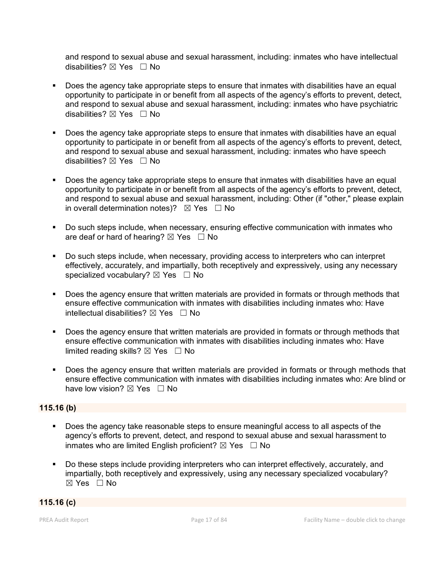and respond to sexual abuse and sexual harassment, including: inmates who have intellectual disabilities?  $\boxtimes$  Yes  $\Box$  No

- Does the agency take appropriate steps to ensure that inmates with disabilities have an equal opportunity to participate in or benefit from all aspects of the agency's efforts to prevent, detect, and respond to sexual abuse and sexual harassment, including: inmates who have psychiatric disabilities?  $\boxtimes$  Yes  $\Box$  No
- Does the agency take appropriate steps to ensure that inmates with disabilities have an equal opportunity to participate in or benefit from all aspects of the agency's efforts to prevent, detect, and respond to sexual abuse and sexual harassment, including: inmates who have speech disabilities?  $\boxtimes$  Yes  $\Box$  No
- Does the agency take appropriate steps to ensure that inmates with disabilities have an equal opportunity to participate in or benefit from all aspects of the agency's efforts to prevent, detect, and respond to sexual abuse and sexual harassment, including: Other (if "other," please explain in overall determination notes)?  $\boxtimes$  Yes  $\Box$  No
- Do such steps include, when necessary, ensuring effective communication with inmates who are deaf or hard of hearing?  $\boxtimes$  Yes  $\Box$  No
- Do such steps include, when necessary, providing access to interpreters who can interpret effectively, accurately, and impartially, both receptively and expressively, using any necessary specialized vocabulary?  $\boxtimes$  Yes  $\Box$  No
- Does the agency ensure that written materials are provided in formats or through methods that ensure effective communication with inmates with disabilities including inmates who: Have intellectual disabilities?  $\boxtimes$  Yes  $\Box$  No
- Does the agency ensure that written materials are provided in formats or through methods that ensure effective communication with inmates with disabilities including inmates who: Have limited reading skills?  $\boxtimes$  Yes  $\Box$  No
- Does the agency ensure that written materials are provided in formats or through methods that ensure effective communication with inmates with disabilities including inmates who: Are blind or have low vision?  $\boxtimes$  Yes  $\Box$  No

## **115.16 (b)**

- Does the agency take reasonable steps to ensure meaningful access to all aspects of the agency's efforts to prevent, detect, and respond to sexual abuse and sexual harassment to inmates who are limited English proficient?  $\boxtimes$  Yes  $\Box$  No
- Do these steps include providing interpreters who can interpret effectively, accurately, and impartially, both receptively and expressively, using any necessary specialized vocabulary? ☒ Yes ☐ No

#### **115.16 (c)**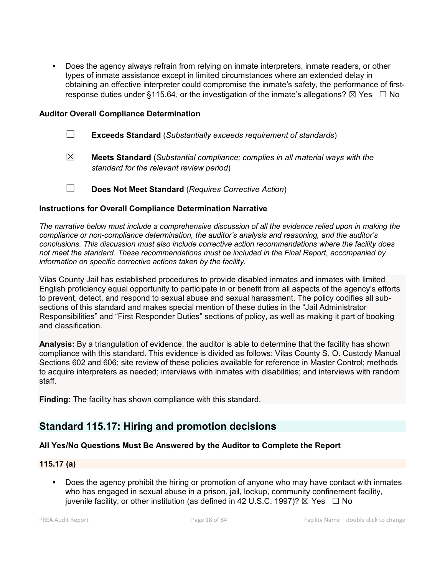Does the agency always refrain from relying on inmate interpreters, inmate readers, or other types of inmate assistance except in limited circumstances where an extended delay in obtaining an effective interpreter could compromise the inmate's safety, the performance of firstresponse duties under §115.64, or the investigation of the inmate's allegations?  $\boxtimes$  Yes  $\Box$  No

#### **Auditor Overall Compliance Determination**

- ☐ **Exceeds Standard** (*Substantially exceeds requirement of standards*)
- ☒ **Meets Standard** (*Substantial compliance; complies in all material ways with the standard for the relevant review period*)
- ☐ **Does Not Meet Standard** (*Requires Corrective Action*)

#### **Instructions for Overall Compliance Determination Narrative**

*The narrative below must include a comprehensive discussion of all the evidence relied upon in making the compliance or non-compliance determination, the auditor's analysis and reasoning, and the auditor's conclusions. This discussion must also include corrective action recommendations where the facility does not meet the standard. These recommendations must be included in the Final Report, accompanied by information on specific corrective actions taken by the facility.*

Vilas County Jail has established procedures to provide disabled inmates and inmates with limited English proficiency equal opportunity to participate in or benefit from all aspects of the agency's efforts to prevent, detect, and respond to sexual abuse and sexual harassment. The policy codifies all subsections of this standard and makes special mention of these duties in the "Jail Administrator Responsibilities" and "First Responder Duties" sections of policy, as well as making it part of booking and classification.

**Analysis:** By a triangulation of evidence, the auditor is able to determine that the facility has shown compliance with this standard. This evidence is divided as follows: Vilas County S. O. Custody Manual Sections 602 and 606; site review of these policies available for reference in Master Control; methods to acquire interpreters as needed; interviews with inmates with disabilities; and interviews with random staff.

**Finding:** The facility has shown compliance with this standard.

## **Standard 115.17: Hiring and promotion decisions**

#### **All Yes/No Questions Must Be Answered by the Auditor to Complete the Report**

#### **115.17 (a)**

 Does the agency prohibit the hiring or promotion of anyone who may have contact with inmates who has engaged in sexual abuse in a prison, jail, lockup, community confinement facility, juvenile facility, or other institution (as defined in 42 U.S.C. 1997)?  $\boxtimes$  Yes  $\Box$  No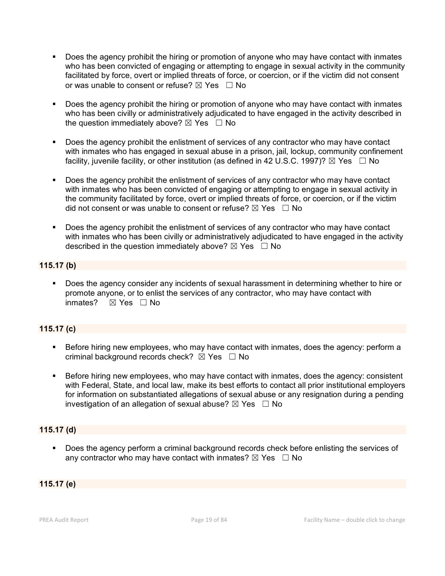- Does the agency prohibit the hiring or promotion of anyone who may have contact with inmates who has been convicted of engaging or attempting to engage in sexual activity in the community facilitated by force, overt or implied threats of force, or coercion, or if the victim did not consent or was unable to consent or refuse?  $\boxtimes$  Yes  $\Box$  No
- **Does the agency prohibit the hiring or promotion of anyone who may have contact with inmates** who has been civilly or administratively adjudicated to have engaged in the activity described in the question immediately above?  $\boxtimes$  Yes  $\Box$  No
- Does the agency prohibit the enlistment of services of any contractor who may have contact with inmates who has engaged in sexual abuse in a prison, jail, lockup, community confinement facility, juvenile facility, or other institution (as defined in 42 U.S.C. 1997)?  $\boxtimes$  Yes  $\Box$  No
- Does the agency prohibit the enlistment of services of any contractor who may have contact with inmates who has been convicted of engaging or attempting to engage in sexual activity in the community facilitated by force, overt or implied threats of force, or coercion, or if the victim did not consent or was unable to consent or refuse?  $\boxtimes$  Yes  $\Box$  No
- Does the agency prohibit the enlistment of services of any contractor who may have contact with inmates who has been civilly or administratively adjudicated to have engaged in the activity described in the question immediately above?  $\boxtimes$  Yes  $\Box$  No

### **115.17 (b)**

 Does the agency consider any incidents of sexual harassment in determining whether to hire or promote anyone, or to enlist the services of any contractor, who may have contact with inmates? ☒ Yes ☐ No

## **115.17 (c)**

- **Before hiring new employees, who may have contact with inmates, does the agency: perform a** criminal background records check?  $\boxtimes$  Yes  $\Box$  No
- Before hiring new employees, who may have contact with inmates, does the agency: consistent with Federal, State, and local law, make its best efforts to contact all prior institutional employers for information on substantiated allegations of sexual abuse or any resignation during a pending investigation of an allegation of sexual abuse?  $\boxtimes$  Yes  $\Box$  No

#### **115.17 (d)**

Does the agency perform a criminal background records check before enlisting the services of any contractor who may have contact with inmates?  $\boxtimes$  Yes  $\Box$  No

#### **115.17 (e)**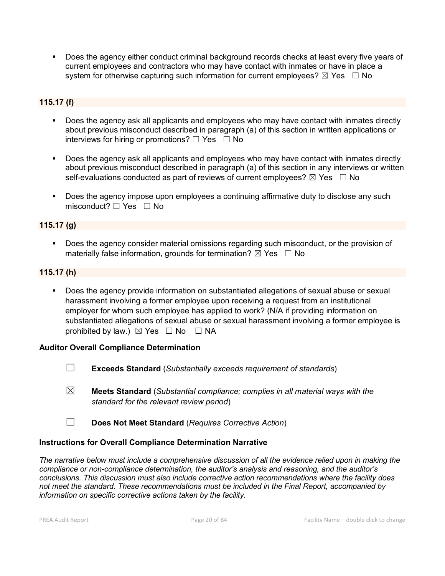Does the agency either conduct criminal background records checks at least every five years of current employees and contractors who may have contact with inmates or have in place a system for otherwise capturing such information for current employees?  $\boxtimes$  Yes  $\Box$  No

## **115.17 (f)**

- Does the agency ask all applicants and employees who may have contact with inmates directly about previous misconduct described in paragraph (a) of this section in written applications or interviews for hiring or promotions?  $\Box$  Yes  $\Box$  No
- Does the agency ask all applicants and employees who may have contact with inmates directly about previous misconduct described in paragraph (a) of this section in any interviews or written self-evaluations conducted as part of reviews of current employees?  $\boxtimes$  Yes  $\Box$  No
- Does the agency impose upon employees a continuing affirmative duty to disclose any such misconduct? □ Yes □ No

#### **115.17 (g)**

 Does the agency consider material omissions regarding such misconduct, or the provision of materially false information, grounds for termination?  $\boxtimes$  Yes  $\Box$  No

#### **115.17 (h)**

 Does the agency provide information on substantiated allegations of sexual abuse or sexual harassment involving a former employee upon receiving a request from an institutional employer for whom such employee has applied to work? (N/A if providing information on substantiated allegations of sexual abuse or sexual harassment involving a former employee is prohibited by law.)  $\boxtimes$  Yes  $\Box$  No  $\Box$  NA

#### **Auditor Overall Compliance Determination**

- ☐ **Exceeds Standard** (*Substantially exceeds requirement of standards*)
- ☒ **Meets Standard** (*Substantial compliance; complies in all material ways with the standard for the relevant review period*)
- ☐ **Does Not Meet Standard** (*Requires Corrective Action*)

#### **Instructions for Overall Compliance Determination Narrative**

*The narrative below must include a comprehensive discussion of all the evidence relied upon in making the compliance or non-compliance determination, the auditor's analysis and reasoning, and the auditor's conclusions. This discussion must also include corrective action recommendations where the facility does not meet the standard. These recommendations must be included in the Final Report, accompanied by information on specific corrective actions taken by the facility.*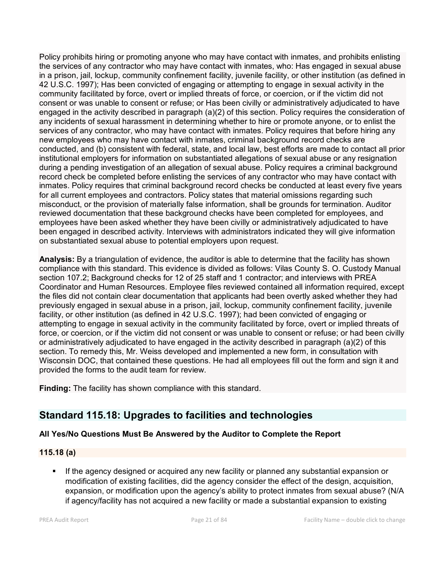Policy prohibits hiring or promoting anyone who may have contact with inmates, and prohibits enlisting the services of any contractor who may have contact with inmates, who: Has engaged in sexual abuse in a prison, jail, lockup, community confinement facility, juvenile facility, or other institution (as defined in 42 U.S.C. 1997); Has been convicted of engaging or attempting to engage in sexual activity in the community facilitated by force, overt or implied threats of force, or coercion, or if the victim did not consent or was unable to consent or refuse; or Has been civilly or administratively adjudicated to have engaged in the activity described in paragraph (a)(2) of this section. Policy requires the consideration of any incidents of sexual harassment in determining whether to hire or promote anyone, or to enlist the services of any contractor, who may have contact with inmates. Policy requires that before hiring any new employees who may have contact with inmates, criminal background record checks are conducted, and (b) consistent with federal, state, and local law, best efforts are made to contact all prior institutional employers for information on substantiated allegations of sexual abuse or any resignation during a pending investigation of an allegation of sexual abuse. Policy requires a criminal background record check be completed before enlisting the services of any contractor who may have contact with inmates. Policy requires that criminal background record checks be conducted at least every five years for all current employees and contractors. Policy states that material omissions regarding such misconduct, or the provision of materially false information, shall be grounds for termination. Auditor reviewed documentation that these background checks have been completed for employees, and employees have been asked whether they have been civilly or administratively adjudicated to have been engaged in described activity. Interviews with administrators indicated they will give information on substantiated sexual abuse to potential employers upon request.

**Analysis:** By a triangulation of evidence, the auditor is able to determine that the facility has shown compliance with this standard. This evidence is divided as follows: Vilas County S. O. Custody Manual section 107.2; Background checks for 12 of 25 staff and 1 contractor; and interviews with PREA Coordinator and Human Resources. Employee files reviewed contained all information required, except the files did not contain clear documentation that applicants had been overtly asked whether they had previously engaged in sexual abuse in a prison, jail, lockup, community confinement facility, juvenile facility, or other institution (as defined in 42 U.S.C. 1997); had been convicted of engaging or attempting to engage in sexual activity in the community facilitated by force, overt or implied threats of force, or coercion, or if the victim did not consent or was unable to consent or refuse; or had been civilly or administratively adjudicated to have engaged in the activity described in paragraph (a)(2) of this section. To remedy this, Mr. Weiss developed and implemented a new form, in consultation with Wisconsin DOC, that contained these questions. He had all employees fill out the form and sign it and provided the forms to the audit team for review.

**Finding:** The facility has shown compliance with this standard.

## **Standard 115.18: Upgrades to facilities and technologies**

## **All Yes/No Questions Must Be Answered by the Auditor to Complete the Report**

## **115.18 (a)**

 If the agency designed or acquired any new facility or planned any substantial expansion or modification of existing facilities, did the agency consider the effect of the design, acquisition, expansion, or modification upon the agency's ability to protect inmates from sexual abuse? (N/A if agency/facility has not acquired a new facility or made a substantial expansion to existing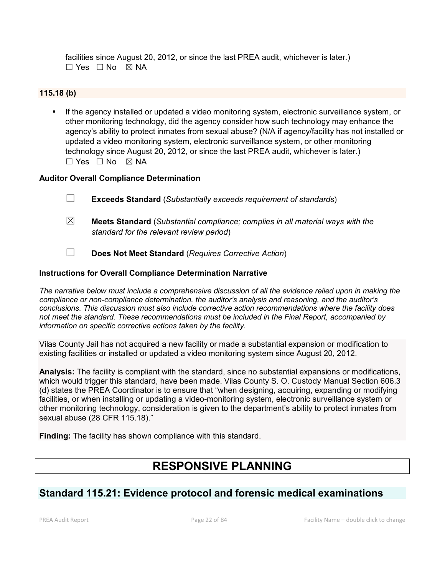facilities since August 20, 2012, or since the last PREA audit, whichever is later.)  $\Box$  Yes  $\Box$  No  $\boxtimes$  NA

#### **115.18 (b)**

**If the agency installed or updated a video monitoring system, electronic surveillance system, or** other monitoring technology, did the agency consider how such technology may enhance the agency's ability to protect inmates from sexual abuse? (N/A if agency/facility has not installed or updated a video monitoring system, electronic surveillance system, or other monitoring technology since August 20, 2012, or since the last PREA audit, whichever is later.)  $\Box$  Yes  $\Box$  No  $\boxtimes$  NA

#### **Auditor Overall Compliance Determination**

- ☐ **Exceeds Standard** (*Substantially exceeds requirement of standards*)
- ☒ **Meets Standard** (*Substantial compliance; complies in all material ways with the standard for the relevant review period*)
- ☐ **Does Not Meet Standard** (*Requires Corrective Action*)

#### **Instructions for Overall Compliance Determination Narrative**

*The narrative below must include a comprehensive discussion of all the evidence relied upon in making the compliance or non-compliance determination, the auditor's analysis and reasoning, and the auditor's conclusions. This discussion must also include corrective action recommendations where the facility does not meet the standard. These recommendations must be included in the Final Report, accompanied by information on specific corrective actions taken by the facility.*

Vilas County Jail has not acquired a new facility or made a substantial expansion or modification to existing facilities or installed or updated a video monitoring system since August 20, 2012.

**Analysis:** The facility is compliant with the standard, since no substantial expansions or modifications, which would trigger this standard, have been made. Vilas County S. O. Custody Manual Section 606.3 (d) states the PREA Coordinator is to ensure that "when designing, acquiring, expanding or modifying facilities, or when installing or updating a video-monitoring system, electronic surveillance system or other monitoring technology, consideration is given to the department's ability to protect inmates from sexual abuse (28 CFR 115.18)."

**Finding:** The facility has shown compliance with this standard.

# **RESPONSIVE PLANNING**

## **Standard 115.21: Evidence protocol and forensic medical examinations**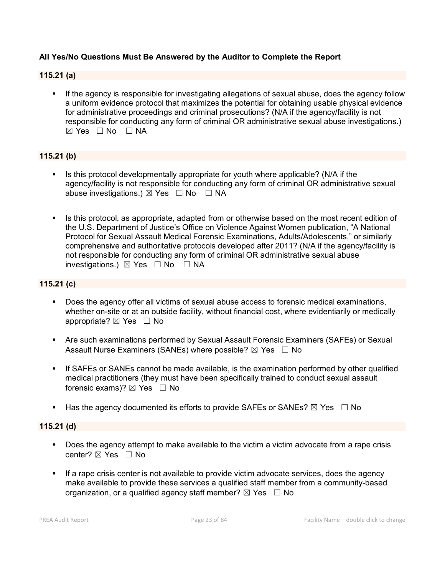#### **All Yes/No Questions Must Be Answered by the Auditor to Complete the Report**

#### **115.21 (a)**

 If the agency is responsible for investigating allegations of sexual abuse, does the agency follow a uniform evidence protocol that maximizes the potential for obtaining usable physical evidence for administrative proceedings and criminal prosecutions? (N/A if the agency/facility is not responsible for conducting any form of criminal OR administrative sexual abuse investigations.)  $\boxtimes$  Yes  $\Box$  No  $\Box$  NA

## **115.21 (b)**

- Is this protocol developmentally appropriate for youth where applicable? (N/A if the agency/facility is not responsible for conducting any form of criminal OR administrative sexual abuse investigations.)  $\boxtimes$  Yes  $\Box$  No  $\Box$  NA
- Is this protocol, as appropriate, adapted from or otherwise based on the most recent edition of the U.S. Department of Justice's Office on Violence Against Women publication, "A National Protocol for Sexual Assault Medical Forensic Examinations, Adults/Adolescents," or similarly comprehensive and authoritative protocols developed after 2011? (N/A if the agency/facility is not responsible for conducting any form of criminal OR administrative sexual abuse investigations.)  $\boxtimes$  Yes  $\Box$  No  $\Box$  NA

#### **115.21 (c)**

- Does the agency offer all victims of sexual abuse access to forensic medical examinations, whether on-site or at an outside facility, without financial cost, where evidentiarily or medically appropriate?  $\boxtimes$  Yes  $\Box$  No
- Are such examinations performed by Sexual Assault Forensic Examiners (SAFEs) or Sexual Assault Nurse Examiners (SANEs) where possible?  $\boxtimes$  Yes  $\Box$  No
- If SAFEs or SANEs cannot be made available, is the examination performed by other qualified medical practitioners (they must have been specifically trained to conduct sexual assault forensic exams)?  $\boxtimes$  Yes  $\Box$  No
- Has the agency documented its efforts to provide SAFEs or SANEs?  $\boxtimes$  Yes  $\Box$  No

#### **115.21 (d)**

- Does the agency attempt to make available to the victim a victim advocate from a rape crisis center? ☒ Yes ☐ No
- If a rape crisis center is not available to provide victim advocate services, does the agency make available to provide these services a qualified staff member from a community-based organization, or a qualified agency staff member?  $\boxtimes$  Yes  $\Box$  No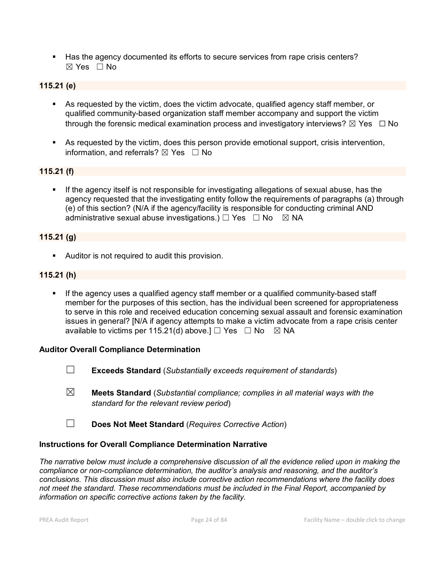Has the agency documented its efforts to secure services from rape crisis centers? ☒ Yes ☐ No

### **115.21 (e)**

- As requested by the victim, does the victim advocate, qualified agency staff member, or qualified community-based organization staff member accompany and support the victim through the forensic medical examination process and investigatory interviews?  $\boxtimes$  Yes  $\Box$  No
- As requested by the victim, does this person provide emotional support, crisis intervention, information, and referrals?  $\boxtimes$  Yes  $\Box$  No

#### **115.21 (f)**

 If the agency itself is not responsible for investigating allegations of sexual abuse, has the agency requested that the investigating entity follow the requirements of paragraphs (a) through (e) of this section? (N/A if the agency/facility is responsible for conducting criminal AND administrative sexual abuse investigations.)  $\Box$  Yes  $\Box$  No  $\boxtimes$  NA

#### **115.21 (g)**

Auditor is not required to audit this provision.

#### **115.21 (h)**

**If the agency uses a qualified agency staff member or a qualified community-based staff** member for the purposes of this section, has the individual been screened for appropriateness to serve in this role and received education concerning sexual assault and forensic examination issues in general? [N/A if agency attempts to make a victim advocate from a rape crisis center available to victims per 115.21(d) above.]  $\Box$  Yes  $\Box$  No  $\boxtimes$  NA

#### **Auditor Overall Compliance Determination**

- ☐ **Exceeds Standard** (*Substantially exceeds requirement of standards*)
- ☒ **Meets Standard** (*Substantial compliance; complies in all material ways with the standard for the relevant review period*)
- ☐ **Does Not Meet Standard** (*Requires Corrective Action*)

#### **Instructions for Overall Compliance Determination Narrative**

*The narrative below must include a comprehensive discussion of all the evidence relied upon in making the compliance or non-compliance determination, the auditor's analysis and reasoning, and the auditor's conclusions. This discussion must also include corrective action recommendations where the facility does not meet the standard. These recommendations must be included in the Final Report, accompanied by information on specific corrective actions taken by the facility.*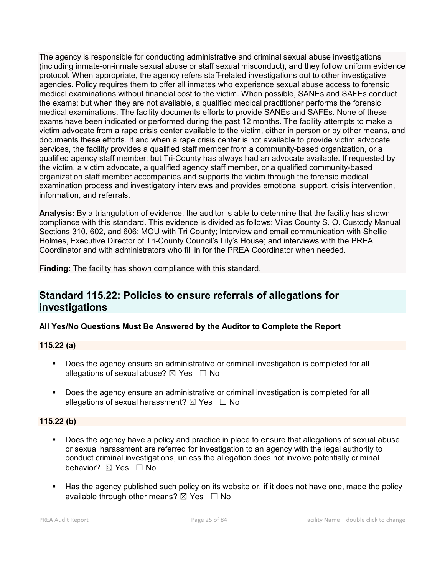The agency is responsible for conducting administrative and criminal sexual abuse investigations (including inmate-on-inmate sexual abuse or staff sexual misconduct), and they follow uniform evidence protocol. When appropriate, the agency refers staff-related investigations out to other investigative agencies. Policy requires them to offer all inmates who experience sexual abuse access to forensic medical examinations without financial cost to the victim. When possible, SANEs and SAFEs conduct the exams; but when they are not available, a qualified medical practitioner performs the forensic medical examinations. The facility documents efforts to provide SANEs and SAFEs. None of these exams have been indicated or performed during the past 12 months. The facility attempts to make a victim advocate from a rape crisis center available to the victim, either in person or by other means, and documents these efforts. If and when a rape crisis center is not available to provide victim advocate services, the facility provides a qualified staff member from a community-based organization, or a qualified agency staff member; but Tri-County has always had an advocate available. If requested by the victim, a victim advocate, a qualified agency staff member, or a qualified community-based organization staff member accompanies and supports the victim through the forensic medical examination process and investigatory interviews and provides emotional support, crisis intervention, information, and referrals.

**Analysis:** By a triangulation of evidence, the auditor is able to determine that the facility has shown compliance with this standard. This evidence is divided as follows: Vilas County S. O. Custody Manual Sections 310, 602, and 606; MOU with Tri County; Interview and email communication with Shellie Holmes, Executive Director of Tri-County Council's Lily's House; and interviews with the PREA Coordinator and with administrators who fill in for the PREA Coordinator when needed.

**Finding:** The facility has shown compliance with this standard.

## **Standard 115.22: Policies to ensure referrals of allegations for investigations**

## **All Yes/No Questions Must Be Answered by the Auditor to Complete the Report**

#### **115.22 (a)**

- **Does the agency ensure an administrative or criminal investigation is completed for all** allegations of sexual abuse?  $\boxtimes$  Yes  $\Box$  No
- Does the agency ensure an administrative or criminal investigation is completed for all allegations of sexual harassment?  $\boxtimes$  Yes  $\Box$  No

## **115.22 (b)**

- Does the agency have a policy and practice in place to ensure that allegations of sexual abuse or sexual harassment are referred for investigation to an agency with the legal authority to conduct criminal investigations, unless the allegation does not involve potentially criminal behavior? **⊠** Yes □ No
- Has the agency published such policy on its website or, if it does not have one, made the policy available through other means?  $\boxtimes$  Yes  $\Box$  No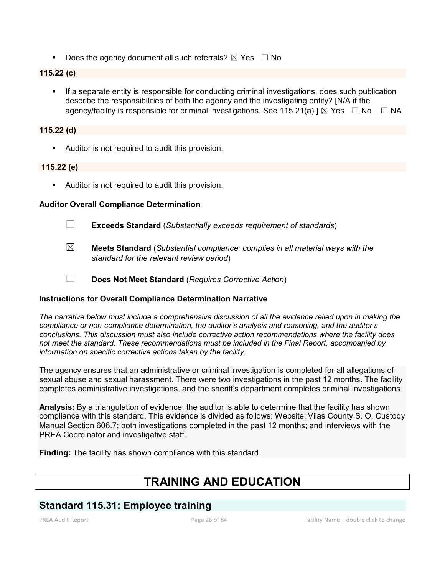Does the agency document all such referrals?  $\boxtimes$  Yes  $\Box$  No

## **115.22 (c)**

 If a separate entity is responsible for conducting criminal investigations, does such publication describe the responsibilities of both the agency and the investigating entity? [N/A if the agency/facility is responsible for criminal investigations. See 115.21(a).]  $\boxtimes$  Yes  $\Box$  No  $\Box$  NA

### **115.22 (d)**

Auditor is not required to audit this provision.

### **115.22 (e)**

Auditor is not required to audit this provision.

### **Auditor Overall Compliance Determination**

- ☐ **Exceeds Standard** (*Substantially exceeds requirement of standards*)
- ☒ **Meets Standard** (*Substantial compliance; complies in all material ways with the standard for the relevant review period*)
- ☐ **Does Not Meet Standard** (*Requires Corrective Action*)

## **Instructions for Overall Compliance Determination Narrative**

*The narrative below must include a comprehensive discussion of all the evidence relied upon in making the compliance or non-compliance determination, the auditor's analysis and reasoning, and the auditor's conclusions. This discussion must also include corrective action recommendations where the facility does not meet the standard. These recommendations must be included in the Final Report, accompanied by information on specific corrective actions taken by the facility.*

The agency ensures that an administrative or criminal investigation is completed for all allegations of sexual abuse and sexual harassment. There were two investigations in the past 12 months. The facility completes administrative investigations, and the sheriff's department completes criminal investigations.

**Analysis:** By a triangulation of evidence, the auditor is able to determine that the facility has shown compliance with this standard. This evidence is divided as follows: Website; Vilas County S. O. Custody Manual Section 606.7; both investigations completed in the past 12 months; and interviews with the PREA Coordinator and investigative staff.

**Finding:** The facility has shown compliance with this standard.

# **TRAINING AND EDUCATION**

## **Standard 115.31: Employee training**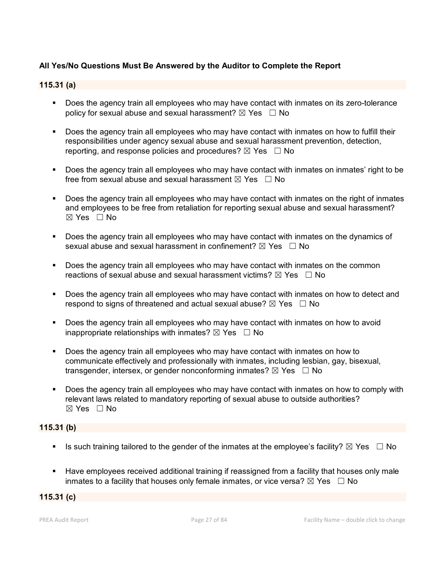## **All Yes/No Questions Must Be Answered by the Auditor to Complete the Report**

#### **115.31 (a)**

- Does the agency train all employees who may have contact with inmates on its zero-tolerance policy for sexual abuse and sexual harassment?  $\boxtimes$  Yes  $\Box$  No
- Does the agency train all employees who may have contact with inmates on how to fulfill their responsibilities under agency sexual abuse and sexual harassment prevention, detection, reporting, and response policies and procedures?  $\boxtimes$  Yes  $\Box$  No
- Does the agency train all employees who may have contact with inmates on inmates' right to be free from sexual abuse and sexual harassment  $\boxtimes$  Yes  $\Box$  No
- Does the agency train all employees who may have contact with inmates on the right of inmates and employees to be free from retaliation for reporting sexual abuse and sexual harassment?  $\boxtimes$  Yes  $\Box$  No
- Does the agency train all employees who may have contact with inmates on the dynamics of sexual abuse and sexual harassment in confinement?  $\boxtimes$  Yes  $\Box$  No
- Does the agency train all employees who may have contact with inmates on the common reactions of sexual abuse and sexual harassment victims?  $\boxtimes$  Yes  $\Box$  No
- Does the agency train all employees who may have contact with inmates on how to detect and respond to signs of threatened and actual sexual abuse?  $\boxtimes$  Yes  $\Box$  No
- Does the agency train all employees who may have contact with inmates on how to avoid inappropriate relationships with inmates?  $\boxtimes$  Yes  $\Box$  No
- Does the agency train all employees who may have contact with inmates on how to communicate effectively and professionally with inmates, including lesbian, gay, bisexual, transgender, intersex, or gender nonconforming inmates?  $\boxtimes$  Yes  $\Box$  No
- Does the agency train all employees who may have contact with inmates on how to comply with relevant laws related to mandatory reporting of sexual abuse to outside authorities? ☒ Yes ☐ No

#### **115.31 (b)**

- Is such training tailored to the gender of the inmates at the employee's facility?  $\boxtimes$  Yes  $\Box$  No
- **Have employees received additional training if reassigned from a facility that houses only male** inmates to a facility that houses only female inmates, or vice versa?  $\boxtimes$  Yes  $\Box$  No

## **115.31 (c)**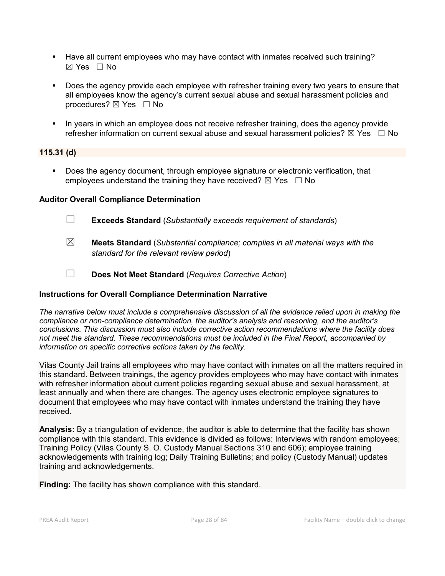- Have all current employees who may have contact with inmates received such training?  $\boxtimes$  Yes  $\Box$  No
- Does the agency provide each employee with refresher training every two years to ensure that all employees know the agency's current sexual abuse and sexual harassment policies and procedures?  $\boxtimes$  Yes  $\Box$  No
- In years in which an employee does not receive refresher training, does the agency provide refresher information on current sexual abuse and sexual harassment policies?  $\boxtimes$  Yes  $\Box$  No

#### **115.31 (d)**

Does the agency document, through employee signature or electronic verification, that employees understand the training they have received?  $\boxtimes$  Yes  $\Box$  No

#### **Auditor Overall Compliance Determination**

- ☐ **Exceeds Standard** (*Substantially exceeds requirement of standards*)
- ☒ **Meets Standard** (*Substantial compliance; complies in all material ways with the standard for the relevant review period*)
- ☐ **Does Not Meet Standard** (*Requires Corrective Action*)

#### **Instructions for Overall Compliance Determination Narrative**

*The narrative below must include a comprehensive discussion of all the evidence relied upon in making the compliance or non-compliance determination, the auditor's analysis and reasoning, and the auditor's conclusions. This discussion must also include corrective action recommendations where the facility does not meet the standard. These recommendations must be included in the Final Report, accompanied by information on specific corrective actions taken by the facility.*

Vilas County Jail trains all employees who may have contact with inmates on all the matters required in this standard. Between trainings, the agency provides employees who may have contact with inmates with refresher information about current policies regarding sexual abuse and sexual harassment, at least annually and when there are changes. The agency uses electronic employee signatures to document that employees who may have contact with inmates understand the training they have received.

**Analysis:** By a triangulation of evidence, the auditor is able to determine that the facility has shown compliance with this standard. This evidence is divided as follows: Interviews with random employees; Training Policy (Vilas County S. O. Custody Manual Sections 310 and 606); employee training acknowledgements with training log; Daily Training Bulletins; and policy (Custody Manual) updates training and acknowledgements.

**Finding:** The facility has shown compliance with this standard.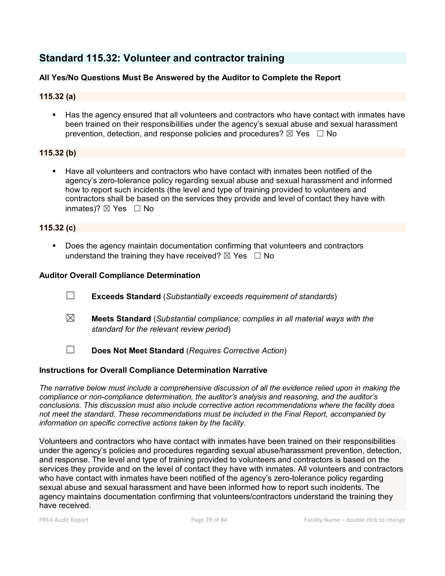## **Standard 115.32: Volunteer and contractor training**

### **All Yes/No Questions Must Be Answered by the Auditor to Complete the Report**

### **115.32 (a)**

 Has the agency ensured that all volunteers and contractors who have contact with inmates have been trained on their responsibilities under the agency's sexual abuse and sexual harassment prevention, detection, and response policies and procedures?  $\boxtimes$  Yes  $\Box$  No

#### **115.32 (b)**

 Have all volunteers and contractors who have contact with inmates been notified of the agency's zero-tolerance policy regarding sexual abuse and sexual harassment and informed how to report such incidents (the level and type of training provided to volunteers and contractors shall be based on the services they provide and level of contact they have with inmates)?  $\boxtimes$  Yes  $\Box$  No

#### **115.32 (c)**

 Does the agency maintain documentation confirming that volunteers and contractors understand the training they have received?  $\boxtimes$  Yes  $\Box$  No

#### **Auditor Overall Compliance Determination**

- ☐ **Exceeds Standard** (*Substantially exceeds requirement of standards*)
- ☒ **Meets Standard** (*Substantial compliance; complies in all material ways with the standard for the relevant review period*)
- ☐ **Does Not Meet Standard** (*Requires Corrective Action*)

#### **Instructions for Overall Compliance Determination Narrative**

*The narrative below must include a comprehensive discussion of all the evidence relied upon in making the compliance or non-compliance determination, the auditor's analysis and reasoning, and the auditor's conclusions. This discussion must also include corrective action recommendations where the facility does not meet the standard. These recommendations must be included in the Final Report, accompanied by information on specific corrective actions taken by the facility.*

Volunteers and contractors who have contact with inmates have been trained on their responsibilities under the agency's policies and procedures regarding sexual abuse/harassment prevention, detection, and response. The level and type of training provided to volunteers and contractors is based on the services they provide and on the level of contact they have with inmates. All volunteers and contractors who have contact with inmates have been notified of the agency's zero-tolerance policy regarding sexual abuse and sexual harassment and have been informed how to report such incidents. The agency maintains documentation confirming that volunteers/contractors understand the training they have received.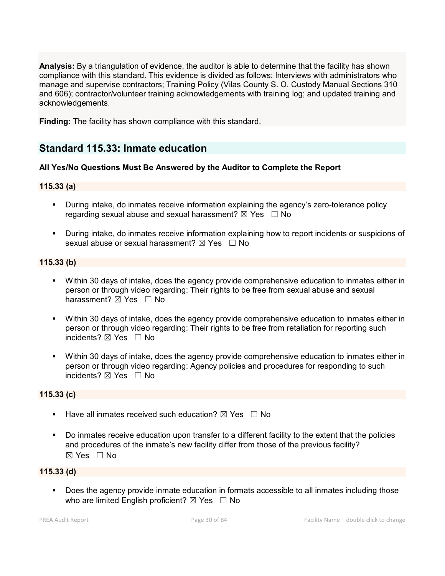**Analysis:** By a triangulation of evidence, the auditor is able to determine that the facility has shown compliance with this standard. This evidence is divided as follows: Interviews with administrators who manage and supervise contractors; Training Policy (Vilas County S. O. Custody Manual Sections 310 and 606); contractor/volunteer training acknowledgements with training log; and updated training and acknowledgements.

**Finding:** The facility has shown compliance with this standard.

## **Standard 115.33: Inmate education**

#### **All Yes/No Questions Must Be Answered by the Auditor to Complete the Report**

#### **115.33 (a)**

- During intake, do inmates receive information explaining the agency's zero-tolerance policy regarding sexual abuse and sexual harassment?  $\boxtimes$  Yes  $\Box$  No
- During intake, do inmates receive information explaining how to report incidents or suspicions of sexual abuse or sexual harassment?  $\boxtimes$  Yes  $\Box$  No

#### **115.33 (b)**

- Within 30 days of intake, does the agency provide comprehensive education to inmates either in person or through video regarding: Their rights to be free from sexual abuse and sexual harassment?  $\boxtimes$  Yes  $\Box$  No
- Within 30 days of intake, does the agency provide comprehensive education to inmates either in person or through video regarding: Their rights to be free from retaliation for reporting such incidents? ⊠ Yes □ No
- Within 30 days of intake, does the agency provide comprehensive education to inmates either in person or through video regarding: Agency policies and procedures for responding to such incidents? ☒ Yes ☐ No

#### **115.33 (c)**

- **Have all inmates received such education?**  $\boxtimes$  Yes  $\Box$  No
- Do inmates receive education upon transfer to a different facility to the extent that the policies and procedures of the inmate's new facility differ from those of the previous facility?  $\boxtimes$  Yes  $\Box$  No

#### **115.33 (d)**

**Does the agency provide inmate education in formats accessible to all inmates including those** who are limited English proficient?  $\boxtimes$  Yes  $\Box$  No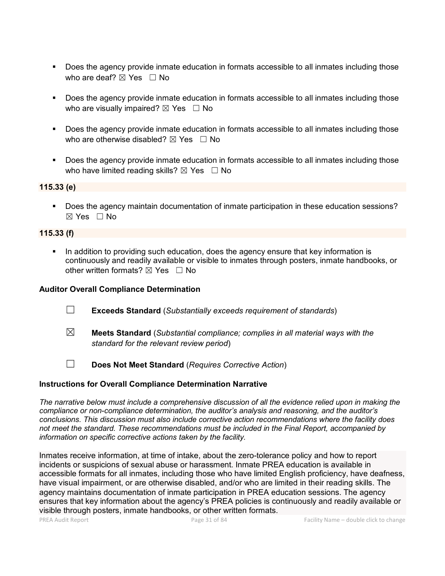- Does the agency provide inmate education in formats accessible to all inmates including those who are deaf?  $\boxtimes$  Yes  $\Box$  No
- Does the agency provide inmate education in formats accessible to all inmates including those who are visually impaired?  $\boxtimes$  Yes  $\Box$  No
- Does the agency provide inmate education in formats accessible to all inmates including those who are otherwise disabled?  $\boxtimes$  Yes  $\Box$  No
- Does the agency provide inmate education in formats accessible to all inmates including those who have limited reading skills?  $\boxtimes$  Yes  $\Box$  No

**115.33 (e)**

 Does the agency maintain documentation of inmate participation in these education sessions? ☒ Yes ☐ No

#### **115.33 (f)**

 In addition to providing such education, does the agency ensure that key information is continuously and readily available or visible to inmates through posters, inmate handbooks, or other written formats?  $\boxtimes$  Yes  $\Box$  No

#### **Auditor Overall Compliance Determination**

- ☐ **Exceeds Standard** (*Substantially exceeds requirement of standards*)
- ☒ **Meets Standard** (*Substantial compliance; complies in all material ways with the standard for the relevant review period*)
- ☐ **Does Not Meet Standard** (*Requires Corrective Action*)

#### **Instructions for Overall Compliance Determination Narrative**

*The narrative below must include a comprehensive discussion of all the evidence relied upon in making the compliance or non-compliance determination, the auditor's analysis and reasoning, and the auditor's conclusions. This discussion must also include corrective action recommendations where the facility does not meet the standard. These recommendations must be included in the Final Report, accompanied by information on specific corrective actions taken by the facility.*

Inmates receive information, at time of intake, about the zero-tolerance policy and how to report incidents or suspicions of sexual abuse or harassment. Inmate PREA education is available in accessible formats for all inmates, including those who have limited English proficiency, have deafness, have visual impairment, or are otherwise disabled, and/or who are limited in their reading skills. The agency maintains documentation of inmate participation in PREA education sessions. The agency ensures that key information about the agency's PREA policies is continuously and readily available or visible through posters, inmate handbooks, or other written formats.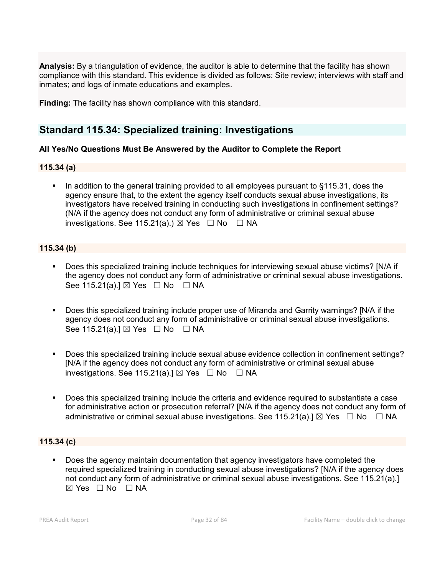**Analysis:** By a triangulation of evidence, the auditor is able to determine that the facility has shown compliance with this standard. This evidence is divided as follows: Site review; interviews with staff and inmates; and logs of inmate educations and examples.

**Finding:** The facility has shown compliance with this standard.

## **Standard 115.34: Specialized training: Investigations**

#### **All Yes/No Questions Must Be Answered by the Auditor to Complete the Report**

#### **115.34 (a)**

In addition to the general training provided to all employees pursuant to  $\S 115.31$ , does the agency ensure that, to the extent the agency itself conducts sexual abuse investigations, its investigators have received training in conducting such investigations in confinement settings? (N/A if the agency does not conduct any form of administrative or criminal sexual abuse investigations. See 115.21(a).)  $\boxtimes$  Yes  $\Box$  No  $\Box$  NA

#### **115.34 (b)**

- Does this specialized training include techniques for interviewing sexual abuse victims? [N/A if the agency does not conduct any form of administrative or criminal sexual abuse investigations. See 115.21(a).]  $\boxtimes$  Yes  $\Box$  No  $\Box$  NA
- Does this specialized training include proper use of Miranda and Garrity warnings? [N/A if the agency does not conduct any form of administrative or criminal sexual abuse investigations. See 115.21(a).]  $\boxtimes$  Yes  $\Box$  No  $\Box$  NA
- Does this specialized training include sexual abuse evidence collection in confinement settings? [N/A if the agency does not conduct any form of administrative or criminal sexual abuse investigations. See 115.21(a).]  $\boxtimes$  Yes  $\Box$  No  $\Box$  NA
- Does this specialized training include the criteria and evidence required to substantiate a case for administrative action or prosecution referral? [N/A if the agency does not conduct any form of administrative or criminal sexual abuse investigations. See 115.21(a).]  $\boxtimes$  Yes  $\Box$  No  $\Box$  NA

#### **115.34 (c)**

 Does the agency maintain documentation that agency investigators have completed the required specialized training in conducting sexual abuse investigations? [N/A if the agency does not conduct any form of administrative or criminal sexual abuse investigations. See 115.21(a).]  $\boxtimes$  Yes  $\Box$  No  $\Box$  NA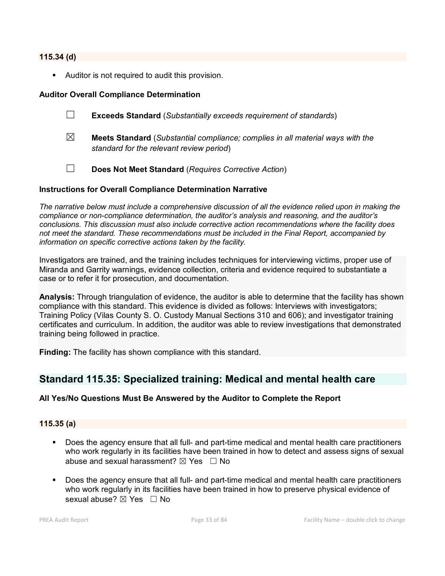#### **115.34 (d)**

Auditor is not required to audit this provision.

#### **Auditor Overall Compliance Determination**

- ☐ **Exceeds Standard** (*Substantially exceeds requirement of standards*)
- ☒ **Meets Standard** (*Substantial compliance; complies in all material ways with the standard for the relevant review period*)
- ☐ **Does Not Meet Standard** (*Requires Corrective Action*)

#### **Instructions for Overall Compliance Determination Narrative**

*The narrative below must include a comprehensive discussion of all the evidence relied upon in making the compliance or non-compliance determination, the auditor's analysis and reasoning, and the auditor's conclusions. This discussion must also include corrective action recommendations where the facility does not meet the standard. These recommendations must be included in the Final Report, accompanied by information on specific corrective actions taken by the facility.*

Investigators are trained, and the training includes techniques for interviewing victims, proper use of Miranda and Garrity warnings, evidence collection, criteria and evidence required to substantiate a case or to refer it for prosecution, and documentation.

**Analysis:** Through triangulation of evidence, the auditor is able to determine that the facility has shown compliance with this standard. This evidence is divided as follows: Interviews with investigators; Training Policy (Vilas County S. O. Custody Manual Sections 310 and 606); and investigator training certificates and curriculum. In addition, the auditor was able to review investigations that demonstrated training being followed in practice.

**Finding:** The facility has shown compliance with this standard.

## **Standard 115.35: Specialized training: Medical and mental health care**

#### **All Yes/No Questions Must Be Answered by the Auditor to Complete the Report**

#### **115.35 (a)**

- Does the agency ensure that all full- and part-time medical and mental health care practitioners who work regularly in its facilities have been trained in how to detect and assess signs of sexual abuse and sexual harassment?  $\boxtimes$  Yes  $\Box$  No
- Does the agency ensure that all full- and part-time medical and mental health care practitioners who work regularly in its facilities have been trained in how to preserve physical evidence of sexual abuse?  $\boxtimes$  Yes  $\Box$  No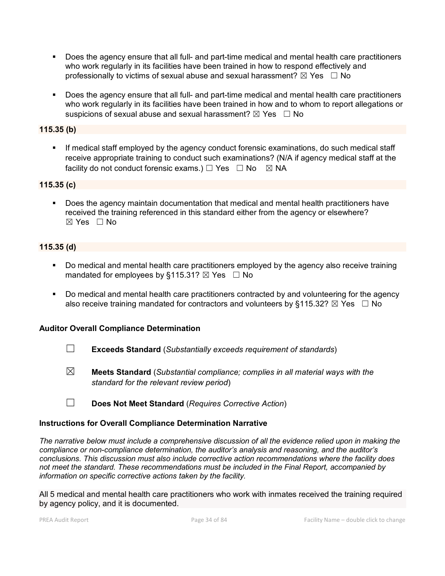- Does the agency ensure that all full- and part-time medical and mental health care practitioners who work regularly in its facilities have been trained in how to respond effectively and professionally to victims of sexual abuse and sexual harassment?  $\boxtimes$  Yes  $\Box$  No
- Does the agency ensure that all full- and part-time medical and mental health care practitioners who work regularly in its facilities have been trained in how and to whom to report allegations or suspicions of sexual abuse and sexual harassment?  $\boxtimes$  Yes  $\Box$  No

### **115.35 (b)**

 If medical staff employed by the agency conduct forensic examinations, do such medical staff receive appropriate training to conduct such examinations? (N/A if agency medical staff at the facility do not conduct forensic exams.)  $\Box$  Yes  $\Box$  No  $\boxtimes$  NA

#### **115.35 (c)**

 Does the agency maintain documentation that medical and mental health practitioners have received the training referenced in this standard either from the agency or elsewhere?  $\boxtimes$  Yes  $\Box$  No

### **115.35 (d)**

- Do medical and mental health care practitioners employed by the agency also receive training mandated for employees by §115.31?  $\boxtimes$  Yes  $\Box$  No
- Do medical and mental health care practitioners contracted by and volunteering for the agency also receive training mandated for contractors and volunteers by §115.32?  $\boxtimes$  Yes  $\Box$  No

#### **Auditor Overall Compliance Determination**

- ☐ **Exceeds Standard** (*Substantially exceeds requirement of standards*)
- ☒ **Meets Standard** (*Substantial compliance; complies in all material ways with the standard for the relevant review period*)
- ☐ **Does Not Meet Standard** (*Requires Corrective Action*)

#### **Instructions for Overall Compliance Determination Narrative**

*The narrative below must include a comprehensive discussion of all the evidence relied upon in making the compliance or non-compliance determination, the auditor's analysis and reasoning, and the auditor's conclusions. This discussion must also include corrective action recommendations where the facility does not meet the standard. These recommendations must be included in the Final Report, accompanied by information on specific corrective actions taken by the facility.*

All 5 medical and mental health care practitioners who work with inmates received the training required by agency policy, and it is documented.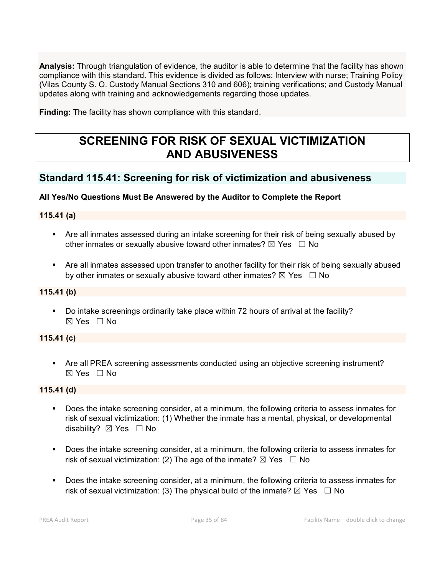**Analysis:** Through triangulation of evidence, the auditor is able to determine that the facility has shown compliance with this standard. This evidence is divided as follows: Interview with nurse; Training Policy (Vilas County S. O. Custody Manual Sections 310 and 606); training verifications; and Custody Manual updates along with training and acknowledgements regarding those updates.

**Finding:** The facility has shown compliance with this standard.

# **SCREENING FOR RISK OF SEXUAL VICTIMIZATION AND ABUSIVENESS**

## **Standard 115.41: Screening for risk of victimization and abusiveness**

## **All Yes/No Questions Must Be Answered by the Auditor to Complete the Report**

## **115.41 (a)**

- Are all inmates assessed during an intake screening for their risk of being sexually abused by other inmates or sexually abusive toward other inmates?  $\boxtimes$  Yes  $\Box$  No
- Are all inmates assessed upon transfer to another facility for their risk of being sexually abused by other inmates or sexually abusive toward other inmates?  $\boxtimes$  Yes  $\Box$  No

#### **115.41 (b)**

 Do intake screenings ordinarily take place within 72 hours of arrival at the facility?  $\boxtimes$  Yes  $\Box$  No

#### **115.41 (c)**

 Are all PREA screening assessments conducted using an objective screening instrument? ☒ Yes ☐ No

## **115.41 (d)**

- Does the intake screening consider, at a minimum, the following criteria to assess inmates for risk of sexual victimization: (1) Whether the inmate has a mental, physical, or developmental disability?  $\boxtimes$  Yes  $\Box$  No
- Does the intake screening consider, at a minimum, the following criteria to assess inmates for risk of sexual victimization: (2) The age of the inmate?  $\boxtimes$  Yes  $\Box$  No
- Does the intake screening consider, at a minimum, the following criteria to assess inmates for risk of sexual victimization: (3) The physical build of the inmate?  $\boxtimes$  Yes  $\Box$  No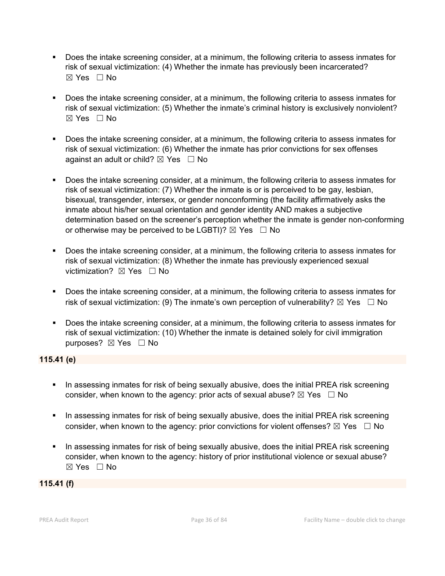- Does the intake screening consider, at a minimum, the following criteria to assess inmates for risk of sexual victimization: (4) Whether the inmate has previously been incarcerated?  $\boxtimes$  Yes  $\Box$  No
- Does the intake screening consider, at a minimum, the following criteria to assess inmates for risk of sexual victimization: (5) Whether the inmate's criminal history is exclusively nonviolent?  $\boxtimes$  Yes  $\Box$  No
- Does the intake screening consider, at a minimum, the following criteria to assess inmates for risk of sexual victimization: (6) Whether the inmate has prior convictions for sex offenses against an adult or child?  $\boxtimes$  Yes  $\Box$  No
- Does the intake screening consider, at a minimum, the following criteria to assess inmates for risk of sexual victimization: (7) Whether the inmate is or is perceived to be gay, lesbian, bisexual, transgender, intersex, or gender nonconforming (the facility affirmatively asks the inmate about his/her sexual orientation and gender identity AND makes a subjective determination based on the screener's perception whether the inmate is gender non-conforming or otherwise may be perceived to be LGBTI)?  $\boxtimes$  Yes  $\Box$  No
- Does the intake screening consider, at a minimum, the following criteria to assess inmates for risk of sexual victimization: (8) Whether the inmate has previously experienced sexual victimization?  $\boxtimes$  Yes  $\Box$  No
- Does the intake screening consider, at a minimum, the following criteria to assess inmates for risk of sexual victimization: (9) The inmate's own perception of vulnerability?  $\boxtimes$  Yes  $\Box$  No
- Does the intake screening consider, at a minimum, the following criteria to assess inmates for risk of sexual victimization: (10) Whether the inmate is detained solely for civil immigration purposes? ⊠ Yes □ No

#### **115.41 (e)**

- In assessing inmates for risk of being sexually abusive, does the initial PREA risk screening consider, when known to the agency: prior acts of sexual abuse?  $\boxtimes$  Yes  $\Box$  No
- In assessing inmates for risk of being sexually abusive, does the initial PREA risk screening consider, when known to the agency: prior convictions for violent offenses?  $\boxtimes$  Yes  $\Box$  No
- In assessing inmates for risk of being sexually abusive, does the initial PREA risk screening consider, when known to the agency: history of prior institutional violence or sexual abuse? ☒ Yes ☐ No

#### **115.41 (f)**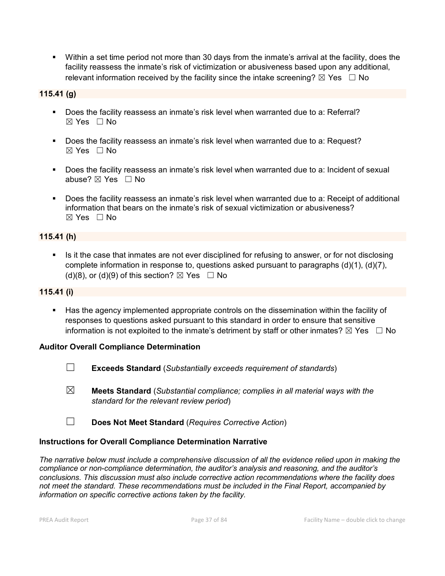Within a set time period not more than 30 days from the inmate's arrival at the facility, does the facility reassess the inmate's risk of victimization or abusiveness based upon any additional, relevant information received by the facility since the intake screening?  $\boxtimes$  Yes  $\Box$  No

## **115.41 (g)**

- Does the facility reassess an inmate's risk level when warranted due to a: Referral?  $\boxtimes$  Yes  $\Box$  No
- Does the facility reassess an inmate's risk level when warranted due to a: Request?  $\boxtimes$  Yes  $\Box$  No
- Does the facility reassess an inmate's risk level when warranted due to a: Incident of sexual abuse?  $\boxtimes$  Yes  $\Box$  No
- Does the facility reassess an inmate's risk level when warranted due to a: Receipt of additional information that bears on the inmate's risk of sexual victimization or abusiveness?  $\boxtimes$  Yes  $\Box$  No

### **115.41 (h)**

Is it the case that inmates are not ever disciplined for refusing to answer, or for not disclosing complete information in response to, questions asked pursuant to paragraphs (d)(1), (d)(7), (d)(8), or (d)(9) of this section?  $\boxtimes$  Yes  $\Box$  No

#### **115.41 (i)**

 Has the agency implemented appropriate controls on the dissemination within the facility of responses to questions asked pursuant to this standard in order to ensure that sensitive information is not exploited to the inmate's detriment by staff or other inmates?  $\boxtimes$  Yes  $\Box$  No

### **Auditor Overall Compliance Determination**

- ☐ **Exceeds Standard** (*Substantially exceeds requirement of standards*)
- ☒ **Meets Standard** (*Substantial compliance; complies in all material ways with the standard for the relevant review period*)
- ☐ **Does Not Meet Standard** (*Requires Corrective Action*)

### **Instructions for Overall Compliance Determination Narrative**

*The narrative below must include a comprehensive discussion of all the evidence relied upon in making the compliance or non-compliance determination, the auditor's analysis and reasoning, and the auditor's conclusions. This discussion must also include corrective action recommendations where the facility does not meet the standard. These recommendations must be included in the Final Report, accompanied by information on specific corrective actions taken by the facility.*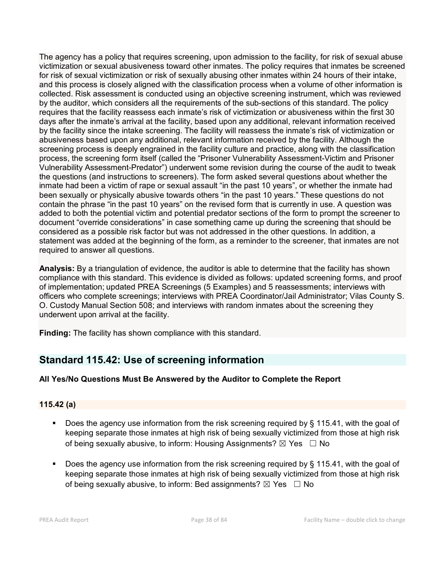The agency has a policy that requires screening, upon admission to the facility, for risk of sexual abuse victimization or sexual abusiveness toward other inmates. The policy requires that inmates be screened for risk of sexual victimization or risk of sexually abusing other inmates within 24 hours of their intake, and this process is closely aligned with the classification process when a volume of other information is collected. Risk assessment is conducted using an objective screening instrument, which was reviewed by the auditor, which considers all the requirements of the sub-sections of this standard. The policy requires that the facility reassess each inmate's risk of victimization or abusiveness within the first 30 days after the inmate's arrival at the facility, based upon any additional, relevant information received by the facility since the intake screening. The facility will reassess the inmate's risk of victimization or abusiveness based upon any additional, relevant information received by the facility. Although the screening process is deeply engrained in the facility culture and practice, along with the classification process, the screening form itself (called the "Prisoner Vulnerability Assessment-Victim and Prisoner Vulnerability Assessment-Predator") underwent some revision during the course of the audit to tweak the questions (and instructions to screeners). The form asked several questions about whether the inmate had been a victim of rape or sexual assault "in the past 10 years", or whether the inmate had been sexually or physically abusive towards others "in the past 10 years." These questions do not contain the phrase "in the past 10 years" on the revised form that is currently in use. A question was added to both the potential victim and potential predator sections of the form to prompt the screener to document "override considerations" in case something came up during the screening that should be considered as a possible risk factor but was not addressed in the other questions. In addition, a statement was added at the beginning of the form, as a reminder to the screener, that inmates are not required to answer all questions.

**Analysis:** By a triangulation of evidence, the auditor is able to determine that the facility has shown compliance with this standard. This evidence is divided as follows: updated screening forms, and proof of implementation; updated PREA Screenings (5 Examples) and 5 reassessments; interviews with officers who complete screenings; interviews with PREA Coordinator/Jail Administrator; Vilas County S. O. Custody Manual Section 508; and interviews with random inmates about the screening they underwent upon arrival at the facility.

**Finding:** The facility has shown compliance with this standard.

# **Standard 115.42: Use of screening information**

# **All Yes/No Questions Must Be Answered by the Auditor to Complete the Report**

# **115.42 (a)**

- Does the agency use information from the risk screening required by § 115.41, with the goal of keeping separate those inmates at high risk of being sexually victimized from those at high risk of being sexually abusive, to inform: Housing Assignments?  $\boxtimes$  Yes  $\Box$  No
- Does the agency use information from the risk screening required by § 115.41, with the goal of keeping separate those inmates at high risk of being sexually victimized from those at high risk of being sexually abusive, to inform: Bed assignments?  $\boxtimes$  Yes  $\Box$  No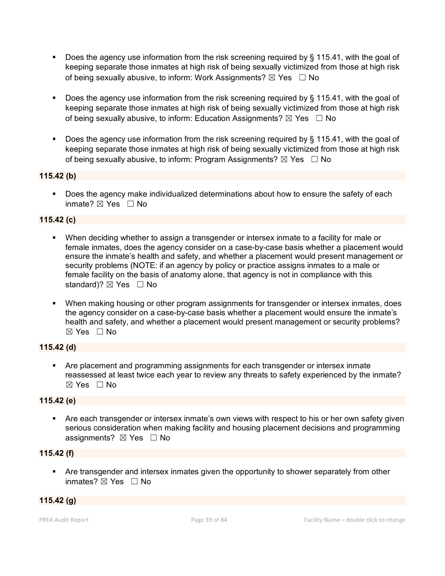- Does the agency use information from the risk screening required by § 115.41, with the goal of keeping separate those inmates at high risk of being sexually victimized from those at high risk of being sexually abusive, to inform: Work Assignments?  $\boxtimes$  Yes  $\Box$  No
- Does the agency use information from the risk screening required by § 115.41, with the goal of keeping separate those inmates at high risk of being sexually victimized from those at high risk of being sexually abusive, to inform: Education Assignments?  $\boxtimes$  Yes  $\Box$  No
- Does the agency use information from the risk screening required by § 115.41, with the goal of keeping separate those inmates at high risk of being sexually victimized from those at high risk of being sexually abusive, to inform: Program Assignments?  $\boxtimes$  Yes  $\Box$  No

## **115.42 (b)**

 Does the agency make individualized determinations about how to ensure the safety of each inmate?  $\boxtimes$  Yes  $\Box$  No

## **115.42 (c)**

- When deciding whether to assign a transgender or intersex inmate to a facility for male or female inmates, does the agency consider on a case-by-case basis whether a placement would ensure the inmate's health and safety, and whether a placement would present management or security problems (NOTE: if an agency by policy or practice assigns inmates to a male or female facility on the basis of anatomy alone, that agency is not in compliance with this standard)?  $\boxtimes$  Yes  $\Box$  No
- When making housing or other program assignments for transgender or intersex inmates, does the agency consider on a case-by-case basis whether a placement would ensure the inmate's health and safety, and whether a placement would present management or security problems? ☒ Yes ☐ No

# **115.42 (d)**

 Are placement and programming assignments for each transgender or intersex inmate reassessed at least twice each year to review any threats to safety experienced by the inmate?  $\boxtimes$  Yes  $\Box$  No

### **115.42 (e)**

 Are each transgender or intersex inmate's own views with respect to his or her own safety given serious consideration when making facility and housing placement decisions and programming assignments?  $\boxtimes$  Yes  $\Box$  No

### **115.42 (f)**

 Are transgender and intersex inmates given the opportunity to shower separately from other inmates?  $\boxtimes$  Yes  $\Box$  No

### **115.42 (g)**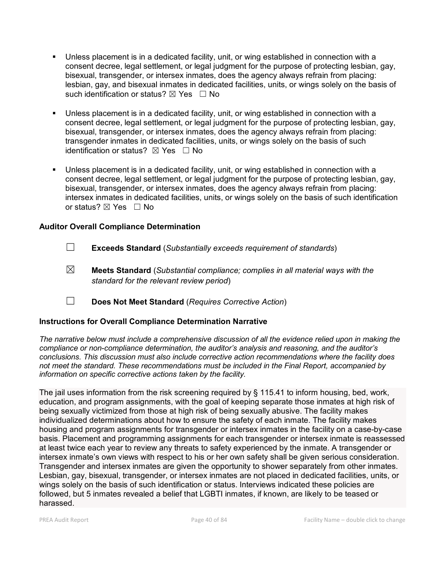- Unless placement is in a dedicated facility, unit, or wing established in connection with a consent decree, legal settlement, or legal judgment for the purpose of protecting lesbian, gay, bisexual, transgender, or intersex inmates, does the agency always refrain from placing: lesbian, gay, and bisexual inmates in dedicated facilities, units, or wings solely on the basis of such identification or status?  $\boxtimes$  Yes  $\Box$  No
- Unless placement is in a dedicated facility, unit, or wing established in connection with a consent decree, legal settlement, or legal judgment for the purpose of protecting lesbian, gay, bisexual, transgender, or intersex inmates, does the agency always refrain from placing: transgender inmates in dedicated facilities, units, or wings solely on the basis of such identification or status?  $\boxtimes$  Yes  $\Box$  No
- Unless placement is in a dedicated facility, unit, or wing established in connection with a consent decree, legal settlement, or legal judgment for the purpose of protecting lesbian, gay, bisexual, transgender, or intersex inmates, does the agency always refrain from placing: intersex inmates in dedicated facilities, units, or wings solely on the basis of such identification or status? ⊠ Yes □ No

### **Auditor Overall Compliance Determination**

- ☐ **Exceeds Standard** (*Substantially exceeds requirement of standards*)
- ☒ **Meets Standard** (*Substantial compliance; complies in all material ways with the standard for the relevant review period*)
- ☐ **Does Not Meet Standard** (*Requires Corrective Action*)

# **Instructions for Overall Compliance Determination Narrative**

*The narrative below must include a comprehensive discussion of all the evidence relied upon in making the compliance or non-compliance determination, the auditor's analysis and reasoning, and the auditor's conclusions. This discussion must also include corrective action recommendations where the facility does not meet the standard. These recommendations must be included in the Final Report, accompanied by information on specific corrective actions taken by the facility.*

The jail uses information from the risk screening required by § 115.41 to inform housing, bed, work, education, and program assignments, with the goal of keeping separate those inmates at high risk of being sexually victimized from those at high risk of being sexually abusive. The facility makes individualized determinations about how to ensure the safety of each inmate. The facility makes housing and program assignments for transgender or intersex inmates in the facility on a case-by-case basis. Placement and programming assignments for each transgender or intersex inmate is reassessed at least twice each year to review any threats to safety experienced by the inmate. A transgender or intersex inmate's own views with respect to his or her own safety shall be given serious consideration. Transgender and intersex inmates are given the opportunity to shower separately from other inmates. Lesbian, gay, bisexual, transgender, or intersex inmates are not placed in dedicated facilities, units, or wings solely on the basis of such identification or status. Interviews indicated these policies are followed, but 5 inmates revealed a belief that LGBTI inmates, if known, are likely to be teased or harassed.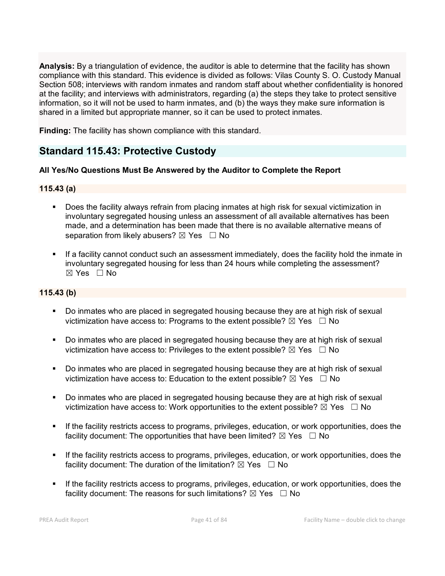**Analysis:** By a triangulation of evidence, the auditor is able to determine that the facility has shown compliance with this standard. This evidence is divided as follows: Vilas County S. O. Custody Manual Section 508; interviews with random inmates and random staff about whether confidentiality is honored at the facility; and interviews with administrators, regarding (a) the steps they take to protect sensitive information, so it will not be used to harm inmates, and (b) the ways they make sure information is shared in a limited but appropriate manner, so it can be used to protect inmates.

**Finding:** The facility has shown compliance with this standard.

# **Standard 115.43: Protective Custody**

## **All Yes/No Questions Must Be Answered by the Auditor to Complete the Report**

### **115.43 (a)**

- Does the facility always refrain from placing inmates at high risk for sexual victimization in involuntary segregated housing unless an assessment of all available alternatives has been made, and a determination has been made that there is no available alternative means of separation from likely abusers?  $\boxtimes$  Yes  $\Box$  No
- If a facility cannot conduct such an assessment immediately, does the facility hold the inmate in involuntary segregated housing for less than 24 hours while completing the assessment?  $\boxtimes$  Yes  $\Box$  No

## **115.43 (b)**

- Do inmates who are placed in segregated housing because they are at high risk of sexual victimization have access to: Programs to the extent possible?  $\boxtimes$  Yes  $\Box$  No
- Do inmates who are placed in segregated housing because they are at high risk of sexual victimization have access to: Privileges to the extent possible?  $\boxtimes$  Yes  $\Box$  No
- Do inmates who are placed in segregated housing because they are at high risk of sexual victimization have access to: Education to the extent possible?  $\boxtimes$  Yes  $\Box$  No
- Do inmates who are placed in segregated housing because they are at high risk of sexual victimization have access to: Work opportunities to the extent possible?  $\boxtimes$  Yes  $\Box$  No
- If the facility restricts access to programs, privileges, education, or work opportunities, does the facility document: The opportunities that have been limited?  $\boxtimes$  Yes  $\Box$  No
- If the facility restricts access to programs, privileges, education, or work opportunities, does the facility document: The duration of the limitation?  $\boxtimes$  Yes  $\Box$  No
- If the facility restricts access to programs, privileges, education, or work opportunities, does the facility document: The reasons for such limitations?  $\boxtimes$  Yes  $\Box$  No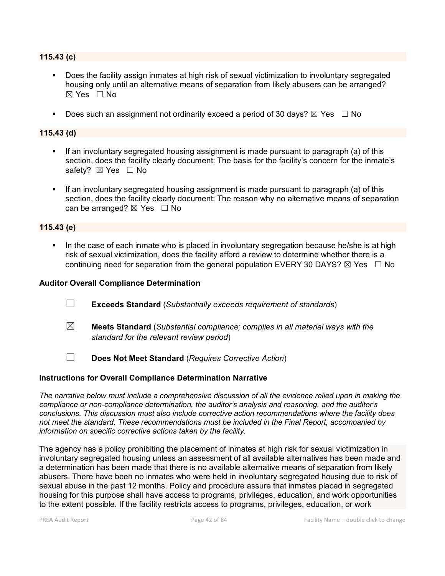#### **115.43 (c)**

- Does the facility assign inmates at high risk of sexual victimization to involuntary segregated housing only until an alternative means of separation from likely abusers can be arranged?  $\boxtimes$  Yes  $\Box$  No
- Does such an assignment not ordinarily exceed a period of 30 days?  $\boxtimes$  Yes  $\Box$  No

#### **115.43 (d)**

- If an involuntary segregated housing assignment is made pursuant to paragraph (a) of this section, does the facility clearly document: The basis for the facility's concern for the inmate's safety? ⊠ Yes □ No
- If an involuntary segregated housing assignment is made pursuant to paragraph (a) of this section, does the facility clearly document: The reason why no alternative means of separation can be arranged?  $\boxtimes$  Yes  $\Box$  No

#### **115.43 (e)**

 In the case of each inmate who is placed in involuntary segregation because he/she is at high risk of sexual victimization, does the facility afford a review to determine whether there is a continuing need for separation from the general population EVERY 30 DAYS?  $\boxtimes$  Yes  $\Box$  No

#### **Auditor Overall Compliance Determination**

- ☐ **Exceeds Standard** (*Substantially exceeds requirement of standards*)
- ☒ **Meets Standard** (*Substantial compliance; complies in all material ways with the standard for the relevant review period*)
- ☐ **Does Not Meet Standard** (*Requires Corrective Action*)

#### **Instructions for Overall Compliance Determination Narrative**

*The narrative below must include a comprehensive discussion of all the evidence relied upon in making the compliance or non-compliance determination, the auditor's analysis and reasoning, and the auditor's conclusions. This discussion must also include corrective action recommendations where the facility does not meet the standard. These recommendations must be included in the Final Report, accompanied by information on specific corrective actions taken by the facility.*

The agency has a policy prohibiting the placement of inmates at high risk for sexual victimization in involuntary segregated housing unless an assessment of all available alternatives has been made and a determination has been made that there is no available alternative means of separation from likely abusers. There have been no inmates who were held in involuntary segregated housing due to risk of sexual abuse in the past 12 months. Policy and procedure assure that inmates placed in segregated housing for this purpose shall have access to programs, privileges, education, and work opportunities to the extent possible. If the facility restricts access to programs, privileges, education, or work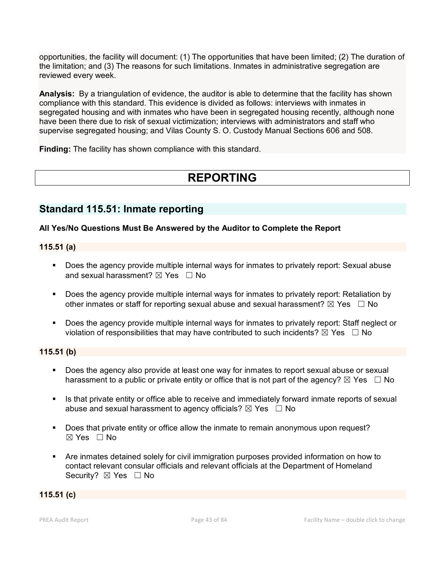opportunities, the facility will document: (1) The opportunities that have been limited; (2) The duration of the limitation; and (3) The reasons for such limitations. Inmates in administrative segregation are reviewed every week.

**Analysis:** By a triangulation of evidence, the auditor is able to determine that the facility has shown compliance with this standard. This evidence is divided as follows: interviews with inmates in segregated housing and with inmates who have been in segregated housing recently, although none have been there due to risk of sexual victimization; interviews with administrators and staff who supervise segregated housing; and Vilas County S. O. Custody Manual Sections 606 and 508.

**Finding:** The facility has shown compliance with this standard.

# **REPORTING**

# **Standard 115.51: Inmate reporting**

## **All Yes/No Questions Must Be Answered by the Auditor to Complete the Report**

#### **115.51 (a)**

- Does the agency provide multiple internal ways for inmates to privately report: Sexual abuse and sexual harassment?  $\boxtimes$  Yes  $\Box$  No
- Does the agency provide multiple internal ways for inmates to privately report: Retaliation by other inmates or staff for reporting sexual abuse and sexual harassment?  $\boxtimes$  Yes  $\Box$  No
- Does the agency provide multiple internal ways for inmates to privately report: Staff neglect or violation of responsibilities that may have contributed to such incidents?  $\boxtimes$  Yes  $\Box$  No

## **115.51 (b)**

- Does the agency also provide at least one way for inmates to report sexual abuse or sexual harassment to a public or private entity or office that is not part of the agency?  $\boxtimes$  Yes  $\Box$  No
- **In Allet is that private entity or office able to receive and immediately forward inmate reports of sexual inter**abuse and sexual harassment to agency officials?  $\boxtimes$  Yes  $\Box$  No
- **Does that private entity or office allow the inmate to remain anonymous upon request?**  $\boxtimes$  Yes  $\Box$  No
- Are inmates detained solely for civil immigration purposes provided information on how to contact relevant consular officials and relevant officials at the Department of Homeland Security? ⊠ Yes □ No

#### **115.51 (c)**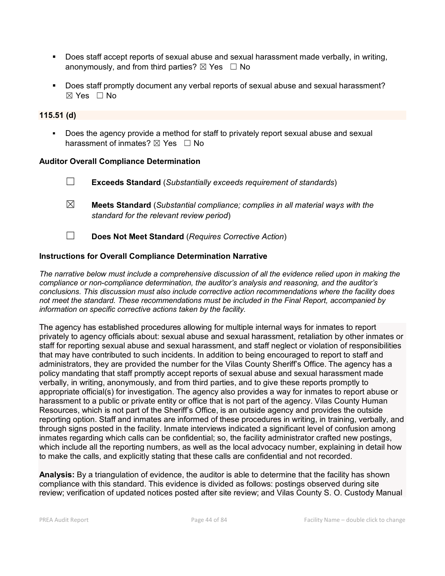- Does staff accept reports of sexual abuse and sexual harassment made verbally, in writing, anonymously, and from third parties?  $\boxtimes$  Yes  $\Box$  No
- Does staff promptly document any verbal reports of sexual abuse and sexual harassment?  $\boxtimes$  Yes  $\Box$  No

### **115.51 (d)**

 Does the agency provide a method for staff to privately report sexual abuse and sexual harassment of inmates?  $\boxtimes$  Yes  $\Box$  No

#### **Auditor Overall Compliance Determination**

- ☐ **Exceeds Standard** (*Substantially exceeds requirement of standards*)
- ☒ **Meets Standard** (*Substantial compliance; complies in all material ways with the standard for the relevant review period*)
- ☐ **Does Not Meet Standard** (*Requires Corrective Action*)

#### **Instructions for Overall Compliance Determination Narrative**

*The narrative below must include a comprehensive discussion of all the evidence relied upon in making the compliance or non-compliance determination, the auditor's analysis and reasoning, and the auditor's conclusions. This discussion must also include corrective action recommendations where the facility does not meet the standard. These recommendations must be included in the Final Report, accompanied by information on specific corrective actions taken by the facility.*

The agency has established procedures allowing for multiple internal ways for inmates to report privately to agency officials about: sexual abuse and sexual harassment, retaliation by other inmates or staff for reporting sexual abuse and sexual harassment, and staff neglect or violation of responsibilities that may have contributed to such incidents. In addition to being encouraged to report to staff and administrators, they are provided the number for the Vilas County Sheriff's Office. The agency has a policy mandating that staff promptly accept reports of sexual abuse and sexual harassment made verbally, in writing, anonymously, and from third parties, and to give these reports promptly to appropriate official(s) for investigation. The agency also provides a way for inmates to report abuse or harassment to a public or private entity or office that is not part of the agency. Vilas County Human Resources, which is not part of the Sheriff's Office, is an outside agency and provides the outside reporting option. Staff and inmates are informed of these procedures in writing, in training, verbally, and through signs posted in the facility. Inmate interviews indicated a significant level of confusion among inmates regarding which calls can be confidential; so, the facility administrator crafted new postings, which include all the reporting numbers, as well as the local advocacy number, explaining in detail how to make the calls, and explicitly stating that these calls are confidential and not recorded.

**Analysis:** By a triangulation of evidence, the auditor is able to determine that the facility has shown compliance with this standard. This evidence is divided as follows: postings observed during site review; verification of updated notices posted after site review; and Vilas County S. O. Custody Manual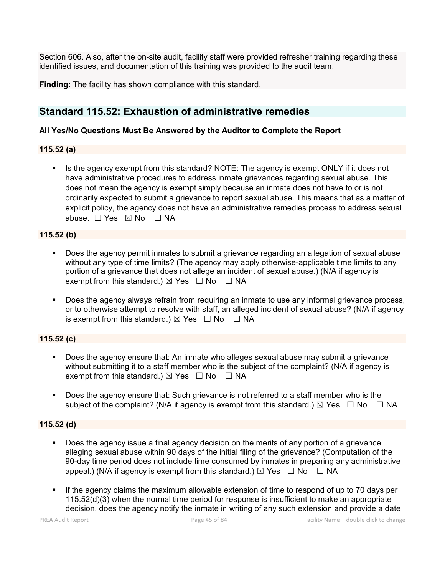Section 606. Also, after the on-site audit, facility staff were provided refresher training regarding these identified issues, and documentation of this training was provided to the audit team.

**Finding:** The facility has shown compliance with this standard.

# **Standard 115.52: Exhaustion of administrative remedies**

## **All Yes/No Questions Must Be Answered by the Auditor to Complete the Report**

## **115.52 (a)**

 Is the agency exempt from this standard? NOTE: The agency is exempt ONLY if it does not have administrative procedures to address inmate grievances regarding sexual abuse. This does not mean the agency is exempt simply because an inmate does not have to or is not ordinarily expected to submit a grievance to report sexual abuse. This means that as a matter of explicit policy, the agency does not have an administrative remedies process to address sexual abuse.  $\Box$  Yes  $\boxtimes$  No  $\Box$  NA

## **115.52 (b)**

- Does the agency permit inmates to submit a grievance regarding an allegation of sexual abuse without any type of time limits? (The agency may apply otherwise-applicable time limits to any portion of a grievance that does not allege an incident of sexual abuse.) (N/A if agency is exempt from this standard.)  $\boxtimes$  Yes  $\Box$  No  $\Box$  NA
- Does the agency always refrain from requiring an inmate to use any informal grievance process, or to otherwise attempt to resolve with staff, an alleged incident of sexual abuse? (N/A if agency is exempt from this standard.)  $\boxtimes$  Yes  $\Box$  No  $\Box$  NA

# **115.52 (c)**

- Does the agency ensure that: An inmate who alleges sexual abuse may submit a grievance without submitting it to a staff member who is the subject of the complaint? (N/A if agency is exempt from this standard.)  $\boxtimes$  Yes  $\Box$  No  $\Box$  NA
- Does the agency ensure that: Such grievance is not referred to a staff member who is the subject of the complaint? (N/A if agency is exempt from this standard.)  $\boxtimes$  Yes  $\Box$  No  $\Box$  NA

# **115.52 (d)**

- Does the agency issue a final agency decision on the merits of any portion of a grievance alleging sexual abuse within 90 days of the initial filing of the grievance? (Computation of the 90-day time period does not include time consumed by inmates in preparing any administrative appeal.) (N/A if agency is exempt from this standard.)  $\boxtimes$  Yes  $\Box$  No  $\Box$  NA
- If the agency claims the maximum allowable extension of time to respond of up to 70 days per 115.52(d)(3) when the normal time period for response is insufficient to make an appropriate decision, does the agency notify the inmate in writing of any such extension and provide a date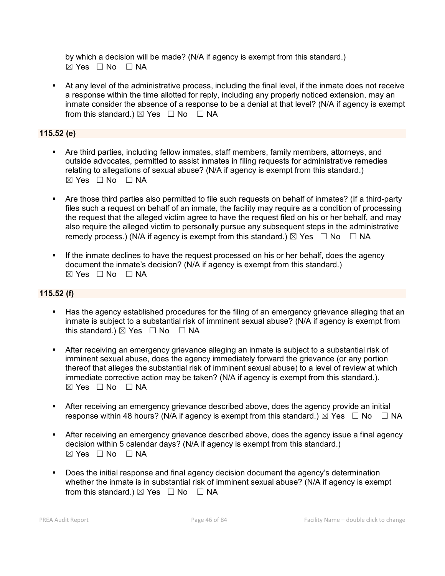by which a decision will be made? (N/A if agency is exempt from this standard.)  $\boxtimes$  Yes  $\Box$  No  $\Box$  NA

 At any level of the administrative process, including the final level, if the inmate does not receive a response within the time allotted for reply, including any properly noticed extension, may an inmate consider the absence of a response to be a denial at that level? (N/A if agency is exempt from this standard.)  $\boxtimes$  Yes  $\Box$  No  $\Box$  NA

# **115.52 (e)**

- Are third parties, including fellow inmates, staff members, family members, attorneys, and outside advocates, permitted to assist inmates in filing requests for administrative remedies relating to allegations of sexual abuse? (N/A if agency is exempt from this standard.)  $\boxtimes$  Yes  $\Box$  No  $\Box$  NA
- Are those third parties also permitted to file such requests on behalf of inmates? (If a third-party files such a request on behalf of an inmate, the facility may require as a condition of processing the request that the alleged victim agree to have the request filed on his or her behalf, and may also require the alleged victim to personally pursue any subsequent steps in the administrative remedy process.) (N/A if agency is exempt from this standard.)  $\boxtimes$  Yes  $\Box$  No  $\Box$  NA
- If the inmate declines to have the request processed on his or her behalf, does the agency document the inmate's decision? (N/A if agency is exempt from this standard.)  $\boxtimes$  Yes  $\Box$  No  $\Box$  NA

# **115.52 (f)**

- Has the agency established procedures for the filing of an emergency grievance alleging that an inmate is subject to a substantial risk of imminent sexual abuse? (N/A if agency is exempt from this standard.)  $\boxtimes$  Yes  $\Box$  No  $\Box$  NA
- After receiving an emergency grievance alleging an inmate is subject to a substantial risk of imminent sexual abuse, does the agency immediately forward the grievance (or any portion thereof that alleges the substantial risk of imminent sexual abuse) to a level of review at which immediate corrective action may be taken? (N/A if agency is exempt from this standard.).  $\boxtimes$  Yes  $\Box$  No  $\Box$  NA
- After receiving an emergency grievance described above, does the agency provide an initial response within 48 hours? (N/A if agency is exempt from this standard.)  $\boxtimes$  Yes  $\Box$  No  $\Box$  NA
- After receiving an emergency grievance described above, does the agency issue a final agency decision within 5 calendar days? (N/A if agency is exempt from this standard.)  $\boxtimes$  Yes  $\Box$  No  $\Box$  NA
- Does the initial response and final agency decision document the agency's determination whether the inmate is in substantial risk of imminent sexual abuse? (N/A if agency is exempt from this standard.)  $\boxtimes$  Yes  $\Box$  No  $\Box$  NA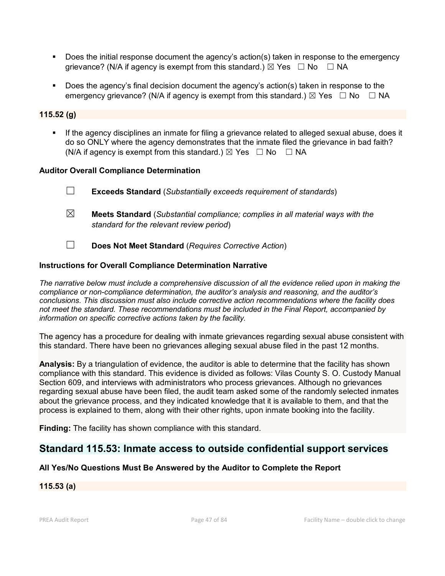- Does the initial response document the agency's action(s) taken in response to the emergency grievance? (N/A if agency is exempt from this standard.)  $\boxtimes$  Yes  $\Box$  No  $\Box$  NA
- Does the agency's final decision document the agency's action(s) taken in response to the emergency grievance? (N/A if agency is exempt from this standard.)  $\boxtimes$  Yes  $\Box$  No  $\Box$  NA

## **115.52 (g)**

 If the agency disciplines an inmate for filing a grievance related to alleged sexual abuse, does it do so ONLY where the agency demonstrates that the inmate filed the grievance in bad faith? (N/A if agency is exempt from this standard.)  $\boxtimes$  Yes  $\Box$  No  $\Box$  NA

#### **Auditor Overall Compliance Determination**

- ☐ **Exceeds Standard** (*Substantially exceeds requirement of standards*)
- ☒ **Meets Standard** (*Substantial compliance; complies in all material ways with the standard for the relevant review period*)
- ☐ **Does Not Meet Standard** (*Requires Corrective Action*)

### **Instructions for Overall Compliance Determination Narrative**

*The narrative below must include a comprehensive discussion of all the evidence relied upon in making the compliance or non-compliance determination, the auditor's analysis and reasoning, and the auditor's conclusions. This discussion must also include corrective action recommendations where the facility does not meet the standard. These recommendations must be included in the Final Report, accompanied by information on specific corrective actions taken by the facility.*

The agency has a procedure for dealing with inmate grievances regarding sexual abuse consistent with this standard. There have been no grievances alleging sexual abuse filed in the past 12 months.

**Analysis:** By a triangulation of evidence, the auditor is able to determine that the facility has shown compliance with this standard. This evidence is divided as follows: Vilas County S. O. Custody Manual Section 609, and interviews with administrators who process grievances. Although no grievances regarding sexual abuse have been filed, the audit team asked some of the randomly selected inmates about the grievance process, and they indicated knowledge that it is available to them, and that the process is explained to them, along with their other rights, upon inmate booking into the facility.

**Finding:** The facility has shown compliance with this standard.

# **Standard 115.53: Inmate access to outside confidential support services**

### **All Yes/No Questions Must Be Answered by the Auditor to Complete the Report**

#### **115.53 (a)**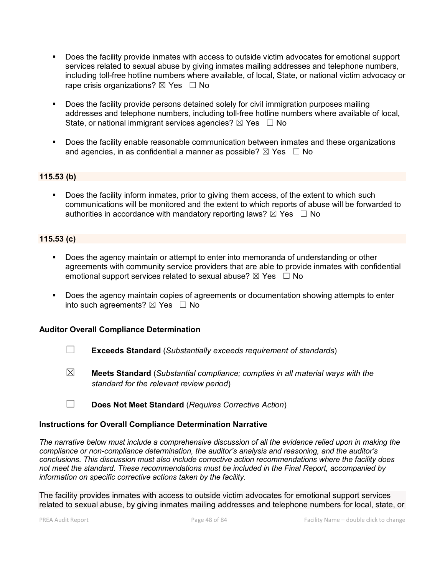- Does the facility provide inmates with access to outside victim advocates for emotional support services related to sexual abuse by giving inmates mailing addresses and telephone numbers, including toll-free hotline numbers where available, of local, State, or national victim advocacy or rape crisis organizations?  $\boxtimes$  Yes  $\Box$  No
- **Does the facility provide persons detained solely for civil immigration purposes mailing** addresses and telephone numbers, including toll-free hotline numbers where available of local, State, or national immigrant services agencies?  $\boxtimes$  Yes  $\Box$  No
- **Does the facility enable reasonable communication between inmates and these organizations** and agencies, in as confidential a manner as possible?  $\boxtimes$  Yes  $\Box$  No

### **115.53 (b)**

Does the facility inform inmates, prior to giving them access, of the extent to which such communications will be monitored and the extent to which reports of abuse will be forwarded to authorities in accordance with mandatory reporting laws?  $\boxtimes$  Yes  $\Box$  No

### **115.53 (c)**

- Does the agency maintain or attempt to enter into memoranda of understanding or other agreements with community service providers that are able to provide inmates with confidential emotional support services related to sexual abuse?  $\boxtimes$  Yes  $\Box$  No
- Does the agency maintain copies of agreements or documentation showing attempts to enter into such agreements?  $\boxtimes$  Yes  $\Box$  No

#### **Auditor Overall Compliance Determination**

- ☐ **Exceeds Standard** (*Substantially exceeds requirement of standards*)
- ☒ **Meets Standard** (*Substantial compliance; complies in all material ways with the standard for the relevant review period*)
- ☐ **Does Not Meet Standard** (*Requires Corrective Action*)

#### **Instructions for Overall Compliance Determination Narrative**

*The narrative below must include a comprehensive discussion of all the evidence relied upon in making the compliance or non-compliance determination, the auditor's analysis and reasoning, and the auditor's conclusions. This discussion must also include corrective action recommendations where the facility does not meet the standard. These recommendations must be included in the Final Report, accompanied by information on specific corrective actions taken by the facility.*

The facility provides inmates with access to outside victim advocates for emotional support services related to sexual abuse, by giving inmates mailing addresses and telephone numbers for local, state, or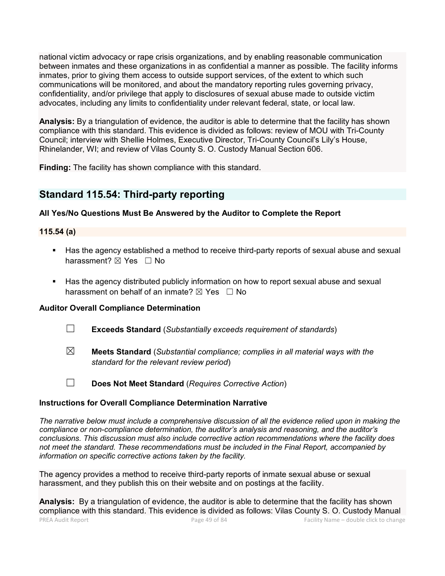national victim advocacy or rape crisis organizations, and by enabling reasonable communication between inmates and these organizations in as confidential a manner as possible. The facility informs inmates, prior to giving them access to outside support services, of the extent to which such communications will be monitored, and about the mandatory reporting rules governing privacy, confidentiality, and/or privilege that apply to disclosures of sexual abuse made to outside victim advocates, including any limits to confidentiality under relevant federal, state, or local law.

**Analysis:** By a triangulation of evidence, the auditor is able to determine that the facility has shown compliance with this standard. This evidence is divided as follows: review of MOU with Tri-County Council; interview with Shellie Holmes, Executive Director, Tri-County Council's Lily's House, Rhinelander, WI; and review of Vilas County S. O. Custody Manual Section 606.

**Finding:** The facility has shown compliance with this standard.

# **Standard 115.54: Third-party reporting**

## **All Yes/No Questions Must Be Answered by the Auditor to Complete the Report**

## **115.54 (a)**

- Has the agency established a method to receive third-party reports of sexual abuse and sexual harassment? ⊠ Yes □ No
- Has the agency distributed publicly information on how to report sexual abuse and sexual harassment on behalf of an inmate?  $\boxtimes$  Yes  $\Box$  No

### **Auditor Overall Compliance Determination**

- ☐ **Exceeds Standard** (*Substantially exceeds requirement of standards*)
- ☒ **Meets Standard** (*Substantial compliance; complies in all material ways with the standard for the relevant review period*)
- ☐ **Does Not Meet Standard** (*Requires Corrective Action*)

### **Instructions for Overall Compliance Determination Narrative**

*The narrative below must include a comprehensive discussion of all the evidence relied upon in making the compliance or non-compliance determination, the auditor's analysis and reasoning, and the auditor's conclusions. This discussion must also include corrective action recommendations where the facility does not meet the standard. These recommendations must be included in the Final Report, accompanied by information on specific corrective actions taken by the facility.*

The agency provides a method to receive third-party reports of inmate sexual abuse or sexual harassment, and they publish this on their website and on postings at the facility.

PREA Audit Report Page 49 of 84 Facility Name – double click to change **Analysis:** By a triangulation of evidence, the auditor is able to determine that the facility has shown compliance with this standard. This evidence is divided as follows: Vilas County S. O. Custody Manual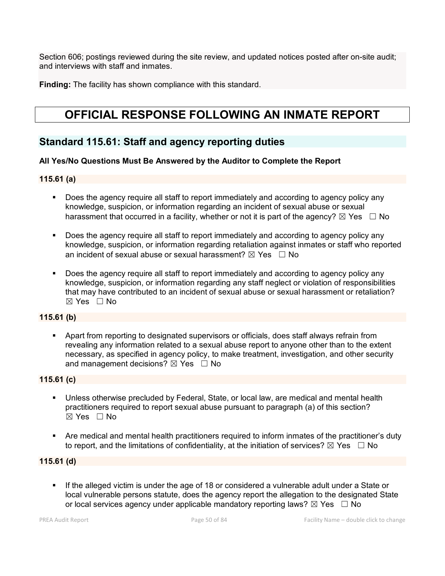Section 606; postings reviewed during the site review, and updated notices posted after on-site audit; and interviews with staff and inmates.

**Finding:** The facility has shown compliance with this standard.

# **OFFICIAL RESPONSE FOLLOWING AN INMATE REPORT**

# **Standard 115.61: Staff and agency reporting duties**

### **All Yes/No Questions Must Be Answered by the Auditor to Complete the Report**

#### **115.61 (a)**

- Does the agency require all staff to report immediately and according to agency policy any knowledge, suspicion, or information regarding an incident of sexual abuse or sexual harassment that occurred in a facility, whether or not it is part of the agency?  $\boxtimes$  Yes  $\Box$  No
- Does the agency require all staff to report immediately and according to agency policy any knowledge, suspicion, or information regarding retaliation against inmates or staff who reported an incident of sexual abuse or sexual harassment?  $\boxtimes$  Yes  $\Box$  No
- Does the agency require all staff to report immediately and according to agency policy any knowledge, suspicion, or information regarding any staff neglect or violation of responsibilities that may have contributed to an incident of sexual abuse or sexual harassment or retaliation?  $\boxtimes$  Yes  $\Box$  No

### **115.61 (b)**

 Apart from reporting to designated supervisors or officials, does staff always refrain from revealing any information related to a sexual abuse report to anyone other than to the extent necessary, as specified in agency policy, to make treatment, investigation, and other security and management decisions?  $\boxtimes$  Yes  $\Box$  No

#### **115.61 (c)**

- Unless otherwise precluded by Federal, State, or local law, are medical and mental health practitioners required to report sexual abuse pursuant to paragraph (a) of this section?  $\boxtimes$  Yes  $\Box$  No
- Are medical and mental health practitioners required to inform inmates of the practitioner's duty to report, and the limitations of confidentiality, at the initiation of services?  $\boxtimes$  Yes  $\Box$  No

### **115.61 (d)**

 If the alleged victim is under the age of 18 or considered a vulnerable adult under a State or local vulnerable persons statute, does the agency report the allegation to the designated State or local services agency under applicable mandatory reporting laws?  $\boxtimes$  Yes  $\Box$  No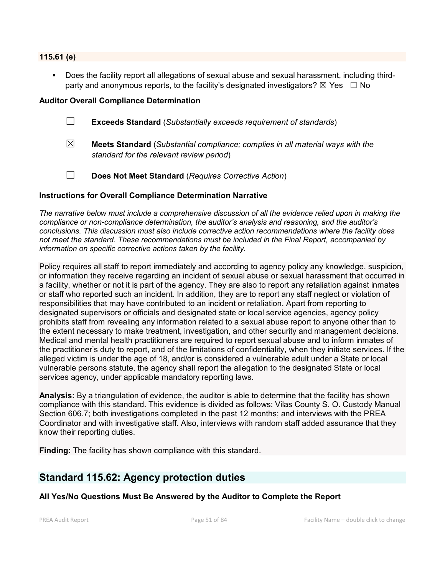#### **115.61 (e)**

 Does the facility report all allegations of sexual abuse and sexual harassment, including thirdparty and anonymous reports, to the facility's designated investigators?  $\boxtimes$  Yes  $\Box$  No

#### **Auditor Overall Compliance Determination**

- ☐ **Exceeds Standard** (*Substantially exceeds requirement of standards*)
- ☒ **Meets Standard** (*Substantial compliance; complies in all material ways with the standard for the relevant review period*)
- ☐ **Does Not Meet Standard** (*Requires Corrective Action*)

#### **Instructions for Overall Compliance Determination Narrative**

*The narrative below must include a comprehensive discussion of all the evidence relied upon in making the compliance or non-compliance determination, the auditor's analysis and reasoning, and the auditor's conclusions. This discussion must also include corrective action recommendations where the facility does not meet the standard. These recommendations must be included in the Final Report, accompanied by information on specific corrective actions taken by the facility.*

Policy requires all staff to report immediately and according to agency policy any knowledge, suspicion, or information they receive regarding an incident of sexual abuse or sexual harassment that occurred in a facility, whether or not it is part of the agency. They are also to report any retaliation against inmates or staff who reported such an incident. In addition, they are to report any staff neglect or violation of responsibilities that may have contributed to an incident or retaliation. Apart from reporting to designated supervisors or officials and designated state or local service agencies, agency policy prohibits staff from revealing any information related to a sexual abuse report to anyone other than to the extent necessary to make treatment, investigation, and other security and management decisions. Medical and mental health practitioners are required to report sexual abuse and to inform inmates of the practitioner's duty to report, and of the limitations of confidentiality, when they initiate services. If the alleged victim is under the age of 18, and/or is considered a vulnerable adult under a State or local vulnerable persons statute, the agency shall report the allegation to the designated State or local services agency, under applicable mandatory reporting laws.

**Analysis:** By a triangulation of evidence, the auditor is able to determine that the facility has shown compliance with this standard. This evidence is divided as follows: Vilas County S. O. Custody Manual Section 606.7; both investigations completed in the past 12 months; and interviews with the PREA Coordinator and with investigative staff. Also, interviews with random staff added assurance that they know their reporting duties.

**Finding:** The facility has shown compliance with this standard.

# **Standard 115.62: Agency protection duties**

**All Yes/No Questions Must Be Answered by the Auditor to Complete the Report**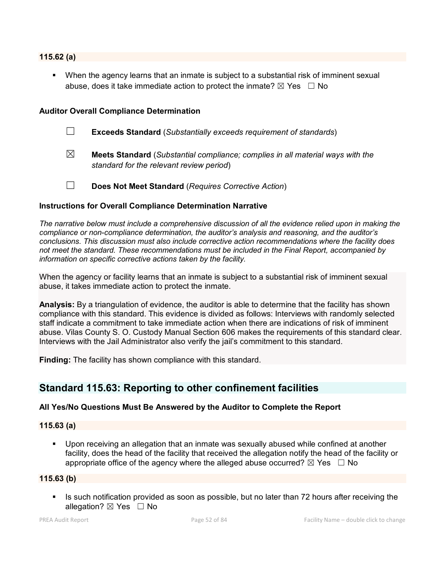#### **115.62 (a)**

 When the agency learns that an inmate is subject to a substantial risk of imminent sexual abuse, does it take immediate action to protect the inmate?  $\boxtimes$  Yes  $\Box$  No

#### **Auditor Overall Compliance Determination**

- ☐ **Exceeds Standard** (*Substantially exceeds requirement of standards*)
- ☒ **Meets Standard** (*Substantial compliance; complies in all material ways with the standard for the relevant review period*)
- ☐ **Does Not Meet Standard** (*Requires Corrective Action*)

#### **Instructions for Overall Compliance Determination Narrative**

*The narrative below must include a comprehensive discussion of all the evidence relied upon in making the compliance or non-compliance determination, the auditor's analysis and reasoning, and the auditor's conclusions. This discussion must also include corrective action recommendations where the facility does not meet the standard. These recommendations must be included in the Final Report, accompanied by information on specific corrective actions taken by the facility.*

When the agency or facility learns that an inmate is subject to a substantial risk of imminent sexual abuse, it takes immediate action to protect the inmate.

**Analysis:** By a triangulation of evidence, the auditor is able to determine that the facility has shown compliance with this standard. This evidence is divided as follows: Interviews with randomly selected staff indicate a commitment to take immediate action when there are indications of risk of imminent abuse. Vilas County S. O. Custody Manual Section 606 makes the requirements of this standard clear. Interviews with the Jail Administrator also verify the jail's commitment to this standard.

**Finding:** The facility has shown compliance with this standard.

# **Standard 115.63: Reporting to other confinement facilities**

### **All Yes/No Questions Must Be Answered by the Auditor to Complete the Report**

#### **115.63 (a)**

 Upon receiving an allegation that an inmate was sexually abused while confined at another facility, does the head of the facility that received the allegation notify the head of the facility or appropriate office of the agency where the alleged abuse occurred?  $\boxtimes$  Yes  $\Box$  No

#### **115.63 (b)**

Is such notification provided as soon as possible, but no later than 72 hours after receiving the allegation?  $\boxtimes$  Yes  $\Box$  No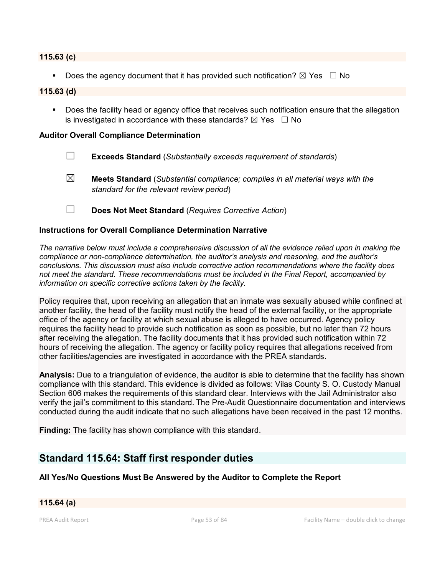#### **115.63 (c)**

Does the agency document that it has provided such notification?  $\boxtimes$  Yes  $\Box$  No

#### **115.63 (d)**

**Does the facility head or agency office that receives such notification ensure that the allegation** is investigated in accordance with these standards?  $\boxtimes$  Yes  $\Box$  No

#### **Auditor Overall Compliance Determination**

- ☐ **Exceeds Standard** (*Substantially exceeds requirement of standards*)
- ☒ **Meets Standard** (*Substantial compliance; complies in all material ways with the standard for the relevant review period*)
- ☐ **Does Not Meet Standard** (*Requires Corrective Action*)

#### **Instructions for Overall Compliance Determination Narrative**

*The narrative below must include a comprehensive discussion of all the evidence relied upon in making the compliance or non-compliance determination, the auditor's analysis and reasoning, and the auditor's conclusions. This discussion must also include corrective action recommendations where the facility does not meet the standard. These recommendations must be included in the Final Report, accompanied by information on specific corrective actions taken by the facility.*

Policy requires that, upon receiving an allegation that an inmate was sexually abused while confined at another facility, the head of the facility must notify the head of the external facility, or the appropriate office of the agency or facility at which sexual abuse is alleged to have occurred. Agency policy requires the facility head to provide such notification as soon as possible, but no later than 72 hours after receiving the allegation. The facility documents that it has provided such notification within 72 hours of receiving the allegation. The agency or facility policy requires that allegations received from other facilities/agencies are investigated in accordance with the PREA standards.

**Analysis:** Due to a triangulation of evidence, the auditor is able to determine that the facility has shown compliance with this standard. This evidence is divided as follows: Vilas County S. O. Custody Manual Section 606 makes the requirements of this standard clear. Interviews with the Jail Administrator also verify the jail's commitment to this standard. The Pre-Audit Questionnaire documentation and interviews conducted during the audit indicate that no such allegations have been received in the past 12 months.

**Finding:** The facility has shown compliance with this standard.

# **Standard 115.64: Staff first responder duties**

#### **All Yes/No Questions Must Be Answered by the Auditor to Complete the Report**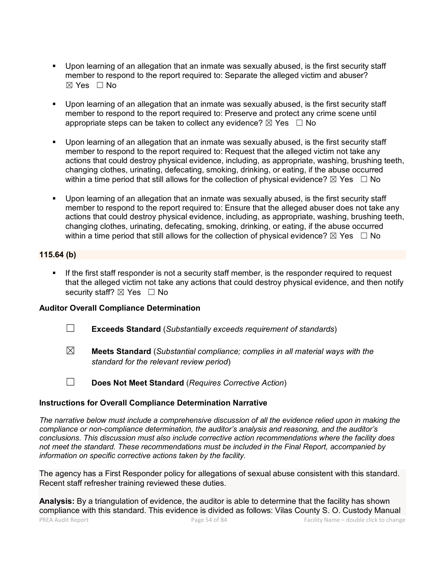- Upon learning of an allegation that an inmate was sexually abused, is the first security staff member to respond to the report required to: Separate the alleged victim and abuser?  $\boxtimes$  Yes  $\Box$  No
- Upon learning of an allegation that an inmate was sexually abused, is the first security staff member to respond to the report required to: Preserve and protect any crime scene until appropriate steps can be taken to collect any evidence?  $\boxtimes$  Yes  $\Box$  No
- Upon learning of an allegation that an inmate was sexually abused, is the first security staff member to respond to the report required to: Request that the alleged victim not take any actions that could destroy physical evidence, including, as appropriate, washing, brushing teeth, changing clothes, urinating, defecating, smoking, drinking, or eating, if the abuse occurred within a time period that still allows for the collection of physical evidence?  $\boxtimes$  Yes  $\Box$  No
- Upon learning of an allegation that an inmate was sexually abused, is the first security staff member to respond to the report required to: Ensure that the alleged abuser does not take any actions that could destroy physical evidence, including, as appropriate, washing, brushing teeth, changing clothes, urinating, defecating, smoking, drinking, or eating, if the abuse occurred within a time period that still allows for the collection of physical evidence?  $\boxtimes$  Yes  $\Box$  No

#### **115.64 (b)**

 If the first staff responder is not a security staff member, is the responder required to request that the alleged victim not take any actions that could destroy physical evidence, and then notify security staff?  $\boxtimes$  Yes  $\Box$  No

### **Auditor Overall Compliance Determination**

- ☐ **Exceeds Standard** (*Substantially exceeds requirement of standards*)
- ☒ **Meets Standard** (*Substantial compliance; complies in all material ways with the standard for the relevant review period*)
- ☐ **Does Not Meet Standard** (*Requires Corrective Action*)

#### **Instructions for Overall Compliance Determination Narrative**

*The narrative below must include a comprehensive discussion of all the evidence relied upon in making the compliance or non-compliance determination, the auditor's analysis and reasoning, and the auditor's conclusions. This discussion must also include corrective action recommendations where the facility does not meet the standard. These recommendations must be included in the Final Report, accompanied by information on specific corrective actions taken by the facility.*

The agency has a First Responder policy for allegations of sexual abuse consistent with this standard. Recent staff refresher training reviewed these duties.

PREA Audit Report Page 54 of 84 Facility Name – double click to change **Analysis:** By a triangulation of evidence, the auditor is able to determine that the facility has shown compliance with this standard. This evidence is divided as follows: Vilas County S. O. Custody Manual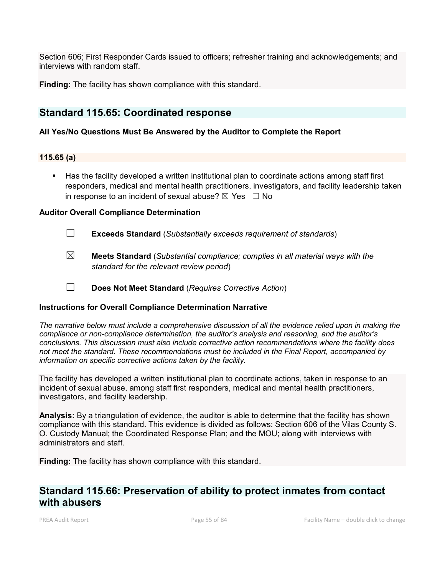Section 606; First Responder Cards issued to officers; refresher training and acknowledgements; and interviews with random staff.

**Finding:** The facility has shown compliance with this standard.

# **Standard 115.65: Coordinated response**

## **All Yes/No Questions Must Be Answered by the Auditor to Complete the Report**

#### **115.65 (a)**

 Has the facility developed a written institutional plan to coordinate actions among staff first responders, medical and mental health practitioners, investigators, and facility leadership taken in response to an incident of sexual abuse?  $\boxtimes$  Yes  $\Box$  No

#### **Auditor Overall Compliance Determination**

- ☐ **Exceeds Standard** (*Substantially exceeds requirement of standards*)
- ☒ **Meets Standard** (*Substantial compliance; complies in all material ways with the standard for the relevant review period*)
- ☐ **Does Not Meet Standard** (*Requires Corrective Action*)

### **Instructions for Overall Compliance Determination Narrative**

*The narrative below must include a comprehensive discussion of all the evidence relied upon in making the compliance or non-compliance determination, the auditor's analysis and reasoning, and the auditor's conclusions. This discussion must also include corrective action recommendations where the facility does not meet the standard. These recommendations must be included in the Final Report, accompanied by information on specific corrective actions taken by the facility.*

The facility has developed a written institutional plan to coordinate actions, taken in response to an incident of sexual abuse, among staff first responders, medical and mental health practitioners, investigators, and facility leadership.

**Analysis:** By a triangulation of evidence, the auditor is able to determine that the facility has shown compliance with this standard. This evidence is divided as follows: Section 606 of the Vilas County S. O. Custody Manual; the Coordinated Response Plan; and the MOU; along with interviews with administrators and staff.

**Finding:** The facility has shown compliance with this standard.

# **Standard 115.66: Preservation of ability to protect inmates from contact with abusers**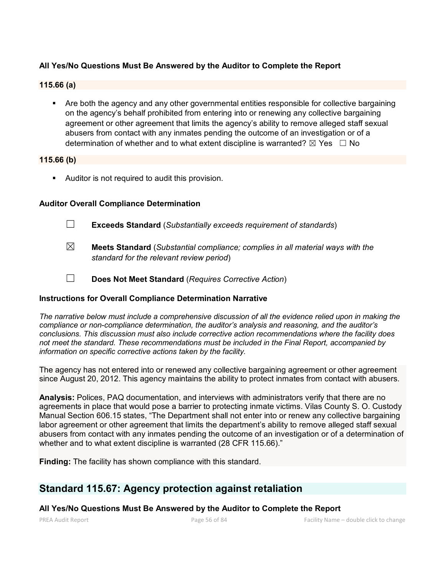## **All Yes/No Questions Must Be Answered by the Auditor to Complete the Report**

#### **115.66 (a)**

 Are both the agency and any other governmental entities responsible for collective bargaining on the agency's behalf prohibited from entering into or renewing any collective bargaining agreement or other agreement that limits the agency's ability to remove alleged staff sexual abusers from contact with any inmates pending the outcome of an investigation or of a determination of whether and to what extent discipline is warranted?  $\boxtimes$  Yes  $\Box$  No

#### **115.66 (b)**

Auditor is not required to audit this provision.

#### **Auditor Overall Compliance Determination**

- ☐ **Exceeds Standard** (*Substantially exceeds requirement of standards*)
- ☒ **Meets Standard** (*Substantial compliance; complies in all material ways with the standard for the relevant review period*)
- ☐ **Does Not Meet Standard** (*Requires Corrective Action*)

#### **Instructions for Overall Compliance Determination Narrative**

*The narrative below must include a comprehensive discussion of all the evidence relied upon in making the compliance or non-compliance determination, the auditor's analysis and reasoning, and the auditor's conclusions. This discussion must also include corrective action recommendations where the facility does not meet the standard. These recommendations must be included in the Final Report, accompanied by information on specific corrective actions taken by the facility.*

The agency has not entered into or renewed any collective bargaining agreement or other agreement since August 20, 2012. This agency maintains the ability to protect inmates from contact with abusers.

**Analysis:** Polices, PAQ documentation, and interviews with administrators verify that there are no agreements in place that would pose a barrier to protecting inmate victims. Vilas County S. O. Custody Manual Section 606.15 states, "The Department shall not enter into or renew any collective bargaining labor agreement or other agreement that limits the department's ability to remove alleged staff sexual abusers from contact with any inmates pending the outcome of an investigation or of a determination of whether and to what extent discipline is warranted (28 CFR 115.66)."

**Finding:** The facility has shown compliance with this standard.

# **Standard 115.67: Agency protection against retaliation**

#### **All Yes/No Questions Must Be Answered by the Auditor to Complete the Report**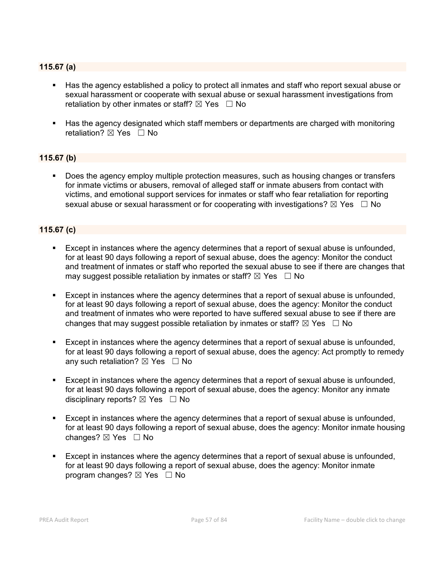## **115.67 (a)**

- Has the agency established a policy to protect all inmates and staff who report sexual abuse or sexual harassment or cooperate with sexual abuse or sexual harassment investigations from retaliation by other inmates or staff?  $\boxtimes$  Yes  $\Box$  No
- Has the agency designated which staff members or departments are charged with monitoring retaliation?  $\boxtimes$  Yes  $\Box$  No

### **115.67 (b)**

 Does the agency employ multiple protection measures, such as housing changes or transfers for inmate victims or abusers, removal of alleged staff or inmate abusers from contact with victims, and emotional support services for inmates or staff who fear retaliation for reporting sexual abuse or sexual harassment or for cooperating with investigations?  $\boxtimes$  Yes  $\Box$  No

## **115.67 (c)**

- Except in instances where the agency determines that a report of sexual abuse is unfounded, for at least 90 days following a report of sexual abuse, does the agency: Monitor the conduct and treatment of inmates or staff who reported the sexual abuse to see if there are changes that may suggest possible retaliation by inmates or staff?  $\boxtimes$  Yes  $\Box$  No
- Except in instances where the agency determines that a report of sexual abuse is unfounded, for at least 90 days following a report of sexual abuse, does the agency: Monitor the conduct and treatment of inmates who were reported to have suffered sexual abuse to see if there are changes that may suggest possible retaliation by inmates or staff?  $\boxtimes$  Yes  $\Box$  No
- Except in instances where the agency determines that a report of sexual abuse is unfounded, for at least 90 days following a report of sexual abuse, does the agency: Act promptly to remedy any such retaliation?  $\boxtimes$  Yes  $\Box$  No
- Except in instances where the agency determines that a report of sexual abuse is unfounded, for at least 90 days following a report of sexual abuse, does the agency: Monitor any inmate disciplinary reports?  $\boxtimes$  Yes  $\Box$  No
- Except in instances where the agency determines that a report of sexual abuse is unfounded, for at least 90 days following a report of sexual abuse, does the agency: Monitor inmate housing changes? ☒ Yes ☐ No
- Except in instances where the agency determines that a report of sexual abuse is unfounded, for at least 90 days following a report of sexual abuse, does the agency: Monitor inmate program changes?  $\boxtimes$  Yes  $\Box$  No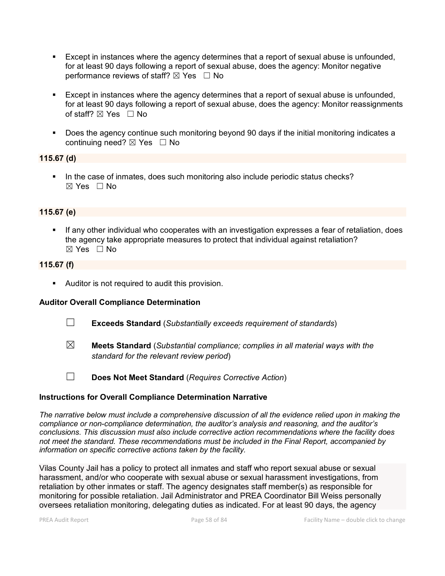- Except in instances where the agency determines that a report of sexual abuse is unfounded, for at least 90 days following a report of sexual abuse, does the agency: Monitor negative performance reviews of staff?  $\boxtimes$  Yes  $\Box$  No
- Except in instances where the agency determines that a report of sexual abuse is unfounded, for at least 90 days following a report of sexual abuse, does the agency: Monitor reassignments of staff?  $\boxtimes$  Yes  $\Box$  No
- Does the agency continue such monitoring beyond 90 days if the initial monitoring indicates a continuing need?  $\boxtimes$  Yes  $\Box$  No

#### **115.67 (d)**

In the case of inmates, does such monitoring also include periodic status checks?  $\boxtimes$  Yes  $\Box$  No

### **115.67 (e)**

 If any other individual who cooperates with an investigation expresses a fear of retaliation, does the agency take appropriate measures to protect that individual against retaliation? ☒ Yes ☐ No

### **115.67 (f)**

Auditor is not required to audit this provision.

### **Auditor Overall Compliance Determination**

- ☐ **Exceeds Standard** (*Substantially exceeds requirement of standards*)
- ☒ **Meets Standard** (*Substantial compliance; complies in all material ways with the standard for the relevant review period*)
- 
- ☐ **Does Not Meet Standard** (*Requires Corrective Action*)

#### **Instructions for Overall Compliance Determination Narrative**

*The narrative below must include a comprehensive discussion of all the evidence relied upon in making the compliance or non-compliance determination, the auditor's analysis and reasoning, and the auditor's conclusions. This discussion must also include corrective action recommendations where the facility does not meet the standard. These recommendations must be included in the Final Report, accompanied by information on specific corrective actions taken by the facility.*

Vilas County Jail has a policy to protect all inmates and staff who report sexual abuse or sexual harassment, and/or who cooperate with sexual abuse or sexual harassment investigations, from retaliation by other inmates or staff. The agency designates staff member(s) as responsible for monitoring for possible retaliation. Jail Administrator and PREA Coordinator Bill Weiss personally oversees retaliation monitoring, delegating duties as indicated. For at least 90 days, the agency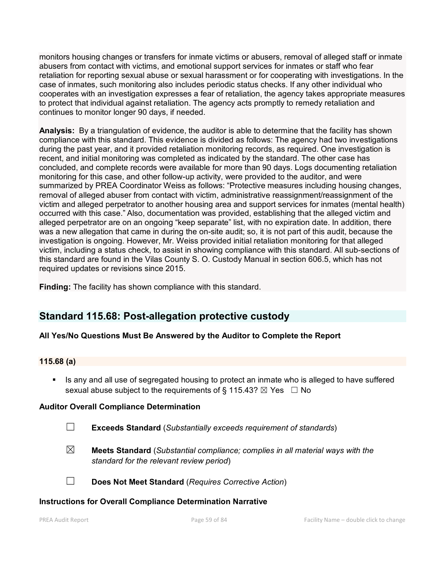monitors housing changes or transfers for inmate victims or abusers, removal of alleged staff or inmate abusers from contact with victims, and emotional support services for inmates or staff who fear retaliation for reporting sexual abuse or sexual harassment or for cooperating with investigations. In the case of inmates, such monitoring also includes periodic status checks. If any other individual who cooperates with an investigation expresses a fear of retaliation, the agency takes appropriate measures to protect that individual against retaliation. The agency acts promptly to remedy retaliation and continues to monitor longer 90 days, if needed.

**Analysis:** By a triangulation of evidence, the auditor is able to determine that the facility has shown compliance with this standard. This evidence is divided as follows: The agency had two investigations during the past year, and it provided retaliation monitoring records, as required. One investigation is recent, and initial monitoring was completed as indicated by the standard. The other case has concluded, and complete records were available for more than 90 days. Logs documenting retaliation monitoring for this case, and other follow-up activity, were provided to the auditor, and were summarized by PREA Coordinator Weiss as follows: "Protective measures including housing changes, removal of alleged abuser from contact with victim, administrative reassignment/reassignment of the victim and alleged perpetrator to another housing area and support services for inmates (mental health) occurred with this case." Also, documentation was provided, establishing that the alleged victim and alleged perpetrator are on an ongoing "keep separate" list, with no expiration date. In addition, there was a new allegation that came in during the on-site audit; so, it is not part of this audit, because the investigation is ongoing. However, Mr. Weiss provided initial retaliation monitoring for that alleged victim, including a status check, to assist in showing compliance with this standard. All sub-sections of this standard are found in the Vilas County S. O. Custody Manual in section 606.5, which has not required updates or revisions since 2015.

**Finding:** The facility has shown compliance with this standard.

# **Standard 115.68: Post-allegation protective custody**

# **All Yes/No Questions Must Be Answered by the Auditor to Complete the Report**

### **115.68 (a)**

 Is any and all use of segregated housing to protect an inmate who is alleged to have suffered sexual abuse subject to the requirements of § 115.43?  $\boxtimes$  Yes  $\Box$  No

### **Auditor Overall Compliance Determination**

- ☐ **Exceeds Standard** (*Substantially exceeds requirement of standards*)
- ☒ **Meets Standard** (*Substantial compliance; complies in all material ways with the standard for the relevant review period*)
- ☐ **Does Not Meet Standard** (*Requires Corrective Action*)

#### **Instructions for Overall Compliance Determination Narrative**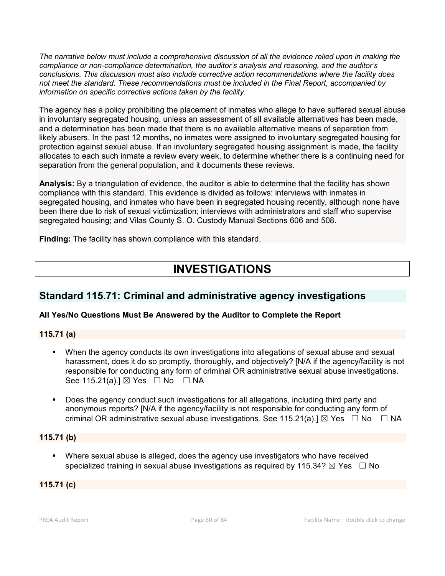*The narrative below must include a comprehensive discussion of all the evidence relied upon in making the compliance or non-compliance determination, the auditor's analysis and reasoning, and the auditor's conclusions. This discussion must also include corrective action recommendations where the facility does not meet the standard. These recommendations must be included in the Final Report, accompanied by information on specific corrective actions taken by the facility.*

The agency has a policy prohibiting the placement of inmates who allege to have suffered sexual abuse in involuntary segregated housing, unless an assessment of all available alternatives has been made, and a determination has been made that there is no available alternative means of separation from likely abusers. In the past 12 months, no inmates were assigned to involuntary segregated housing for protection against sexual abuse. If an involuntary segregated housing assignment is made, the facility allocates to each such inmate a review every week, to determine whether there is a continuing need for separation from the general population, and it documents these reviews.

**Analysis:** By a triangulation of evidence, the auditor is able to determine that the facility has shown compliance with this standard. This evidence is divided as follows: interviews with inmates in segregated housing, and inmates who have been in segregated housing recently, although none have been there due to risk of sexual victimization; interviews with administrators and staff who supervise segregated housing; and Vilas County S. O. Custody Manual Sections 606 and 508.

**Finding:** The facility has shown compliance with this standard.

# **INVESTIGATIONS**

# **Standard 115.71: Criminal and administrative agency investigations**

# **All Yes/No Questions Must Be Answered by the Auditor to Complete the Report**

# **115.71 (a)**

- When the agency conducts its own investigations into allegations of sexual abuse and sexual harassment, does it do so promptly, thoroughly, and objectively? [N/A if the agency/facility is not responsible for conducting any form of criminal OR administrative sexual abuse investigations. See 115.21(a).]  $\boxtimes$  Yes  $\Box$  No  $\Box$  NA
- Does the agency conduct such investigations for all allegations, including third party and anonymous reports? [N/A if the agency/facility is not responsible for conducting any form of criminal OR administrative sexual abuse investigations. See 115.21(a).]  $\boxtimes$  Yes  $\Box$  No  $\Box$  NA

# **115.71 (b)**

 Where sexual abuse is alleged, does the agency use investigators who have received specialized training in sexual abuse investigations as required by 115.34?  $\boxtimes$  Yes  $\Box$  No

# **115.71 (c)**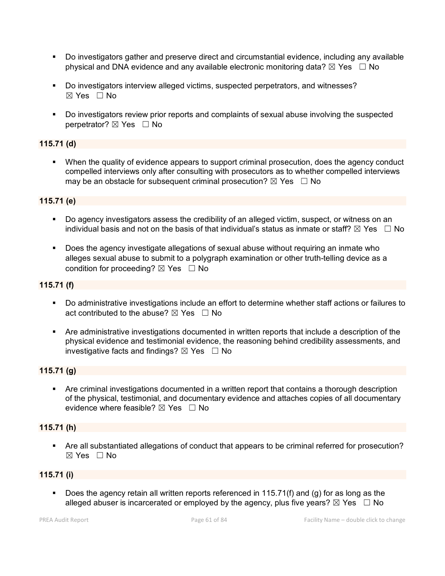- Do investigators gather and preserve direct and circumstantial evidence, including any available physical and DNA evidence and any available electronic monitoring data?  $\boxtimes$  Yes  $\Box$  No
- Do investigators interview alleged victims, suspected perpetrators, and witnesses?  $\boxtimes$  Yes  $\Box$  No
- Do investigators review prior reports and complaints of sexual abuse involving the suspected perpetrator?  $\boxtimes$  Yes  $\Box$  No

## **115.71 (d)**

 When the quality of evidence appears to support criminal prosecution, does the agency conduct compelled interviews only after consulting with prosecutors as to whether compelled interviews may be an obstacle for subsequent criminal prosecution?  $\boxtimes$  Yes  $\Box$  No

#### **115.71 (e)**

- Do agency investigators assess the credibility of an alleged victim, suspect, or witness on an individual basis and not on the basis of that individual's status as inmate or staff?  $\boxtimes$  Yes  $\Box$  No
- **Does the agency investigate allegations of sexual abuse without requiring an inmate who** alleges sexual abuse to submit to a polygraph examination or other truth-telling device as a condition for proceeding?  $\boxtimes$  Yes  $\Box$  No

#### **115.71 (f)**

- Do administrative investigations include an effort to determine whether staff actions or failures to act contributed to the abuse?  $\boxtimes$  Yes  $\Box$  No
- Are administrative investigations documented in written reports that include a description of the physical evidence and testimonial evidence, the reasoning behind credibility assessments, and investigative facts and findings?  $\boxtimes$  Yes  $\Box$  No

#### **115.71 (g)**

 Are criminal investigations documented in a written report that contains a thorough description of the physical, testimonial, and documentary evidence and attaches copies of all documentary evidence where feasible?  $\boxtimes$  Yes  $\Box$  No

#### **115.71 (h)**

 Are all substantiated allegations of conduct that appears to be criminal referred for prosecution? ☒ Yes ☐ No

#### **115.71 (i)**

Does the agency retain all written reports referenced in 115.71(f) and (q) for as long as the alleged abuser is incarcerated or employed by the agency, plus five years?  $\boxtimes$  Yes  $\Box$  No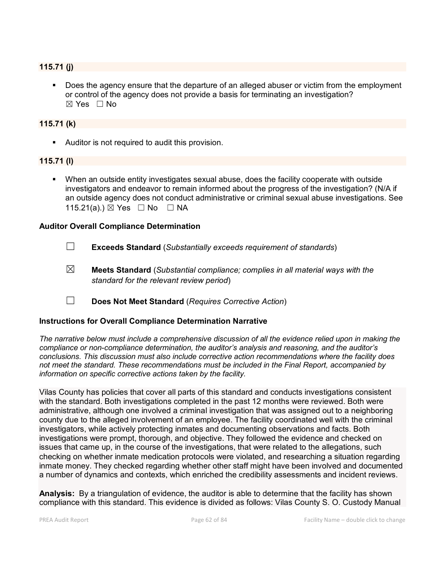#### **115.71 (j)**

 Does the agency ensure that the departure of an alleged abuser or victim from the employment or control of the agency does not provide a basis for terminating an investigation?  $\boxtimes$  Yes  $\Box$  No

#### **115.71 (k)**

Auditor is not required to audit this provision.

#### **115.71 (l)**

 When an outside entity investigates sexual abuse, does the facility cooperate with outside investigators and endeavor to remain informed about the progress of the investigation? (N/A if an outside agency does not conduct administrative or criminal sexual abuse investigations. See 115.21(a).)  $\boxtimes$  Yes  $\Box$  No  $\Box$  NA

#### **Auditor Overall Compliance Determination**



- ☒ **Meets Standard** (*Substantial compliance; complies in all material ways with the standard for the relevant review period*)
- ☐ **Does Not Meet Standard** (*Requires Corrective Action*)

#### **Instructions for Overall Compliance Determination Narrative**

*The narrative below must include a comprehensive discussion of all the evidence relied upon in making the compliance or non-compliance determination, the auditor's analysis and reasoning, and the auditor's conclusions. This discussion must also include corrective action recommendations where the facility does not meet the standard. These recommendations must be included in the Final Report, accompanied by information on specific corrective actions taken by the facility.*

Vilas County has policies that cover all parts of this standard and conducts investigations consistent with the standard. Both investigations completed in the past 12 months were reviewed. Both were administrative, although one involved a criminal investigation that was assigned out to a neighboring county due to the alleged involvement of an employee. The facility coordinated well with the criminal investigators, while actively protecting inmates and documenting observations and facts. Both investigations were prompt, thorough, and objective. They followed the evidence and checked on issues that came up, in the course of the investigations, that were related to the allegations, such checking on whether inmate medication protocols were violated, and researching a situation regarding inmate money. They checked regarding whether other staff might have been involved and documented a number of dynamics and contexts, which enriched the credibility assessments and incident reviews.

**Analysis:** By a triangulation of evidence, the auditor is able to determine that the facility has shown compliance with this standard. This evidence is divided as follows: Vilas County S. O. Custody Manual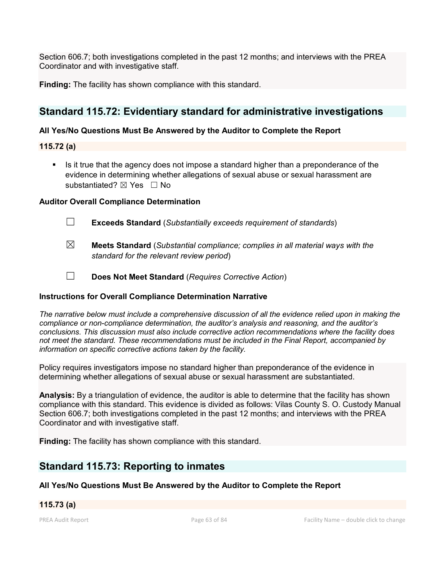Section 606.7; both investigations completed in the past 12 months; and interviews with the PREA Coordinator and with investigative staff.

**Finding:** The facility has shown compliance with this standard.

# **Standard 115.72: Evidentiary standard for administrative investigations**

## **All Yes/No Questions Must Be Answered by the Auditor to Complete the Report**

**115.72 (a)**

Is it true that the agency does not impose a standard higher than a preponderance of the evidence in determining whether allegations of sexual abuse or sexual harassment are substantiated?  $\boxtimes$  Yes  $\Box$  No

### **Auditor Overall Compliance Determination**

- ☐ **Exceeds Standard** (*Substantially exceeds requirement of standards*)
- ☒ **Meets Standard** (*Substantial compliance; complies in all material ways with the standard for the relevant review period*)
- ☐ **Does Not Meet Standard** (*Requires Corrective Action*)

### **Instructions for Overall Compliance Determination Narrative**

*The narrative below must include a comprehensive discussion of all the evidence relied upon in making the compliance or non-compliance determination, the auditor's analysis and reasoning, and the auditor's conclusions. This discussion must also include corrective action recommendations where the facility does not meet the standard. These recommendations must be included in the Final Report, accompanied by information on specific corrective actions taken by the facility.*

Policy requires investigators impose no standard higher than preponderance of the evidence in determining whether allegations of sexual abuse or sexual harassment are substantiated.

**Analysis:** By a triangulation of evidence, the auditor is able to determine that the facility has shown compliance with this standard. This evidence is divided as follows: Vilas County S. O. Custody Manual Section 606.7; both investigations completed in the past 12 months; and interviews with the PREA Coordinator and with investigative staff.

**Finding:** The facility has shown compliance with this standard.

# **Standard 115.73: Reporting to inmates**

# **All Yes/No Questions Must Be Answered by the Auditor to Complete the Report**

# **115.73 (a)**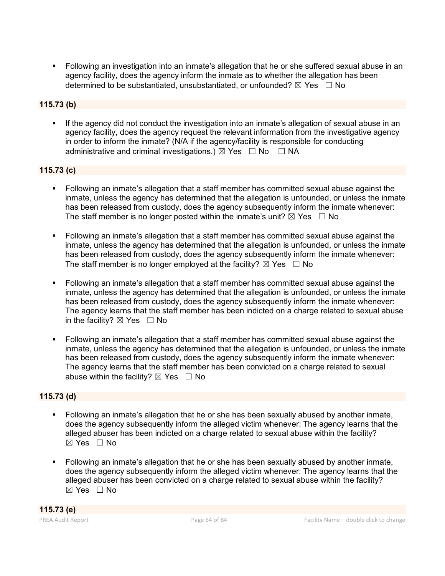Following an investigation into an inmate's allegation that he or she suffered sexual abuse in an agency facility, does the agency inform the inmate as to whether the allegation has been determined to be substantiated, unsubstantiated, or unfounded?  $\boxtimes$  Yes  $\Box$  No

# **115.73 (b)**

 If the agency did not conduct the investigation into an inmate's allegation of sexual abuse in an agency facility, does the agency request the relevant information from the investigative agency in order to inform the inmate? (N/A if the agency/facility is responsible for conducting administrative and criminal investigations.)  $\boxtimes$  Yes  $\Box$  No  $\Box$  NA

## **115.73 (c)**

- Following an inmate's allegation that a staff member has committed sexual abuse against the inmate, unless the agency has determined that the allegation is unfounded, or unless the inmate has been released from custody, does the agency subsequently inform the inmate whenever: The staff member is no longer posted within the inmate's unit?  $\boxtimes$  Yes  $\Box$  No
- Following an inmate's allegation that a staff member has committed sexual abuse against the inmate, unless the agency has determined that the allegation is unfounded, or unless the inmate has been released from custody, does the agency subsequently inform the inmate whenever: The staff member is no longer employed at the facility?  $\boxtimes$  Yes  $\Box$  No
- Following an inmate's allegation that a staff member has committed sexual abuse against the inmate, unless the agency has determined that the allegation is unfounded, or unless the inmate has been released from custody, does the agency subsequently inform the inmate whenever: The agency learns that the staff member has been indicted on a charge related to sexual abuse in the facility?  $\boxtimes$  Yes  $\Box$  No
- Following an inmate's allegation that a staff member has committed sexual abuse against the inmate, unless the agency has determined that the allegation is unfounded, or unless the inmate has been released from custody, does the agency subsequently inform the inmate whenever: The agency learns that the staff member has been convicted on a charge related to sexual abuse within the facility?  $\boxtimes$  Yes  $\Box$  No

# **115.73 (d)**

- Following an inmate's allegation that he or she has been sexually abused by another inmate, does the agency subsequently inform the alleged victim whenever: The agency learns that the alleged abuser has been indicted on a charge related to sexual abuse within the facility?  $\boxtimes$  Yes  $\Box$  No
- Following an inmate's allegation that he or she has been sexually abused by another inmate, does the agency subsequently inform the alleged victim whenever: The agency learns that the alleged abuser has been convicted on a charge related to sexual abuse within the facility?  $\boxtimes$  Yes  $\Box$  No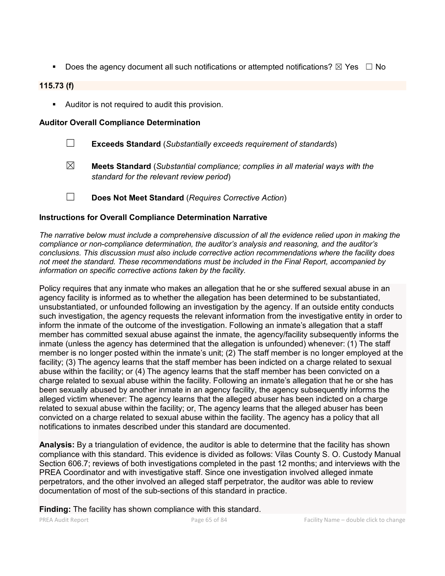Does the agency document all such notifications or attempted notifications?  $\boxtimes$  Yes  $\Box$  No

## **115.73 (f)**

Auditor is not required to audit this provision.

#### **Auditor Overall Compliance Determination**

- ☐ **Exceeds Standard** (*Substantially exceeds requirement of standards*)
- ☒ **Meets Standard** (*Substantial compliance; complies in all material ways with the standard for the relevant review period*)
- ☐ **Does Not Meet Standard** (*Requires Corrective Action*)

### **Instructions for Overall Compliance Determination Narrative**

*The narrative below must include a comprehensive discussion of all the evidence relied upon in making the compliance or non-compliance determination, the auditor's analysis and reasoning, and the auditor's conclusions. This discussion must also include corrective action recommendations where the facility does not meet the standard. These recommendations must be included in the Final Report, accompanied by information on specific corrective actions taken by the facility.*

Policy requires that any inmate who makes an allegation that he or she suffered sexual abuse in an agency facility is informed as to whether the allegation has been determined to be substantiated, unsubstantiated, or unfounded following an investigation by the agency. If an outside entity conducts such investigation, the agency requests the relevant information from the investigative entity in order to inform the inmate of the outcome of the investigation. Following an inmate's allegation that a staff member has committed sexual abuse against the inmate, the agency/facility subsequently informs the inmate (unless the agency has determined that the allegation is unfounded) whenever: (1) The staff member is no longer posted within the inmate's unit; (2) The staff member is no longer employed at the facility; (3) The agency learns that the staff member has been indicted on a charge related to sexual abuse within the facility; or (4) The agency learns that the staff member has been convicted on a charge related to sexual abuse within the facility. Following an inmate's allegation that he or she has been sexually abused by another inmate in an agency facility, the agency subsequently informs the alleged victim whenever: The agency learns that the alleged abuser has been indicted on a charge related to sexual abuse within the facility; or, The agency learns that the alleged abuser has been convicted on a charge related to sexual abuse within the facility. The agency has a policy that all notifications to inmates described under this standard are documented.

**Analysis:** By a triangulation of evidence, the auditor is able to determine that the facility has shown compliance with this standard. This evidence is divided as follows: Vilas County S. O. Custody Manual Section 606.7; reviews of both investigations completed in the past 12 months; and interviews with the PREA Coordinator and with investigative staff. Since one investigation involved alleged inmate perpetrators, and the other involved an alleged staff perpetrator, the auditor was able to review documentation of most of the sub-sections of this standard in practice.

**Finding:** The facility has shown compliance with this standard.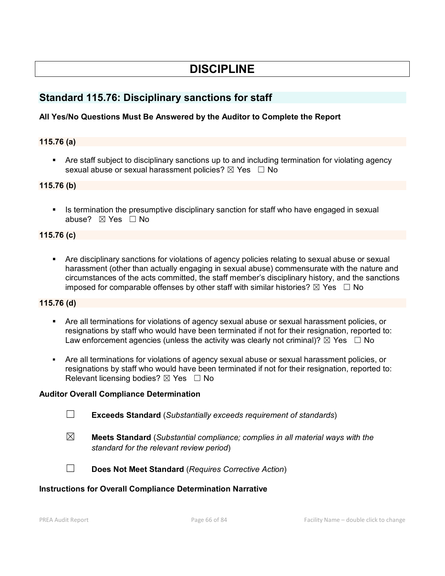# **DISCIPLINE**

# **Standard 115.76: Disciplinary sanctions for staff**

## **All Yes/No Questions Must Be Answered by the Auditor to Complete the Report**

### **115.76 (a)**

 Are staff subject to disciplinary sanctions up to and including termination for violating agency sexual abuse or sexual harassment policies?  $\boxtimes$  Yes  $\Box$  No

#### **115.76 (b)**

 Is termination the presumptive disciplinary sanction for staff who have engaged in sexual abuse?  $\boxtimes$  Yes  $\Box$  No

#### **115.76 (c)**

 Are disciplinary sanctions for violations of agency policies relating to sexual abuse or sexual harassment (other than actually engaging in sexual abuse) commensurate with the nature and circumstances of the acts committed, the staff member's disciplinary history, and the sanctions imposed for comparable offenses by other staff with similar histories?  $\boxtimes$  Yes  $\Box$  No

#### **115.76 (d)**

- Are all terminations for violations of agency sexual abuse or sexual harassment policies, or resignations by staff who would have been terminated if not for their resignation, reported to: Law enforcement agencies (unless the activity was clearly not criminal)?  $\boxtimes$  Yes  $\Box$  No
- Are all terminations for violations of agency sexual abuse or sexual harassment policies, or resignations by staff who would have been terminated if not for their resignation, reported to: Relevant licensing bodies?  $\boxtimes$  Yes  $\Box$  No

### **Auditor Overall Compliance Determination**

- ☐ **Exceeds Standard** (*Substantially exceeds requirement of standards*)
- ☒ **Meets Standard** (*Substantial compliance; complies in all material ways with the standard for the relevant review period*)



☐ **Does Not Meet Standard** (*Requires Corrective Action*)

### **Instructions for Overall Compliance Determination Narrative**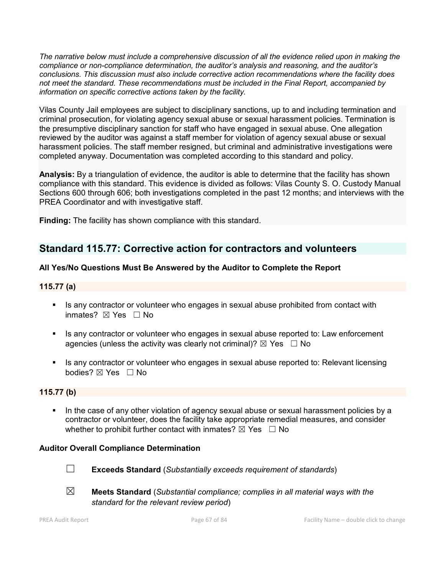*The narrative below must include a comprehensive discussion of all the evidence relied upon in making the compliance or non-compliance determination, the auditor's analysis and reasoning, and the auditor's conclusions. This discussion must also include corrective action recommendations where the facility does not meet the standard. These recommendations must be included in the Final Report, accompanied by information on specific corrective actions taken by the facility.*

Vilas County Jail employees are subject to disciplinary sanctions, up to and including termination and criminal prosecution, for violating agency sexual abuse or sexual harassment policies. Termination is the presumptive disciplinary sanction for staff who have engaged in sexual abuse. One allegation reviewed by the auditor was against a staff member for violation of agency sexual abuse or sexual harassment policies. The staff member resigned, but criminal and administrative investigations were completed anyway. Documentation was completed according to this standard and policy.

**Analysis:** By a triangulation of evidence, the auditor is able to determine that the facility has shown compliance with this standard. This evidence is divided as follows: Vilas County S. O. Custody Manual Sections 600 through 606; both investigations completed in the past 12 months; and interviews with the PREA Coordinator and with investigative staff.

**Finding:** The facility has shown compliance with this standard.

# **Standard 115.77: Corrective action for contractors and volunteers**

# **All Yes/No Questions Must Be Answered by the Auditor to Complete the Report**

## **115.77 (a)**

- Is any contractor or volunteer who engages in sexual abuse prohibited from contact with inmates? ☒ Yes ☐ No
- Is any contractor or volunteer who engages in sexual abuse reported to: Law enforcement agencies (unless the activity was clearly not criminal)?  $\boxtimes$  Yes  $\Box$  No
- Is any contractor or volunteer who engages in sexual abuse reported to: Relevant licensing bodies? ⊠ Yes □ No

# **115.77 (b)**

 In the case of any other violation of agency sexual abuse or sexual harassment policies by a contractor or volunteer, does the facility take appropriate remedial measures, and consider whether to prohibit further contact with inmates?  $\boxtimes$  Yes  $\Box$  No

### **Auditor Overall Compliance Determination**



☐ **Exceeds Standard** (*Substantially exceeds requirement of standards*)



☒ **Meets Standard** (*Substantial compliance; complies in all material ways with the standard for the relevant review period*)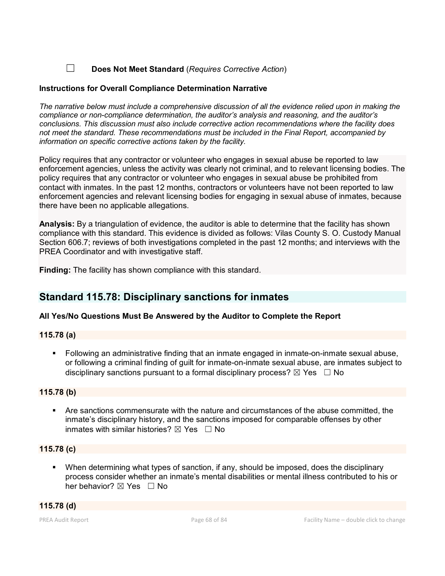## ☐ **Does Not Meet Standard** (*Requires Corrective Action*)

#### **Instructions for Overall Compliance Determination Narrative**

*The narrative below must include a comprehensive discussion of all the evidence relied upon in making the compliance or non-compliance determination, the auditor's analysis and reasoning, and the auditor's conclusions. This discussion must also include corrective action recommendations where the facility does not meet the standard. These recommendations must be included in the Final Report, accompanied by information on specific corrective actions taken by the facility.*

Policy requires that any contractor or volunteer who engages in sexual abuse be reported to law enforcement agencies, unless the activity was clearly not criminal, and to relevant licensing bodies. The policy requires that any contractor or volunteer who engages in sexual abuse be prohibited from contact with inmates. In the past 12 months, contractors or volunteers have not been reported to law enforcement agencies and relevant licensing bodies for engaging in sexual abuse of inmates, because there have been no applicable allegations.

**Analysis:** By a triangulation of evidence, the auditor is able to determine that the facility has shown compliance with this standard. This evidence is divided as follows: Vilas County S. O. Custody Manual Section 606.7; reviews of both investigations completed in the past 12 months; and interviews with the PREA Coordinator and with investigative staff.

**Finding:** The facility has shown compliance with this standard.

# **Standard 115.78: Disciplinary sanctions for inmates**

### **All Yes/No Questions Must Be Answered by the Auditor to Complete the Report**

#### **115.78 (a)**

 Following an administrative finding that an inmate engaged in inmate-on-inmate sexual abuse, or following a criminal finding of guilt for inmate-on-inmate sexual abuse, are inmates subject to disciplinary sanctions pursuant to a formal disciplinary process?  $\boxtimes$  Yes  $\Box$  No

### **115.78 (b)**

 Are sanctions commensurate with the nature and circumstances of the abuse committed, the inmate's disciplinary history, and the sanctions imposed for comparable offenses by other inmates with similar histories?  $\nabla$  Yes  $\Box$  No

### **115.78 (c)**

 When determining what types of sanction, if any, should be imposed, does the disciplinary process consider whether an inmate's mental disabilities or mental illness contributed to his or her behavior?  $\boxtimes$  Yes  $\Box$  No

**115.78 (d)**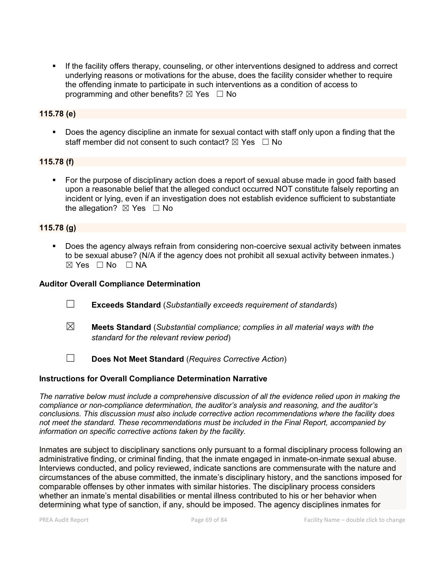If the facility offers therapy, counseling, or other interventions designed to address and correct underlying reasons or motivations for the abuse, does the facility consider whether to require the offending inmate to participate in such interventions as a condition of access to programming and other benefits?  $\boxtimes$  Yes  $\Box$  No

## **115.78 (e)**

 Does the agency discipline an inmate for sexual contact with staff only upon a finding that the staff member did not consent to such contact?  $\boxtimes$  Yes  $\Box$  No

### **115.78 (f)**

 For the purpose of disciplinary action does a report of sexual abuse made in good faith based upon a reasonable belief that the alleged conduct occurred NOT constitute falsely reporting an incident or lying, even if an investigation does not establish evidence sufficient to substantiate the allegation?  $\boxtimes$  Yes  $\Box$  No

### **115.78 (g)**

 Does the agency always refrain from considering non-coercive sexual activity between inmates to be sexual abuse? (N/A if the agency does not prohibit all sexual activity between inmates.)  $\boxtimes$  Yes  $\Box$  No  $\Box$  NA

#### **Auditor Overall Compliance Determination**

- ☐ **Exceeds Standard** (*Substantially exceeds requirement of standards*)
- ☒ **Meets Standard** (*Substantial compliance; complies in all material ways with the standard for the relevant review period*)
- ☐ **Does Not Meet Standard** (*Requires Corrective Action*)

#### **Instructions for Overall Compliance Determination Narrative**

*The narrative below must include a comprehensive discussion of all the evidence relied upon in making the compliance or non-compliance determination, the auditor's analysis and reasoning, and the auditor's conclusions. This discussion must also include corrective action recommendations where the facility does not meet the standard. These recommendations must be included in the Final Report, accompanied by information on specific corrective actions taken by the facility.*

Inmates are subject to disciplinary sanctions only pursuant to a formal disciplinary process following an administrative finding, or criminal finding, that the inmate engaged in inmate-on-inmate sexual abuse. Interviews conducted, and policy reviewed, indicate sanctions are commensurate with the nature and circumstances of the abuse committed, the inmate's disciplinary history, and the sanctions imposed for comparable offenses by other inmates with similar histories. The disciplinary process considers whether an inmate's mental disabilities or mental illness contributed to his or her behavior when determining what type of sanction, if any, should be imposed. The agency disciplines inmates for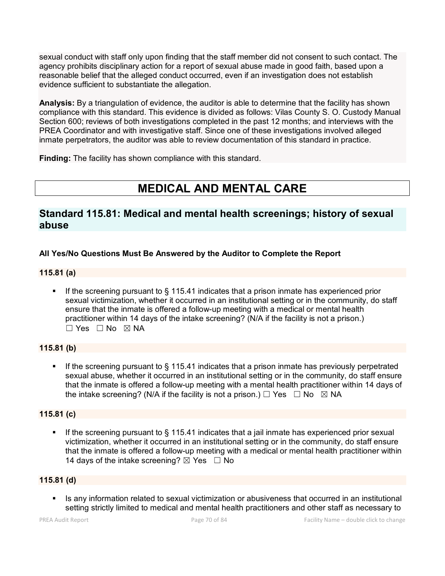sexual conduct with staff only upon finding that the staff member did not consent to such contact. The agency prohibits disciplinary action for a report of sexual abuse made in good faith, based upon a reasonable belief that the alleged conduct occurred, even if an investigation does not establish evidence sufficient to substantiate the allegation.

**Analysis:** By a triangulation of evidence, the auditor is able to determine that the facility has shown compliance with this standard. This evidence is divided as follows: Vilas County S. O. Custody Manual Section 600; reviews of both investigations completed in the past 12 months; and interviews with the PREA Coordinator and with investigative staff. Since one of these investigations involved alleged inmate perpetrators, the auditor was able to review documentation of this standard in practice.

**Finding:** The facility has shown compliance with this standard.

# **MEDICAL AND MENTAL CARE**

# **Standard 115.81: Medical and mental health screenings; history of sexual abuse**

# **All Yes/No Questions Must Be Answered by the Auditor to Complete the Report**

## **115.81 (a)**

 If the screening pursuant to § 115.41 indicates that a prison inmate has experienced prior sexual victimization, whether it occurred in an institutional setting or in the community, do staff ensure that the inmate is offered a follow-up meeting with a medical or mental health practitioner within 14 days of the intake screening? (N/A if the facility is not a prison.) ☐ Yes ☐ No ☒ NA

# **115.81 (b)**

 If the screening pursuant to § 115.41 indicates that a prison inmate has previously perpetrated sexual abuse, whether it occurred in an institutional setting or in the community, do staff ensure that the inmate is offered a follow-up meeting with a mental health practitioner within 14 days of the intake screening? (N/A if the facility is not a prison.)  $\Box$  Yes  $\Box$  No  $\boxtimes$  NA

# **115.81 (c)**

 If the screening pursuant to § 115.41 indicates that a jail inmate has experienced prior sexual victimization, whether it occurred in an institutional setting or in the community, do staff ensure that the inmate is offered a follow-up meeting with a medical or mental health practitioner within 14 days of the intake screening?  $\boxtimes$  Yes  $\Box$  No

# **115.81 (d)**

Is any information related to sexual victimization or abusiveness that occurred in an institutional setting strictly limited to medical and mental health practitioners and other staff as necessary to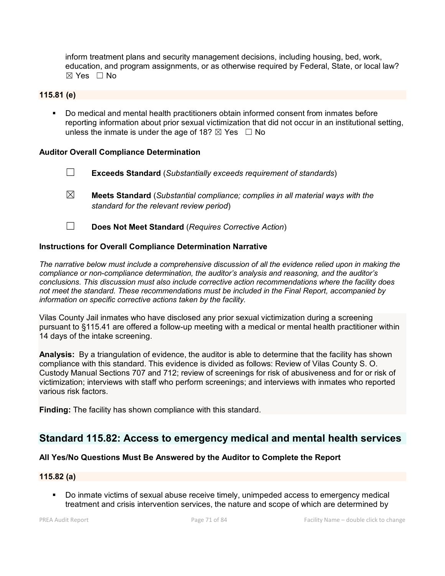inform treatment plans and security management decisions, including housing, bed, work, education, and program assignments, or as otherwise required by Federal, State, or local law?  $\boxtimes$  Yes  $\Box$  No

### **115.81 (e)**

 Do medical and mental health practitioners obtain informed consent from inmates before reporting information about prior sexual victimization that did not occur in an institutional setting, unless the inmate is under the age of 18?  $\boxtimes$  Yes  $\Box$  No

#### **Auditor Overall Compliance Determination**

- ☐ **Exceeds Standard** (*Substantially exceeds requirement of standards*)
- ☒ **Meets Standard** (*Substantial compliance; complies in all material ways with the standard for the relevant review period*)
- ☐ **Does Not Meet Standard** (*Requires Corrective Action*)

#### **Instructions for Overall Compliance Determination Narrative**

*The narrative below must include a comprehensive discussion of all the evidence relied upon in making the compliance or non-compliance determination, the auditor's analysis and reasoning, and the auditor's conclusions. This discussion must also include corrective action recommendations where the facility does not meet the standard. These recommendations must be included in the Final Report, accompanied by information on specific corrective actions taken by the facility.*

Vilas County Jail inmates who have disclosed any prior sexual victimization during a screening pursuant to §115.41 are offered a follow-up meeting with a medical or mental health practitioner within 14 days of the intake screening.

**Analysis:** By a triangulation of evidence, the auditor is able to determine that the facility has shown compliance with this standard. This evidence is divided as follows: Review of Vilas County S. O. Custody Manual Sections 707 and 712; review of screenings for risk of abusiveness and for or risk of victimization; interviews with staff who perform screenings; and interviews with inmates who reported various risk factors.

**Finding:** The facility has shown compliance with this standard.

# **Standard 115.82: Access to emergency medical and mental health services**

### **All Yes/No Questions Must Be Answered by the Auditor to Complete the Report**

#### **115.82 (a)**

 Do inmate victims of sexual abuse receive timely, unimpeded access to emergency medical treatment and crisis intervention services, the nature and scope of which are determined by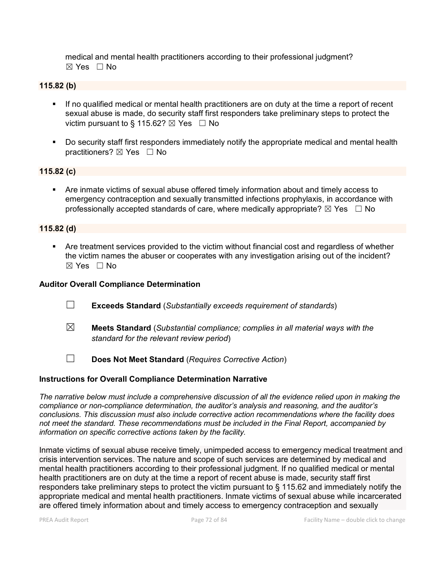medical and mental health practitioners according to their professional judgment?  $\boxtimes$  Yes  $\Box$  No

## **115.82 (b)**

- If no qualified medical or mental health practitioners are on duty at the time a report of recent sexual abuse is made, do security staff first responders take preliminary steps to protect the victim pursuant to § 115.62?  $\boxtimes$  Yes  $\Box$  No
- Do security staff first responders immediately notify the appropriate medical and mental health practitioners?  $\boxtimes$  Yes  $\Box$  No

#### **115.82 (c)**

 Are inmate victims of sexual abuse offered timely information about and timely access to emergency contraception and sexually transmitted infections prophylaxis, in accordance with professionally accepted standards of care, where medically appropriate?  $\boxtimes$  Yes  $\Box$  No

#### **115.82 (d)**

 Are treatment services provided to the victim without financial cost and regardless of whether the victim names the abuser or cooperates with any investigation arising out of the incident?  $\boxtimes$  Yes  $\Box$  No

#### **Auditor Overall Compliance Determination**

- ☐ **Exceeds Standard** (*Substantially exceeds requirement of standards*)
- ☒ **Meets Standard** (*Substantial compliance; complies in all material ways with the standard for the relevant review period*)
- ☐ **Does Not Meet Standard** (*Requires Corrective Action*)

#### **Instructions for Overall Compliance Determination Narrative**

*The narrative below must include a comprehensive discussion of all the evidence relied upon in making the compliance or non-compliance determination, the auditor's analysis and reasoning, and the auditor's conclusions. This discussion must also include corrective action recommendations where the facility does not meet the standard. These recommendations must be included in the Final Report, accompanied by information on specific corrective actions taken by the facility.*

Inmate victims of sexual abuse receive timely, unimpeded access to emergency medical treatment and crisis intervention services. The nature and scope of such services are determined by medical and mental health practitioners according to their professional judgment. If no qualified medical or mental health practitioners are on duty at the time a report of recent abuse is made, security staff first responders take preliminary steps to protect the victim pursuant to § 115.62 and immediately notify the appropriate medical and mental health practitioners. Inmate victims of sexual abuse while incarcerated are offered timely information about and timely access to emergency contraception and sexually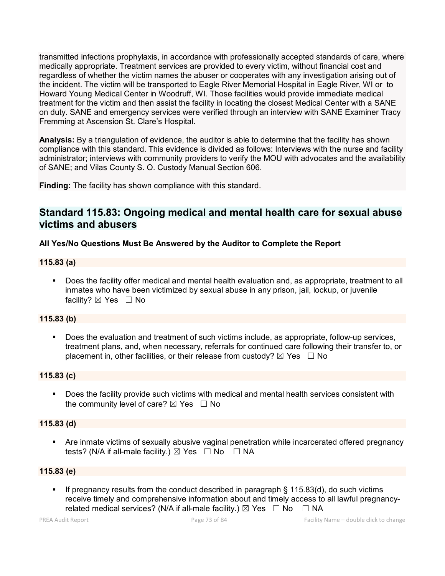transmitted infections prophylaxis, in accordance with professionally accepted standards of care, where medically appropriate. Treatment services are provided to every victim, without financial cost and regardless of whether the victim names the abuser or cooperates with any investigation arising out of the incident. The victim will be transported to Eagle River Memorial Hospital in Eagle River, WI or to Howard Young Medical Center in Woodruff, WI. Those facilities would provide immediate medical treatment for the victim and then assist the facility in locating the closest Medical Center with a SANE on duty. SANE and emergency services were verified through an interview with SANE Examiner Tracy Fremming at Ascension St. Clare's Hospital.

**Analysis:** By a triangulation of evidence, the auditor is able to determine that the facility has shown compliance with this standard. This evidence is divided as follows: Interviews with the nurse and facility administrator; interviews with community providers to verify the MOU with advocates and the availability of SANE; and Vilas County S. O. Custody Manual Section 606.

**Finding:** The facility has shown compliance with this standard.

# **Standard 115.83: Ongoing medical and mental health care for sexual abuse victims and abusers**

# **All Yes/No Questions Must Be Answered by the Auditor to Complete the Report**

# **115.83 (a)**

 Does the facility offer medical and mental health evaluation and, as appropriate, treatment to all inmates who have been victimized by sexual abuse in any prison, jail, lockup, or juvenile facility?  $\boxtimes$  Yes  $\Box$  No

# **115.83 (b)**

 Does the evaluation and treatment of such victims include, as appropriate, follow-up services, treatment plans, and, when necessary, referrals for continued care following their transfer to, or placement in, other facilities, or their release from custody?  $\boxtimes$  Yes  $\Box$  No

# **115.83 (c)**

 Does the facility provide such victims with medical and mental health services consistent with the community level of care?  $\boxtimes$  Yes  $\Box$  No

#### **115.83 (d)**

 Are inmate victims of sexually abusive vaginal penetration while incarcerated offered pregnancy tests? (N/A if all-male facility.)  $\boxtimes$  Yes  $\Box$  No  $\Box$  NA

#### **115.83 (e)**

 If pregnancy results from the conduct described in paragraph § 115.83(d), do such victims receive timely and comprehensive information about and timely access to all lawful pregnancyrelated medical services? (N/A if all-male facility.)  $\boxtimes$  Yes  $\Box$  No  $\Box$  NA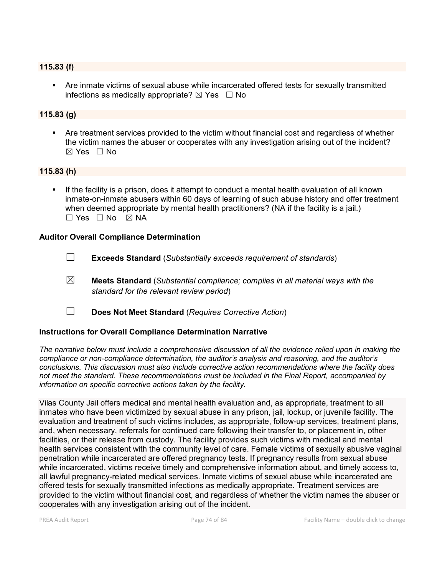#### **115.83 (f)**

 Are inmate victims of sexual abuse while incarcerated offered tests for sexually transmitted infections as medically appropriate?  $\boxtimes$  Yes  $\Box$  No

# **115.83 (g)**

 Are treatment services provided to the victim without financial cost and regardless of whether the victim names the abuser or cooperates with any investigation arising out of the incident?  $\boxtimes$  Yes  $\Box$  No

#### **115.83 (h)**

 If the facility is a prison, does it attempt to conduct a mental health evaluation of all known inmate-on-inmate abusers within 60 days of learning of such abuse history and offer treatment when deemed appropriate by mental health practitioners? (NA if the facility is a jail.)  $\Box$  Yes  $\Box$  No  $\boxtimes$  NA

#### **Auditor Overall Compliance Determination**

- ☐ **Exceeds Standard** (*Substantially exceeds requirement of standards*)
- ☒ **Meets Standard** (*Substantial compliance; complies in all material ways with the standard for the relevant review period*)
- ☐ **Does Not Meet Standard** (*Requires Corrective Action*)

#### **Instructions for Overall Compliance Determination Narrative**

*The narrative below must include a comprehensive discussion of all the evidence relied upon in making the compliance or non-compliance determination, the auditor's analysis and reasoning, and the auditor's conclusions. This discussion must also include corrective action recommendations where the facility does not meet the standard. These recommendations must be included in the Final Report, accompanied by information on specific corrective actions taken by the facility.*

Vilas County Jail offers medical and mental health evaluation and, as appropriate, treatment to all inmates who have been victimized by sexual abuse in any prison, jail, lockup, or juvenile facility. The evaluation and treatment of such victims includes, as appropriate, follow-up services, treatment plans, and, when necessary, referrals for continued care following their transfer to, or placement in, other facilities, or their release from custody. The facility provides such victims with medical and mental health services consistent with the community level of care. Female victims of sexually abusive vaginal penetration while incarcerated are offered pregnancy tests. If pregnancy results from sexual abuse while incarcerated, victims receive timely and comprehensive information about, and timely access to, all lawful pregnancy-related medical services. Inmate victims of sexual abuse while incarcerated are offered tests for sexually transmitted infections as medically appropriate. Treatment services are provided to the victim without financial cost, and regardless of whether the victim names the abuser or cooperates with any investigation arising out of the incident.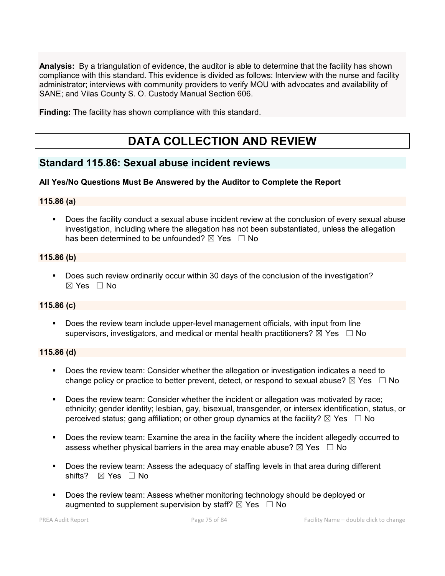**Analysis:** By a triangulation of evidence, the auditor is able to determine that the facility has shown compliance with this standard. This evidence is divided as follows: Interview with the nurse and facility administrator; interviews with community providers to verify MOU with advocates and availability of SANE; and Vilas County S. O. Custody Manual Section 606.

**Finding:** The facility has shown compliance with this standard.

# **DATA COLLECTION AND REVIEW**

# **Standard 115.86: Sexual abuse incident reviews**

# **All Yes/No Questions Must Be Answered by the Auditor to Complete the Report**

# **115.86 (a)**

 Does the facility conduct a sexual abuse incident review at the conclusion of every sexual abuse investigation, including where the allegation has not been substantiated, unless the allegation has been determined to be unfounded?  $\boxtimes$  Yes  $\Box$  No

# **115.86 (b)**

**-** Does such review ordinarily occur within 30 days of the conclusion of the investigation?  $\boxtimes$  Yes  $\Box$  No

# **115.86 (c)**

 Does the review team include upper-level management officials, with input from line supervisors, investigators, and medical or mental health practitioners?  $\boxtimes$  Yes  $\Box$  No

#### **115.86 (d)**

- Does the review team: Consider whether the allegation or investigation indicates a need to change policy or practice to better prevent, detect, or respond to sexual abuse?  $\boxtimes$  Yes  $\Box$  No
- **Does the review team: Consider whether the incident or allegation was motivated by race;** ethnicity; gender identity; lesbian, gay, bisexual, transgender, or intersex identification, status, or perceived status; gang affiliation; or other group dynamics at the facility?  $\boxtimes$  Yes  $\Box$  No
- Does the review team: Examine the area in the facility where the incident allegedly occurred to assess whether physical barriers in the area may enable abuse?  $\boxtimes$  Yes  $\Box$  No
- Does the review team: Assess the adequacy of staffing levels in that area during different shifts? ⊠ Yes □ No
- Does the review team: Assess whether monitoring technology should be deployed or augmented to supplement supervision by staff?  $\boxtimes$  Yes  $\Box$  No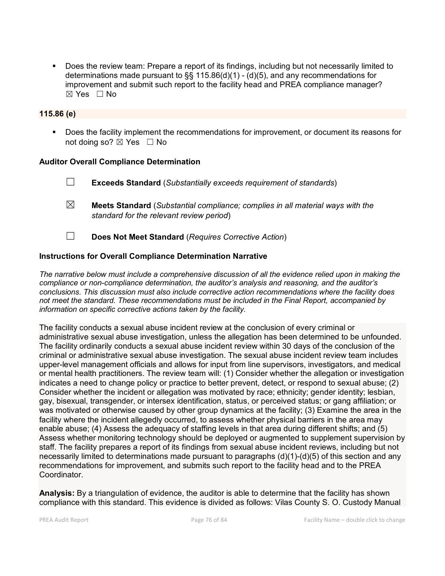Does the review team: Prepare a report of its findings, including but not necessarily limited to determinations made pursuant to §§ 115.86(d)(1) - (d)(5), and any recommendations for improvement and submit such report to the facility head and PREA compliance manager?  $\boxtimes$  Yes  $\Box$  No

# **115.86 (e)**

 Does the facility implement the recommendations for improvement, or document its reasons for not doing so?  $\boxtimes$  Yes  $\Box$  No

#### **Auditor Overall Compliance Determination**

- ☐ **Exceeds Standard** (*Substantially exceeds requirement of standards*)
- ☒ **Meets Standard** (*Substantial compliance; complies in all material ways with the standard for the relevant review period*)
- ☐ **Does Not Meet Standard** (*Requires Corrective Action*)

#### **Instructions for Overall Compliance Determination Narrative**

*The narrative below must include a comprehensive discussion of all the evidence relied upon in making the compliance or non-compliance determination, the auditor's analysis and reasoning, and the auditor's conclusions. This discussion must also include corrective action recommendations where the facility does not meet the standard. These recommendations must be included in the Final Report, accompanied by information on specific corrective actions taken by the facility.*

The facility conducts a sexual abuse incident review at the conclusion of every criminal or administrative sexual abuse investigation, unless the allegation has been determined to be unfounded. The facility ordinarily conducts a sexual abuse incident review within 30 days of the conclusion of the criminal or administrative sexual abuse investigation. The sexual abuse incident review team includes upper-level management officials and allows for input from line supervisors, investigators, and medical or mental health practitioners. The review team will: (1) Consider whether the allegation or investigation indicates a need to change policy or practice to better prevent, detect, or respond to sexual abuse; (2) Consider whether the incident or allegation was motivated by race; ethnicity; gender identity; lesbian, gay, bisexual, transgender, or intersex identification, status, or perceived status; or gang affiliation; or was motivated or otherwise caused by other group dynamics at the facility; (3) Examine the area in the facility where the incident allegedly occurred, to assess whether physical barriers in the area may enable abuse; (4) Assess the adequacy of staffing levels in that area during different shifts; and (5) Assess whether monitoring technology should be deployed or augmented to supplement supervision by staff. The facility prepares a report of its findings from sexual abuse incident reviews, including but not necessarily limited to determinations made pursuant to paragraphs (d)(1)-(d)(5) of this section and any recommendations for improvement, and submits such report to the facility head and to the PREA **Coordinator** 

**Analysis:** By a triangulation of evidence, the auditor is able to determine that the facility has shown compliance with this standard. This evidence is divided as follows: Vilas County S. O. Custody Manual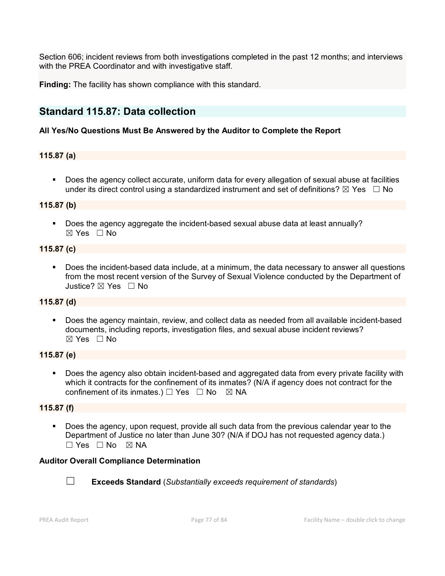Section 606; incident reviews from both investigations completed in the past 12 months; and interviews with the PREA Coordinator and with investigative staff.

**Finding:** The facility has shown compliance with this standard.

# **Standard 115.87: Data collection**

# **All Yes/No Questions Must Be Answered by the Auditor to Complete the Report**

# **115.87 (a)**

**Does the agency collect accurate, uniform data for every allegation of sexual abuse at facilities** under its direct control using a standardized instrument and set of definitions?  $\boxtimes$  Yes  $\Box$  No

# **115.87 (b)**

Does the agency aggregate the incident-based sexual abuse data at least annually?  $\boxtimes$  Yes  $\Box$  No

#### **115.87 (c)**

 Does the incident-based data include, at a minimum, the data necessary to answer all questions from the most recent version of the Survey of Sexual Violence conducted by the Department of Justice? ☒ Yes ☐ No

# **115.87 (d)**

 Does the agency maintain, review, and collect data as needed from all available incident-based documents, including reports, investigation files, and sexual abuse incident reviews?  $\boxtimes$  Yes  $\Box$  No

# **115.87 (e)**

 Does the agency also obtain incident-based and aggregated data from every private facility with which it contracts for the confinement of its inmates? (N/A if agency does not contract for the confinement of its inmates.)  $\Box$  Yes  $\Box$  No  $\boxtimes$  NA

# **115.87 (f)**

 Does the agency, upon request, provide all such data from the previous calendar year to the Department of Justice no later than June 30? (N/A if DOJ has not requested agency data.) ☐ Yes ☐ No ☒ NA

# **Auditor Overall Compliance Determination**



☐ **Exceeds Standard** (*Substantially exceeds requirement of standards*)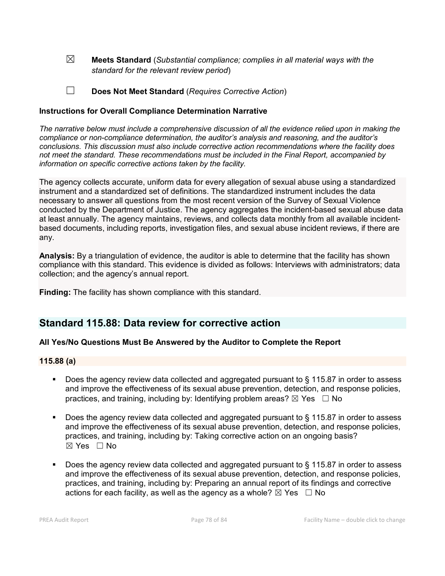☒ **Meets Standard** (*Substantial compliance; complies in all material ways with the standard for the relevant review period*)

☐ **Does Not Meet Standard** (*Requires Corrective Action*)

#### **Instructions for Overall Compliance Determination Narrative**

*The narrative below must include a comprehensive discussion of all the evidence relied upon in making the compliance or non-compliance determination, the auditor's analysis and reasoning, and the auditor's conclusions. This discussion must also include corrective action recommendations where the facility does not meet the standard. These recommendations must be included in the Final Report, accompanied by information on specific corrective actions taken by the facility.*

The agency collects accurate, uniform data for every allegation of sexual abuse using a standardized instrument and a standardized set of definitions. The standardized instrument includes the data necessary to answer all questions from the most recent version of the Survey of Sexual Violence conducted by the Department of Justice. The agency aggregates the incident-based sexual abuse data at least annually. The agency maintains, reviews, and collects data monthly from all available incidentbased documents, including reports, investigation files, and sexual abuse incident reviews, if there are any.

**Analysis:** By a triangulation of evidence, the auditor is able to determine that the facility has shown compliance with this standard. This evidence is divided as follows: Interviews with administrators; data collection; and the agency's annual report.

**Finding:** The facility has shown compliance with this standard.

# **Standard 115.88: Data review for corrective action**

# **All Yes/No Questions Must Be Answered by the Auditor to Complete the Report**

#### **115.88 (a)**

- Does the agency review data collected and aggregated pursuant to § 115.87 in order to assess and improve the effectiveness of its sexual abuse prevention, detection, and response policies, practices, and training, including by: Identifying problem areas?  $\boxtimes$  Yes  $\Box$  No
- Does the agency review data collected and aggregated pursuant to § 115.87 in order to assess and improve the effectiveness of its sexual abuse prevention, detection, and response policies, practices, and training, including by: Taking corrective action on an ongoing basis?  $\boxtimes$  Yes  $\Box$  No
- Does the agency review data collected and aggregated pursuant to § 115.87 in order to assess and improve the effectiveness of its sexual abuse prevention, detection, and response policies, practices, and training, including by: Preparing an annual report of its findings and corrective actions for each facility, as well as the agency as a whole?  $\boxtimes$  Yes  $\Box$  No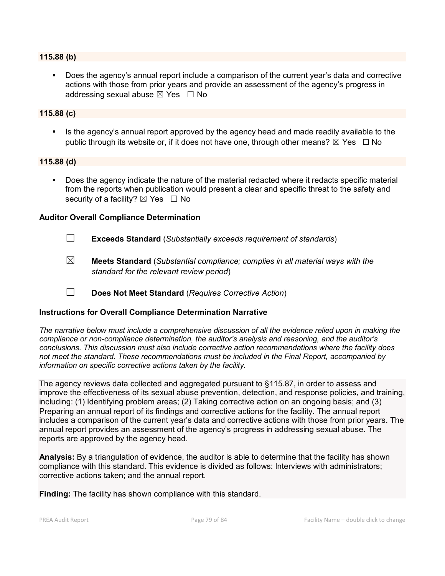#### **115.88 (b)**

 Does the agency's annual report include a comparison of the current year's data and corrective actions with those from prior years and provide an assessment of the agency's progress in addressing sexual abuse  $\boxtimes$  Yes  $\Box$  No

#### **115.88 (c)**

 Is the agency's annual report approved by the agency head and made readily available to the public through its website or, if it does not have one, through other means?  $\boxtimes$  Yes  $\Box$  No

#### **115.88 (d)**

 Does the agency indicate the nature of the material redacted where it redacts specific material from the reports when publication would present a clear and specific threat to the safety and security of a facility?  $\boxtimes$  Yes  $\Box$  No

#### **Auditor Overall Compliance Determination**

- ☐ **Exceeds Standard** (*Substantially exceeds requirement of standards*)
- ☒ **Meets Standard** (*Substantial compliance; complies in all material ways with the standard for the relevant review period*)
- ☐ **Does Not Meet Standard** (*Requires Corrective Action*)

# **Instructions for Overall Compliance Determination Narrative**

*The narrative below must include a comprehensive discussion of all the evidence relied upon in making the compliance or non-compliance determination, the auditor's analysis and reasoning, and the auditor's conclusions. This discussion must also include corrective action recommendations where the facility does not meet the standard. These recommendations must be included in the Final Report, accompanied by information on specific corrective actions taken by the facility.*

The agency reviews data collected and aggregated pursuant to §115.87, in order to assess and improve the effectiveness of its sexual abuse prevention, detection, and response policies, and training, including: (1) Identifying problem areas; (2) Taking corrective action on an ongoing basis; and (3) Preparing an annual report of its findings and corrective actions for the facility. The annual report includes a comparison of the current year's data and corrective actions with those from prior years. The annual report provides an assessment of the agency's progress in addressing sexual abuse. The reports are approved by the agency head.

**Analysis:** By a triangulation of evidence, the auditor is able to determine that the facility has shown compliance with this standard. This evidence is divided as follows: Interviews with administrators; corrective actions taken; and the annual report.

**Finding:** The facility has shown compliance with this standard.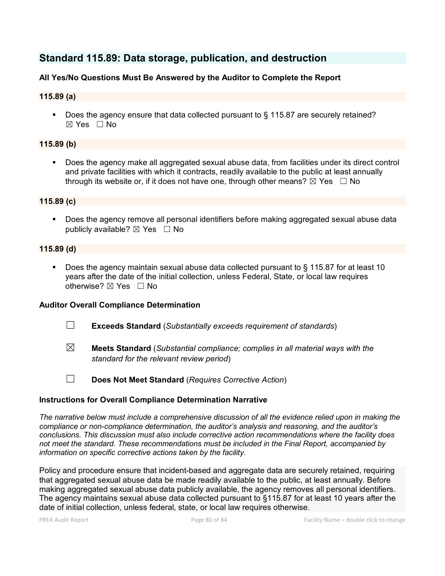# **Standard 115.89: Data storage, publication, and destruction**

# **All Yes/No Questions Must Be Answered by the Auditor to Complete the Report**

### **115.89 (a)**

Does the agency ensure that data collected pursuant to § 115.87 are securely retained? ☒ Yes ☐ No

# **115.89 (b)**

 Does the agency make all aggregated sexual abuse data, from facilities under its direct control and private facilities with which it contracts, readily available to the public at least annually through its website or, if it does not have one, through other means?  $\boxtimes$  Yes  $\Box$  No

#### **115.89 (c)**

 Does the agency remove all personal identifiers before making aggregated sexual abuse data publicly available?  $\boxtimes$  Yes  $\Box$  No

#### **115.89 (d)**

 Does the agency maintain sexual abuse data collected pursuant to § 115.87 for at least 10 years after the date of the initial collection, unless Federal, State, or local law requires otherwise?  $\boxtimes$  Yes  $\Box$  No

# **Auditor Overall Compliance Determination**

- ☐ **Exceeds Standard** (*Substantially exceeds requirement of standards*)
- ☒ **Meets Standard** (*Substantial compliance; complies in all material ways with the standard for the relevant review period*)
- ☐ **Does Not Meet Standard** (*Requires Corrective Action*)

# **Instructions for Overall Compliance Determination Narrative**

*The narrative below must include a comprehensive discussion of all the evidence relied upon in making the compliance or non-compliance determination, the auditor's analysis and reasoning, and the auditor's conclusions. This discussion must also include corrective action recommendations where the facility does not meet the standard. These recommendations must be included in the Final Report, accompanied by information on specific corrective actions taken by the facility.*

Policy and procedure ensure that incident-based and aggregate data are securely retained, requiring that aggregated sexual abuse data be made readily available to the public, at least annually. Before making aggregated sexual abuse data publicly available, the agency removes all personal identifiers. The agency maintains sexual abuse data collected pursuant to §115.87 for at least 10 years after the date of initial collection, unless federal, state, or local law requires otherwise.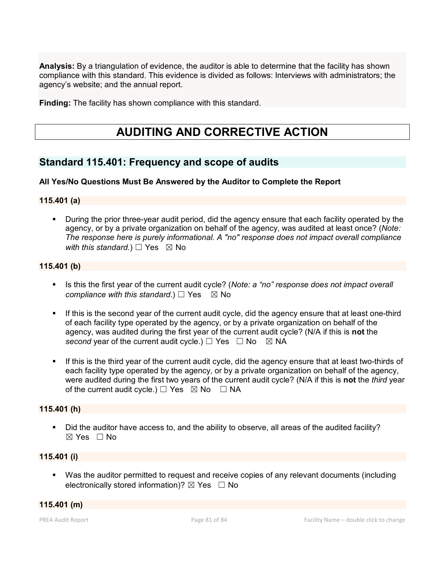**Analysis:** By a triangulation of evidence, the auditor is able to determine that the facility has shown compliance with this standard. This evidence is divided as follows: Interviews with administrators; the agency's website; and the annual report.

**Finding:** The facility has shown compliance with this standard.

# **AUDITING AND CORRECTIVE ACTION**

# **Standard 115.401: Frequency and scope of audits**

# **All Yes/No Questions Must Be Answered by the Auditor to Complete the Report**

#### **115.401 (a)**

 During the prior three-year audit period, did the agency ensure that each facility operated by the agency, or by a private organization on behalf of the agency, was audited at least once? (*Note: The response here is purely informational. A "no" response does not impact overall compliance with this standard.*) □ Yes ⊠ No

#### **115.401 (b)**

- Is this the first year of the current audit cycle? (*Note: a "no" response does not impact overall compliance with this standard.*)  $\Box$  Yes  $\boxtimes$  No
- If this is the second year of the current audit cycle, did the agency ensure that at least one-third of each facility type operated by the agency, or by a private organization on behalf of the agency, was audited during the first year of the current audit cycle? (N/A if this is **not** the *second* year of the current audit cycle.)  $\Box$  Yes  $\Box$  No  $\boxtimes$  NA
- If this is the third year of the current audit cycle, did the agency ensure that at least two-thirds of each facility type operated by the agency, or by a private organization on behalf of the agency, were audited during the first two years of the current audit cycle? (N/A if this is **not** the *third* year of the current audit cycle.)  $\Box$  Yes  $\boxtimes$  No  $\Box$  NA

#### **115.401 (h)**

 Did the auditor have access to, and the ability to observe, all areas of the audited facility? ☒ Yes ☐ No

# **115.401 (i)**

 Was the auditor permitted to request and receive copies of any relevant documents (including electronically stored information)?  $\boxtimes$  Yes  $\Box$  No

# **115.401 (m)**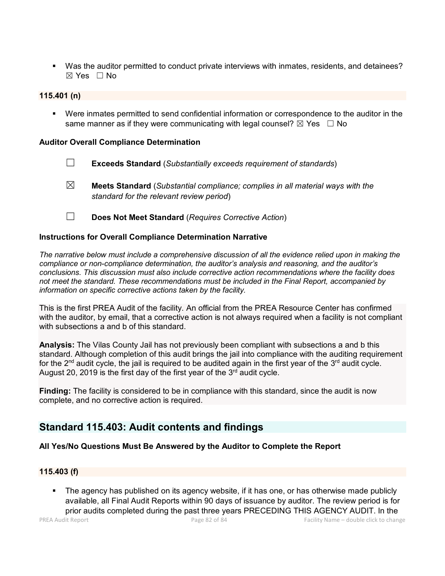Was the auditor permitted to conduct private interviews with inmates, residents, and detainees?  $\boxtimes$  Yes  $\Box$  No

### **115.401 (n)**

 Were inmates permitted to send confidential information or correspondence to the auditor in the same manner as if they were communicating with legal counsel?  $\boxtimes$  Yes  $\Box$  No

#### **Auditor Overall Compliance Determination**

- ☐ **Exceeds Standard** (*Substantially exceeds requirement of standards*)
- ☒ **Meets Standard** (*Substantial compliance; complies in all material ways with the standard for the relevant review period*)
- ☐ **Does Not Meet Standard** (*Requires Corrective Action*)

#### **Instructions for Overall Compliance Determination Narrative**

*The narrative below must include a comprehensive discussion of all the evidence relied upon in making the compliance or non-compliance determination, the auditor's analysis and reasoning, and the auditor's conclusions. This discussion must also include corrective action recommendations where the facility does not meet the standard. These recommendations must be included in the Final Report, accompanied by information on specific corrective actions taken by the facility.*

This is the first PREA Audit of the facility. An official from the PREA Resource Center has confirmed with the auditor, by email, that a corrective action is not always required when a facility is not compliant with subsections a and b of this standard.

**Analysis:** The Vilas County Jail has not previously been compliant with subsections a and b this standard. Although completion of this audit brings the jail into compliance with the auditing requirement for the  $2^{nd}$  audit cycle, the jail is required to be audited again in the first year of the  $3^{rd}$  audit cycle. August 20, 2019 is the first day of the first year of the  $3<sup>rd</sup>$  audit cycle.

**Finding:** The facility is considered to be in compliance with this standard, since the audit is now complete, and no corrective action is required.

# **Standard 115.403: Audit contents and findings**

# **All Yes/No Questions Must Be Answered by the Auditor to Complete the Report**

#### **115.403 (f)**

 The agency has published on its agency website, if it has one, or has otherwise made publicly available, all Final Audit Reports within 90 days of issuance by auditor. The review period is for prior audits completed during the past three years PRECEDING THIS AGENCY AUDIT. In the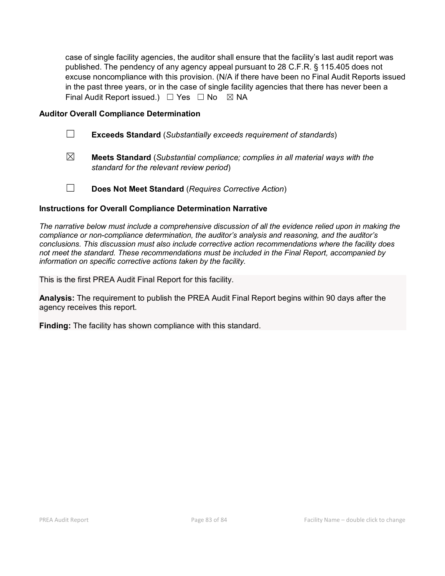case of single facility agencies, the auditor shall ensure that the facility's last audit report was published. The pendency of any agency appeal pursuant to 28 C.F.R. § 115.405 does not excuse noncompliance with this provision. (N/A if there have been no Final Audit Reports issued in the past three years, or in the case of single facility agencies that there has never been a Final Audit Report issued.)  $\Box$  Yes  $\Box$  No  $\boxtimes$  NA

### **Auditor Overall Compliance Determination**

- ☐ **Exceeds Standard** (*Substantially exceeds requirement of standards*)
- ☒ **Meets Standard** (*Substantial compliance; complies in all material ways with the standard for the relevant review period*)
- ☐ **Does Not Meet Standard** (*Requires Corrective Action*)

#### **Instructions for Overall Compliance Determination Narrative**

*The narrative below must include a comprehensive discussion of all the evidence relied upon in making the compliance or non-compliance determination, the auditor's analysis and reasoning, and the auditor's conclusions. This discussion must also include corrective action recommendations where the facility does not meet the standard. These recommendations must be included in the Final Report, accompanied by information on specific corrective actions taken by the facility.*

This is the first PREA Audit Final Report for this facility.

**Analysis:** The requirement to publish the PREA Audit Final Report begins within 90 days after the agency receives this report.

**Finding:** The facility has shown compliance with this standard.